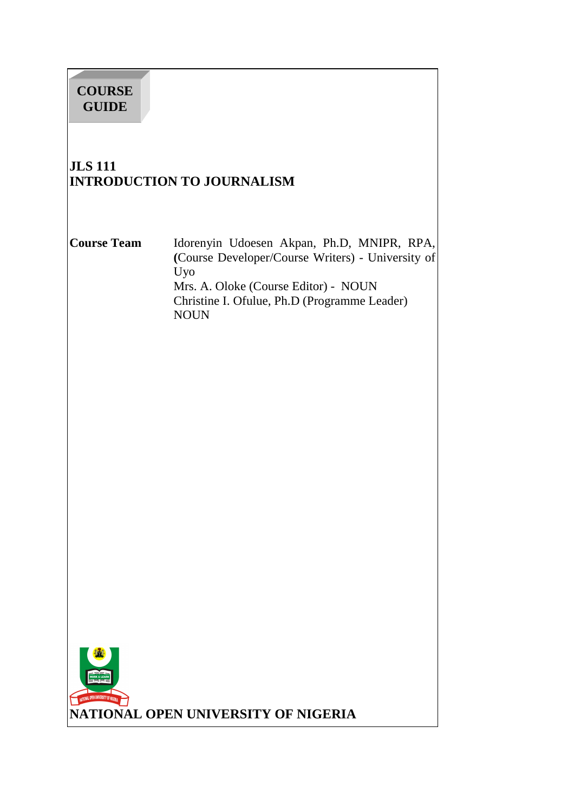# **COURSE GUIDE**

# **JLS 111 INTRODUCTION TO JOURNALISM**

**Course Team** Idorenyin Udoesen Akpan, Ph.D, MNIPR, RPA, **(**Course Developer/Course Writers) - University of Uyo Mrs. A. Oloke (Course Editor) - NOUN Christine I. Ofulue, Ph.D (Programme Leader) NOUN

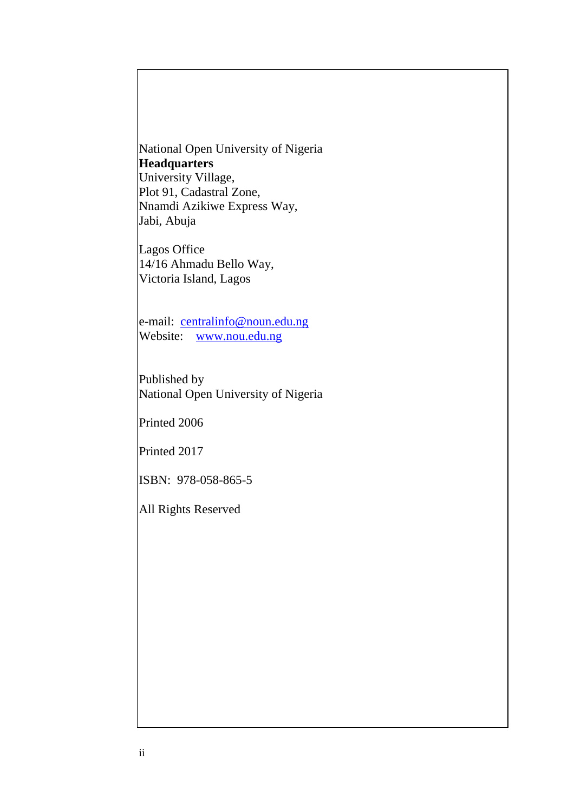National Open University of Nigeria **Headquarters**  University Village, Plot 91, Cadastral Zone, Nnamdi Azikiwe Express Way, Jabi, Abuja

Lagos Office 14/16 Ahmadu Bello Way, Victoria Island, Lagos

e-mail: centralinfo@noun.edu.ng Website: www.nou.edu.ng

Published by National Open University of Nigeria

Printed 2006

Printed 2017

ISBN: 978-058-865-5

All Rights Reserved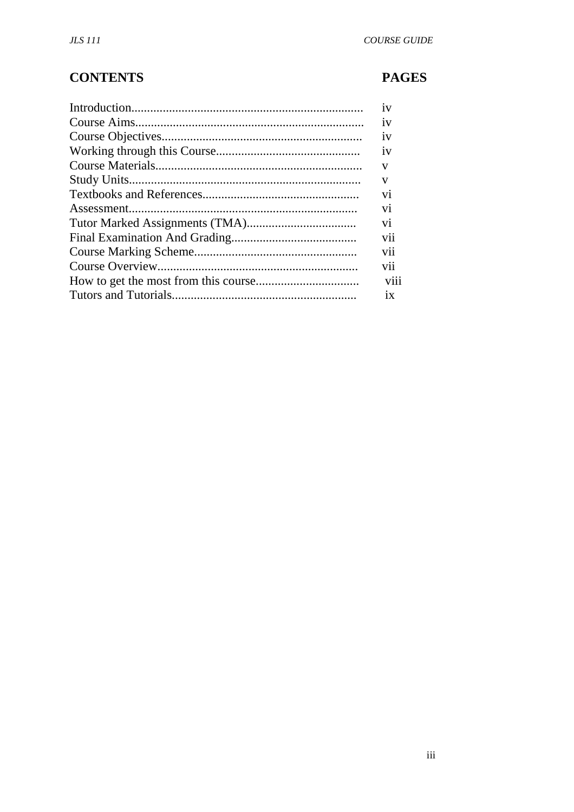# **CONTENTS**

# **PAGES**

| 1V             |
|----------------|
| 1V             |
| 1V             |
| 1V             |
| V              |
| V              |
| V <sub>1</sub> |
| V <sub>1</sub> |
| V <sub>1</sub> |
| V11            |
| V11            |
| V11            |
| V111           |
| 1X             |
|                |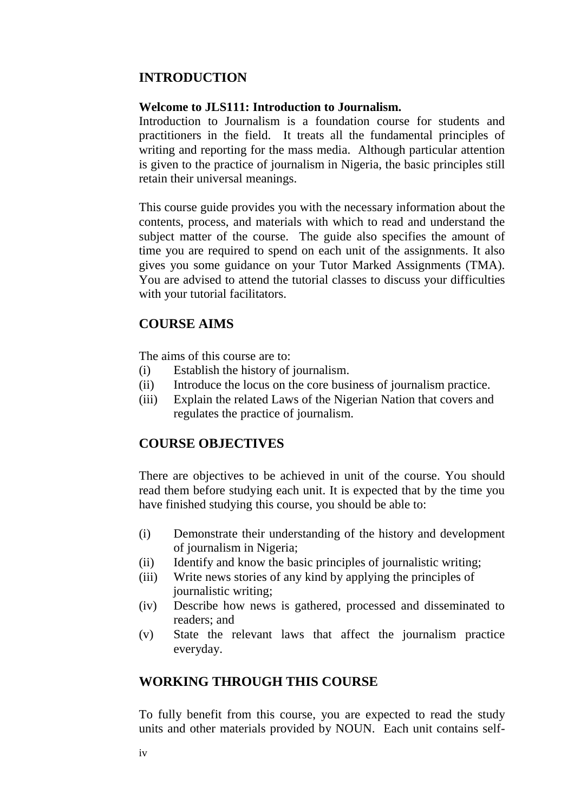### **INTRODUCTION**

#### **Welcome to JLS111: Introduction to Journalism.**

Introduction to Journalism is a foundation course for students and practitioners in the field. It treats all the fundamental principles of writing and reporting for the mass media. Although particular attention is given to the practice of journalism in Nigeria, the basic principles still retain their universal meanings.

This course guide provides you with the necessary information about the contents, process, and materials with which to read and understand the subject matter of the course. The guide also specifies the amount of time you are required to spend on each unit of the assignments. It also gives you some guidance on your Tutor Marked Assignments (TMA). You are advised to attend the tutorial classes to discuss your difficulties with your tutorial facilitators.

#### **COURSE AIMS**

The aims of this course are to:

- (i) Establish the history of journalism.
- (ii) Introduce the locus on the core business of journalism practice.
- (iii) Explain the related Laws of the Nigerian Nation that covers and regulates the practice of journalism.

#### **COURSE OBJECTIVES**

There are objectives to be achieved in unit of the course. You should read them before studying each unit. It is expected that by the time you have finished studying this course, you should be able to:

- (i) Demonstrate their understanding of the history and development of journalism in Nigeria;
- (ii) Identify and know the basic principles of journalistic writing;
- (iii) Write news stories of any kind by applying the principles of journalistic writing;
- (iv) Describe how news is gathered, processed and disseminated to readers; and
- (v) State the relevant laws that affect the journalism practice everyday.

#### **WORKING THROUGH THIS COURSE**

To fully benefit from this course, you are expected to read the study units and other materials provided by NOUN. Each unit contains self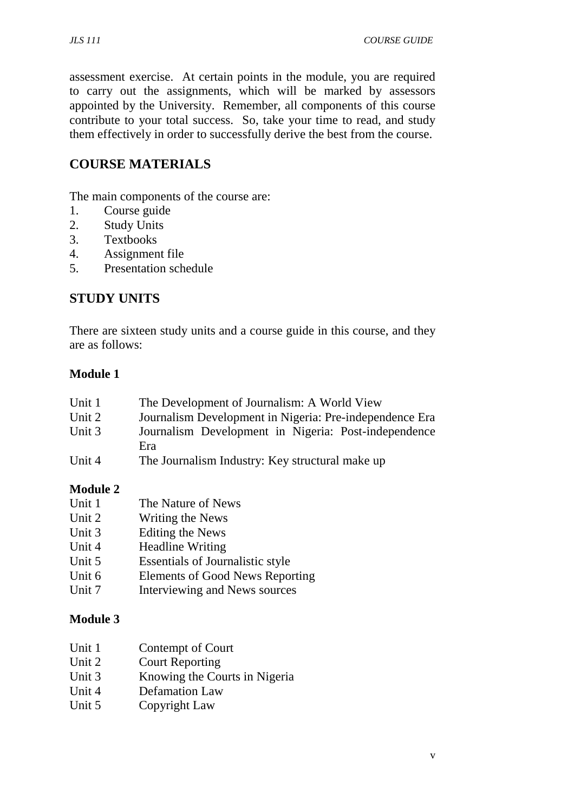assessment exercise. At certain points in the module, you are required to carry out the assignments, which will be marked by assessors appointed by the University. Remember, all components of this course contribute to your total success. So, take your time to read, and study them effectively in order to successfully derive the best from the course.

# **COURSE MATERIALS**

The main components of the course are:

- 1. Course guide
- 2. Study Units
- 3. Textbooks
- 4. Assignment file
- 5. Presentation schedule

## **STUDY UNITS**

There are sixteen study units and a course guide in this course, and they are as follows:

## **Module 1**

| Unit 1 | The Development of Journalism: A World View             |
|--------|---------------------------------------------------------|
| Unit 2 | Journalism Development in Nigeria: Pre-independence Era |
| Unit 3 | Journalism Development in Nigeria: Post-independence    |
|        | Era                                                     |
| Unit 4 | The Journalism Industry: Key structural make up         |

### **Module 2**

| Unit 1 | The Nature of News                     |
|--------|----------------------------------------|
| Unit 2 | Writing the News                       |
| Unit 3 | Editing the News                       |
| Unit 4 | <b>Headline Writing</b>                |
| Unit 5 | Essentials of Journalistic style       |
| Unit 6 | <b>Elements of Good News Reporting</b> |
| Unit 7 | Interviewing and News sources          |

## **Module 3**

- Unit 1 Contempt of Court
- Unit 2 Court Reporting
- Unit 3 Knowing the Courts in Nigeria
- Unit 4 Defamation Law
- Unit 5 Copyright Law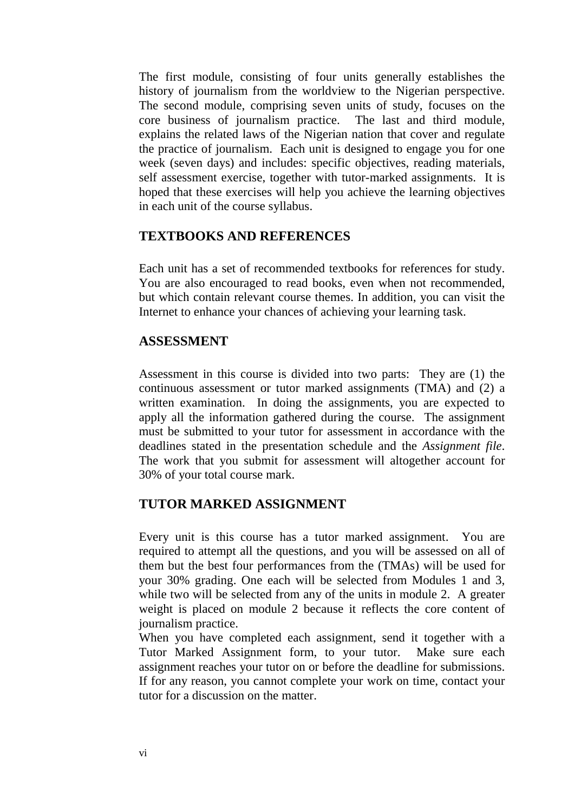The first module, consisting of four units generally establishes the history of journalism from the worldview to the Nigerian perspective. The second module, comprising seven units of study, focuses on the core business of journalism practice. The last and third module, explains the related laws of the Nigerian nation that cover and regulate the practice of journalism. Each unit is designed to engage you for one week (seven days) and includes: specific objectives, reading materials, self assessment exercise, together with tutor-marked assignments. It is hoped that these exercises will help you achieve the learning objectives in each unit of the course syllabus.

#### **TEXTBOOKS AND REFERENCES**

Each unit has a set of recommended textbooks for references for study. You are also encouraged to read books, even when not recommended, but which contain relevant course themes. In addition, you can visit the Internet to enhance your chances of achieving your learning task.

#### **ASSESSMENT**

Assessment in this course is divided into two parts: They are (1) the continuous assessment or tutor marked assignments (TMA) and (2) a written examination. In doing the assignments, you are expected to apply all the information gathered during the course. The assignment must be submitted to your tutor for assessment in accordance with the deadlines stated in the presentation schedule and the *Assignment file*. The work that you submit for assessment will altogether account for 30% of your total course mark.

#### **TUTOR MARKED ASSIGNMENT**

Every unit is this course has a tutor marked assignment. You are required to attempt all the questions, and you will be assessed on all of them but the best four performances from the (TMAs) will be used for your 30% grading. One each will be selected from Modules 1 and 3, while two will be selected from any of the units in module 2. A greater weight is placed on module 2 because it reflects the core content of journalism practice.

When you have completed each assignment, send it together with a Tutor Marked Assignment form, to your tutor. Make sure each assignment reaches your tutor on or before the deadline for submissions. If for any reason, you cannot complete your work on time, contact your tutor for a discussion on the matter.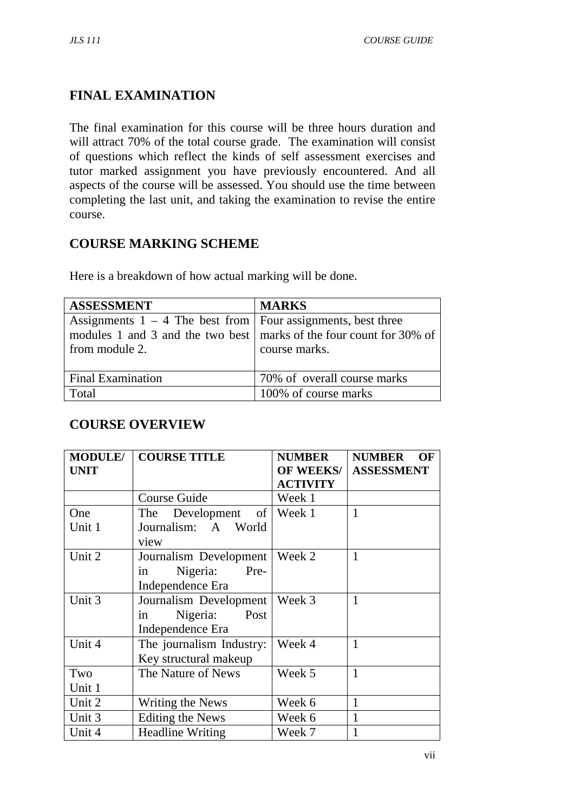# **FINAL EXAMINATION**

The final examination for this course will be three hours duration and will attract 70% of the total course grade. The examination will consist of questions which reflect the kinds of self assessment exercises and tutor marked assignment you have previously encountered. And all aspects of the course will be assessed. You should use the time between completing the last unit, and taking the examination to revise the entire course.

## **COURSE MARKING SCHEME**

Here is a breakdown of how actual marking will be done.

| <b>ASSESSMENT</b>                                                     | <b>MARKS</b>                |
|-----------------------------------------------------------------------|-----------------------------|
| Assignments $1 - 4$ The best from Four assignments, best three        |                             |
| modules 1 and 3 and the two best   marks of the four count for 30% of |                             |
| from module 2.                                                        | course marks.               |
|                                                                       |                             |
| <b>Final Examination</b>                                              | 70% of overall course marks |
| Total                                                                 | 100% of course marks        |

### **COURSE OVERVIEW**

| <b>MODULE/</b><br><b>UNIT</b> | <b>COURSE TITLE</b>      | <b>NUMBER</b><br><b>OF WEEKS/</b><br><b>ACTIVITY</b> | <b>NUMBER</b><br><b>OF</b><br><b>ASSESSMENT</b> |
|-------------------------------|--------------------------|------------------------------------------------------|-------------------------------------------------|
|                               | <b>Course Guide</b>      | Week 1                                               |                                                 |
| One                           | of  <br>The Development  | Week 1                                               | $\mathbf{1}$                                    |
| Unit 1                        | Journalism: A World      |                                                      |                                                 |
|                               | view                     |                                                      |                                                 |
| Unit 2                        | Journalism Development   | Week 2                                               | 1                                               |
|                               | Nigeria:<br>Pre-<br>1n   |                                                      |                                                 |
|                               | Independence Era         |                                                      |                                                 |
| Unit 3                        | Journalism Development   | Week 3                                               | $\mathbf{1}$                                    |
|                               | Nigeria:<br>Post<br>in   |                                                      |                                                 |
|                               | Independence Era         |                                                      |                                                 |
| Unit 4                        | The journalism Industry: | Week 4                                               | $\mathbf{1}$                                    |
|                               | Key structural makeup    |                                                      |                                                 |
| Two                           | The Nature of News       | Week 5                                               | $\mathbf{1}$                                    |
| Unit 1                        |                          |                                                      |                                                 |
| Unit 2                        | Writing the News         | Week 6                                               | 1                                               |
| Unit 3                        | Editing the News         | Week 6                                               | 1                                               |
| Unit 4                        | <b>Headline Writing</b>  | Week 7                                               | 1                                               |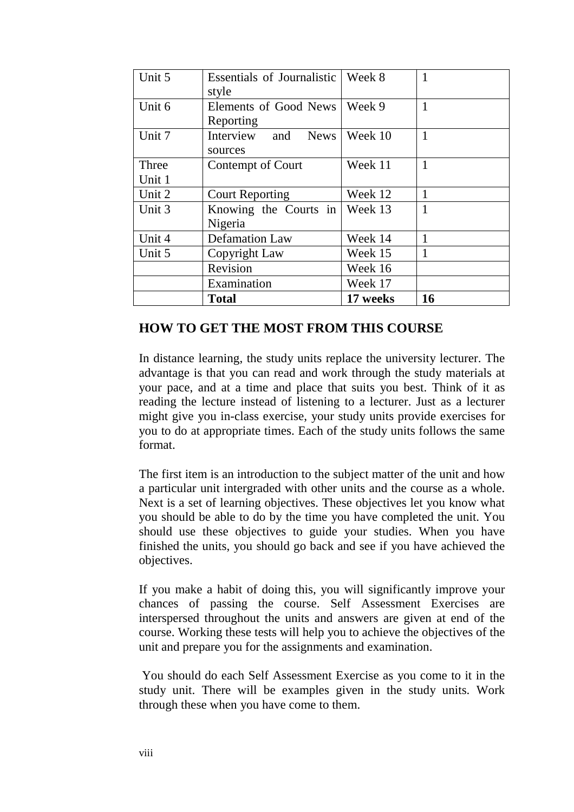| Unit 5 | Essentials of Journalistic   Week 8<br>style |          | 1            |
|--------|----------------------------------------------|----------|--------------|
| Unit 6 | Elements of Good News                        | Week 9   | $\mathbf{1}$ |
|        | Reporting                                    |          |              |
| Unit 7 | Interview<br>and<br><b>News</b><br>sources   | Week 10  | $\mathbf{1}$ |
| Three  | Contempt of Court                            | Week 11  | $\mathbf{1}$ |
| Unit 1 |                                              |          |              |
| Unit 2 | <b>Court Reporting</b>                       | Week 12  | $\mathbf{1}$ |
| Unit 3 | Knowing the Courts in Week $13$              |          | $\mathbf{1}$ |
|        | Nigeria                                      |          |              |
| Unit 4 | <b>Defamation Law</b>                        | Week 14  | $\mathbf{1}$ |
| Unit 5 | Copyright Law                                | Week 15  | $\mathbf{1}$ |
|        | Revision                                     | Week 16  |              |
|        | Examination                                  | Week 17  |              |
|        | <b>Total</b>                                 | 17 weeks | 16           |

### **HOW TO GET THE MOST FROM THIS COURSE**

In distance learning, the study units replace the university lecturer. The advantage is that you can read and work through the study materials at your pace, and at a time and place that suits you best. Think of it as reading the lecture instead of listening to a lecturer. Just as a lecturer might give you in-class exercise, your study units provide exercises for you to do at appropriate times. Each of the study units follows the same format.

The first item is an introduction to the subject matter of the unit and how a particular unit intergraded with other units and the course as a whole. Next is a set of learning objectives. These objectives let you know what you should be able to do by the time you have completed the unit. You should use these objectives to guide your studies. When you have finished the units, you should go back and see if you have achieved the objectives.

If you make a habit of doing this, you will significantly improve your chances of passing the course. Self Assessment Exercises are interspersed throughout the units and answers are given at end of the course. Working these tests will help you to achieve the objectives of the unit and prepare you for the assignments and examination.

 You should do each Self Assessment Exercise as you come to it in the study unit. There will be examples given in the study units. Work through these when you have come to them.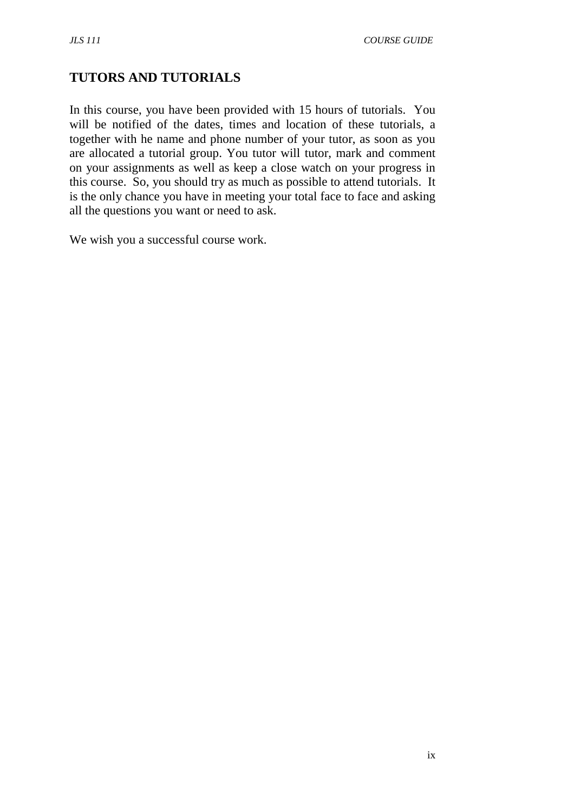# **TUTORS AND TUTORIALS**

In this course, you have been provided with 15 hours of tutorials. You will be notified of the dates, times and location of these tutorials, a together with he name and phone number of your tutor, as soon as you are allocated a tutorial group. You tutor will tutor, mark and comment on your assignments as well as keep a close watch on your progress in this course. So, you should try as much as possible to attend tutorials. It is the only chance you have in meeting your total face to face and asking all the questions you want or need to ask.

We wish you a successful course work.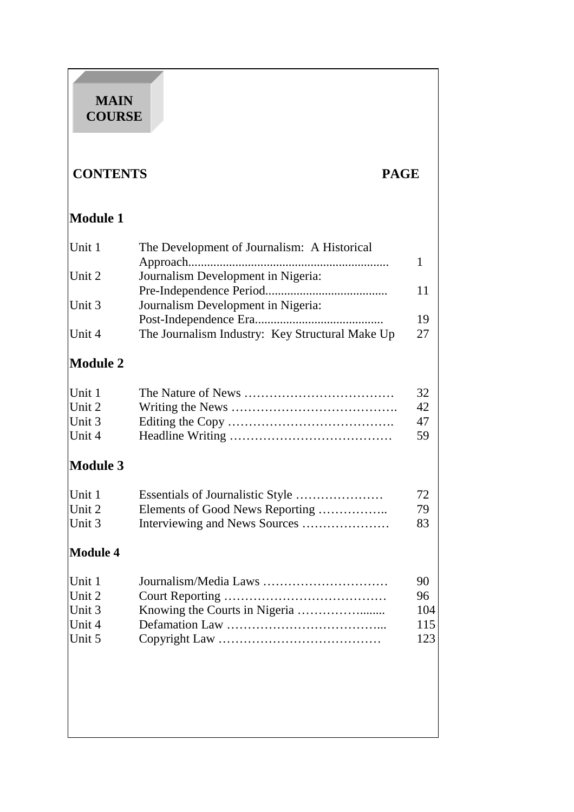### **MAIN COURSE**

# **CONTENTS PAGE**

# **Module 1**  Unit 1 The Development of Journalism: A Historical Approach................................................................ 1 Unit 2 Journalism Development in Nigeria: Pre-Independence Period....................................... 11 Unit 3 Journalism Development in Nigeria: Post-Independence Era......................................... 19 Unit 4 The Journalism Industry: Key Structural Make Up 27

# **Module 2**

| Unit 1 | 32 |
|--------|----|
| Unit 2 | 42 |
| Unit 3 | 47 |
| Unit 4 | 59 |

# **Module 3**

| Unit 1 | 72 |
|--------|----|
| Unit 2 | 79 |
| Unit 3 | 83 |

# **Module 4**

| Unit 1 | 90   |
|--------|------|
| Unit 2 | 96   |
| Unit 3 | 104  |
| Unit 4 | 115  |
| Unit 5 | 1231 |
|        |      |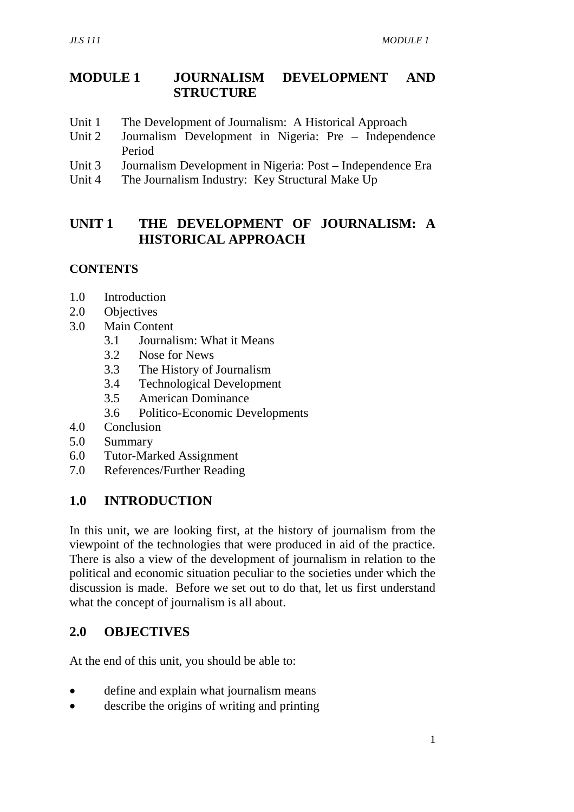## **MODULE 1 JOURNALISM DEVELOPMENT AND STRUCTURE**

- Unit 1 The Development of Journalism: A Historical Approach
- Unit 2 Journalism Development in Nigeria: Pre Independence Period
- Unit 3 Journalism Development in Nigeria: Post Independence Era
- Unit 4 The Journalism Industry: Key Structural Make Up

## **UNIT 1 THE DEVELOPMENT OF JOURNALISM: A HISTORICAL APPROACH**

### **CONTENTS**

- 1.0 Introduction
- 2.0 Objectives
- 3.0 Main Content
	- 3.1 Journalism: What it Means
	- 3.2 Nose for News
	- 3.3 The History of Journalism
	- 3.4 Technological Development
	- 3.5 American Dominance
	- 3.6 Politico-Economic Developments
- 4.0 Conclusion
- 5.0 Summary
- 6.0 Tutor-Marked Assignment
- 7.0 References/Further Reading

#### **1.0 INTRODUCTION**

In this unit, we are looking first, at the history of journalism from the viewpoint of the technologies that were produced in aid of the practice. There is also a view of the development of journalism in relation to the political and economic situation peculiar to the societies under which the discussion is made. Before we set out to do that, let us first understand what the concept of journalism is all about.

### **2.0 OBJECTIVES**

At the end of this unit, you should be able to:

- define and explain what journalism means
- describe the origins of writing and printing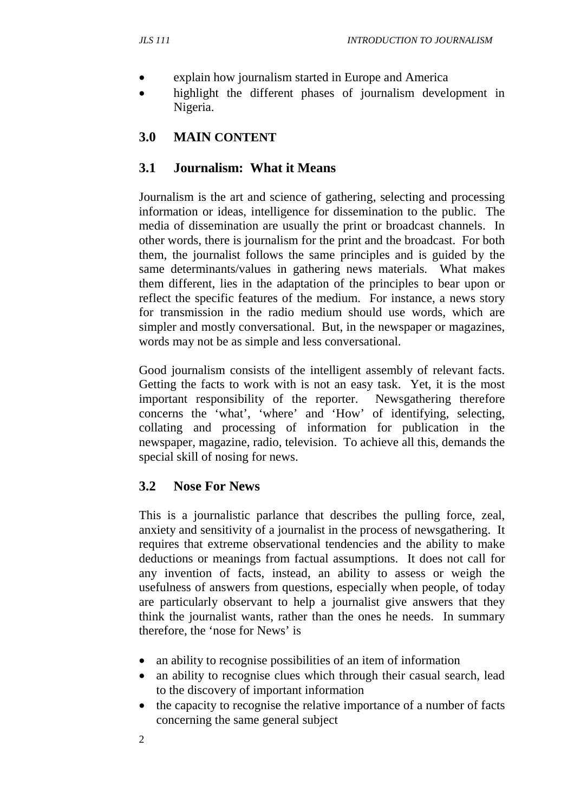- explain how journalism started in Europe and America
- highlight the different phases of journalism development in Nigeria.

## **3.0 MAIN CONTENT**

#### **3.1 Journalism: What it Means**

Journalism is the art and science of gathering, selecting and processing information or ideas, intelligence for dissemination to the public. The media of dissemination are usually the print or broadcast channels. In other words, there is journalism for the print and the broadcast. For both them, the journalist follows the same principles and is guided by the same determinants/values in gathering news materials. What makes them different, lies in the adaptation of the principles to bear upon or reflect the specific features of the medium. For instance, a news story for transmission in the radio medium should use words, which are simpler and mostly conversational. But, in the newspaper or magazines, words may not be as simple and less conversational.

Good journalism consists of the intelligent assembly of relevant facts. Getting the facts to work with is not an easy task. Yet, it is the most important responsibility of the reporter. Newsgathering therefore concerns the 'what', 'where' and 'How' of identifying, selecting, collating and processing of information for publication in the newspaper, magazine, radio, television. To achieve all this, demands the special skill of nosing for news.

### **3.2 Nose For News**

This is a journalistic parlance that describes the pulling force, zeal, anxiety and sensitivity of a journalist in the process of newsgathering. It requires that extreme observational tendencies and the ability to make deductions or meanings from factual assumptions. It does not call for any invention of facts, instead, an ability to assess or weigh the usefulness of answers from questions, especially when people, of today are particularly observant to help a journalist give answers that they think the journalist wants, rather than the ones he needs. In summary therefore, the 'nose for News' is

- an ability to recognise possibilities of an item of information
- an ability to recognise clues which through their casual search, lead to the discovery of important information
- the capacity to recognise the relative importance of a number of facts concerning the same general subject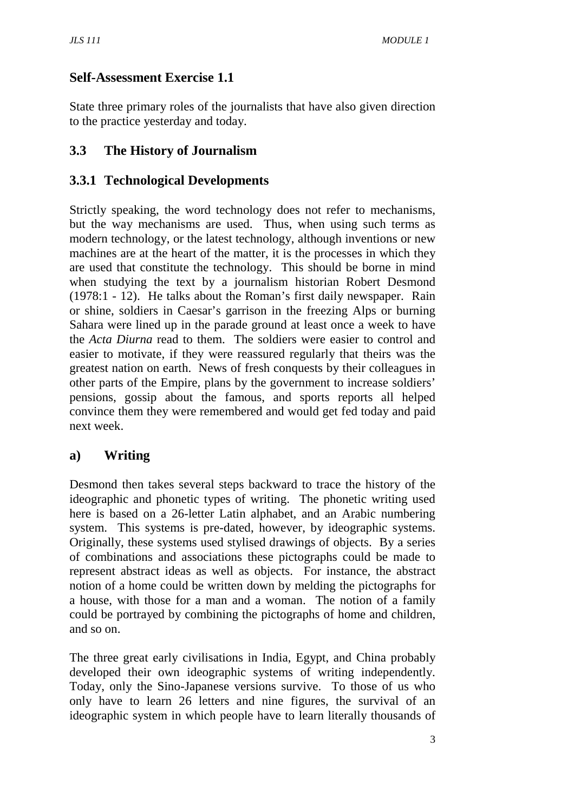## **Self-Assessment Exercise 1.1**

State three primary roles of the journalists that have also given direction to the practice yesterday and today.

## **3.3 The History of Journalism**

## **3.3.1 Technological Developments**

Strictly speaking, the word technology does not refer to mechanisms, but the way mechanisms are used. Thus, when using such terms as modern technology, or the latest technology, although inventions or new machines are at the heart of the matter, it is the processes in which they are used that constitute the technology. This should be borne in mind when studying the text by a journalism historian Robert Desmond (1978:1 - 12). He talks about the Roman's first daily newspaper. Rain or shine, soldiers in Caesar's garrison in the freezing Alps or burning Sahara were lined up in the parade ground at least once a week to have the *Acta Diurna* read to them. The soldiers were easier to control and easier to motivate, if they were reassured regularly that theirs was the greatest nation on earth. News of fresh conquests by their colleagues in other parts of the Empire, plans by the government to increase soldiers' pensions, gossip about the famous, and sports reports all helped convince them they were remembered and would get fed today and paid next week.

## **a) Writing**

Desmond then takes several steps backward to trace the history of the ideographic and phonetic types of writing. The phonetic writing used here is based on a 26-letter Latin alphabet, and an Arabic numbering system. This systems is pre-dated, however, by ideographic systems. Originally, these systems used stylised drawings of objects. By a series of combinations and associations these pictographs could be made to represent abstract ideas as well as objects. For instance, the abstract notion of a home could be written down by melding the pictographs for a house, with those for a man and a woman. The notion of a family could be portrayed by combining the pictographs of home and children, and so on.

The three great early civilisations in India, Egypt, and China probably developed their own ideographic systems of writing independently. Today, only the Sino-Japanese versions survive. To those of us who only have to learn 26 letters and nine figures, the survival of an ideographic system in which people have to learn literally thousands of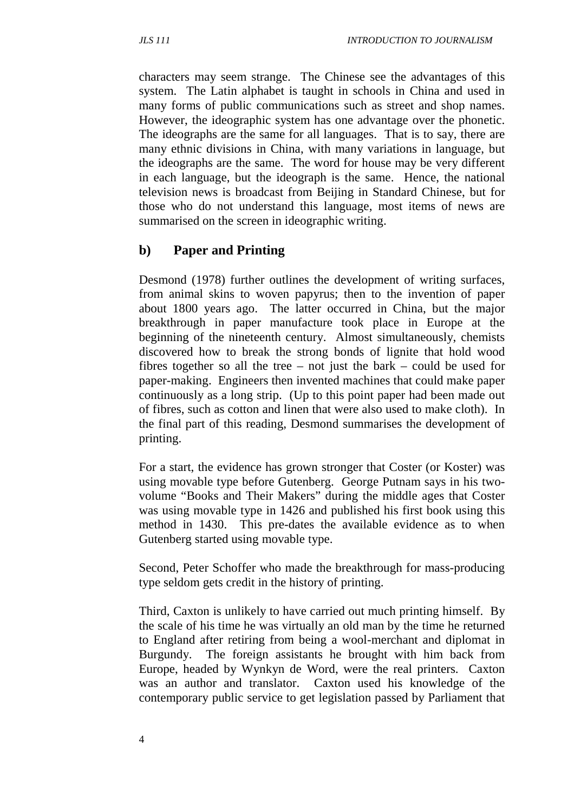characters may seem strange. The Chinese see the advantages of this system. The Latin alphabet is taught in schools in China and used in many forms of public communications such as street and shop names. However, the ideographic system has one advantage over the phonetic. The ideographs are the same for all languages. That is to say, there are many ethnic divisions in China, with many variations in language, but the ideographs are the same. The word for house may be very different in each language, but the ideograph is the same. Hence, the national television news is broadcast from Beijing in Standard Chinese, but for those who do not understand this language, most items of news are summarised on the screen in ideographic writing.

## **b) Paper and Printing**

Desmond (1978) further outlines the development of writing surfaces, from animal skins to woven papyrus; then to the invention of paper about 1800 years ago. The latter occurred in China, but the major breakthrough in paper manufacture took place in Europe at the beginning of the nineteenth century. Almost simultaneously, chemists discovered how to break the strong bonds of lignite that hold wood fibres together so all the tree – not just the bark – could be used for paper-making. Engineers then invented machines that could make paper continuously as a long strip. (Up to this point paper had been made out of fibres, such as cotton and linen that were also used to make cloth). In the final part of this reading, Desmond summarises the development of printing.

For a start, the evidence has grown stronger that Coster (or Koster) was using movable type before Gutenberg. George Putnam says in his twovolume "Books and Their Makers" during the middle ages that Coster was using movable type in 1426 and published his first book using this method in 1430. This pre-dates the available evidence as to when Gutenberg started using movable type.

Second, Peter Schoffer who made the breakthrough for mass-producing type seldom gets credit in the history of printing.

Third, Caxton is unlikely to have carried out much printing himself. By the scale of his time he was virtually an old man by the time he returned to England after retiring from being a wool-merchant and diplomat in Burgundy. The foreign assistants he brought with him back from Europe, headed by Wynkyn de Word, were the real printers. Caxton was an author and translator. Caxton used his knowledge of the contemporary public service to get legislation passed by Parliament that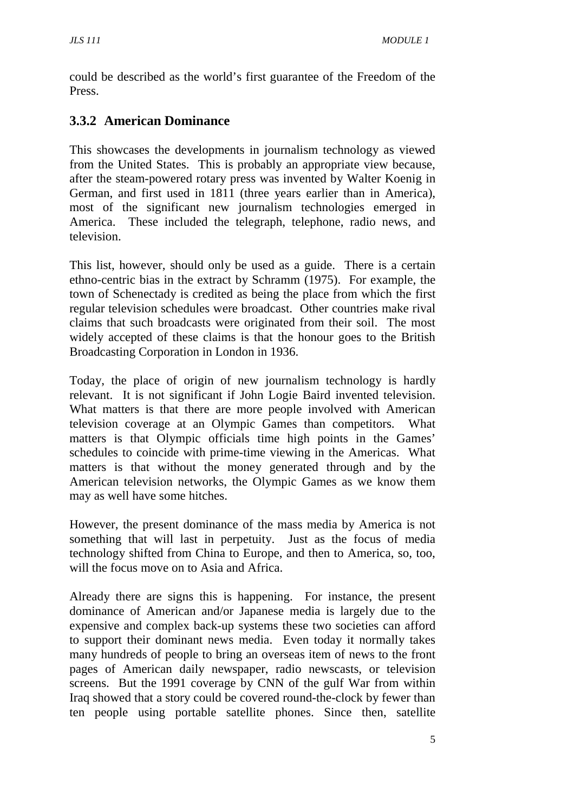could be described as the world's first guarantee of the Freedom of the Press.

## **3.3.2 American Dominance**

This showcases the developments in journalism technology as viewed from the United States. This is probably an appropriate view because, after the steam-powered rotary press was invented by Walter Koenig in German, and first used in 1811 (three years earlier than in America), most of the significant new journalism technologies emerged in America. These included the telegraph, telephone, radio news, and television.

This list, however, should only be used as a guide. There is a certain ethno-centric bias in the extract by Schramm (1975). For example, the town of Schenectady is credited as being the place from which the first regular television schedules were broadcast. Other countries make rival claims that such broadcasts were originated from their soil. The most widely accepted of these claims is that the honour goes to the British Broadcasting Corporation in London in 1936.

Today, the place of origin of new journalism technology is hardly relevant. It is not significant if John Logie Baird invented television. What matters is that there are more people involved with American television coverage at an Olympic Games than competitors. What matters is that Olympic officials time high points in the Games' schedules to coincide with prime-time viewing in the Americas. What matters is that without the money generated through and by the American television networks, the Olympic Games as we know them may as well have some hitches.

However, the present dominance of the mass media by America is not something that will last in perpetuity. Just as the focus of media technology shifted from China to Europe, and then to America, so, too, will the focus move on to Asia and Africa.

Already there are signs this is happening. For instance, the present dominance of American and/or Japanese media is largely due to the expensive and complex back-up systems these two societies can afford to support their dominant news media. Even today it normally takes many hundreds of people to bring an overseas item of news to the front pages of American daily newspaper, radio newscasts, or television screens. But the 1991 coverage by CNN of the gulf War from within Iraq showed that a story could be covered round-the-clock by fewer than ten people using portable satellite phones. Since then, satellite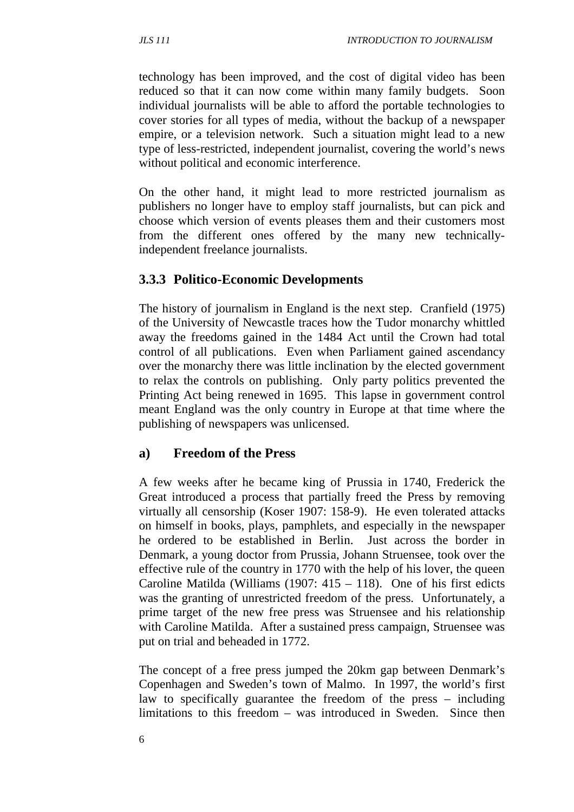technology has been improved, and the cost of digital video has been reduced so that it can now come within many family budgets. Soon individual journalists will be able to afford the portable technologies to cover stories for all types of media, without the backup of a newspaper empire, or a television network. Such a situation might lead to a new type of less-restricted, independent journalist, covering the world's news without political and economic interference.

On the other hand, it might lead to more restricted journalism as publishers no longer have to employ staff journalists, but can pick and choose which version of events pleases them and their customers most from the different ones offered by the many new technicallyindependent freelance journalists.

### **3.3.3 Politico-Economic Developments**

The history of journalism in England is the next step. Cranfield (1975) of the University of Newcastle traces how the Tudor monarchy whittled away the freedoms gained in the 1484 Act until the Crown had total control of all publications. Even when Parliament gained ascendancy over the monarchy there was little inclination by the elected government to relax the controls on publishing. Only party politics prevented the Printing Act being renewed in 1695. This lapse in government control meant England was the only country in Europe at that time where the publishing of newspapers was unlicensed.

#### **a) Freedom of the Press**

A few weeks after he became king of Prussia in 1740, Frederick the Great introduced a process that partially freed the Press by removing virtually all censorship (Koser 1907: 158-9). He even tolerated attacks on himself in books, plays, pamphlets, and especially in the newspaper he ordered to be established in Berlin. Just across the border in Denmark, a young doctor from Prussia, Johann Struensee, took over the effective rule of the country in 1770 with the help of his lover, the queen Caroline Matilda (Williams  $(1907: 415 - 118)$ . One of his first edicts was the granting of unrestricted freedom of the press. Unfortunately, a prime target of the new free press was Struensee and his relationship with Caroline Matilda. After a sustained press campaign, Struensee was put on trial and beheaded in 1772.

The concept of a free press jumped the 20km gap between Denmark's Copenhagen and Sweden's town of Malmo. In 1997, the world's first law to specifically guarantee the freedom of the press – including limitations to this freedom – was introduced in Sweden. Since then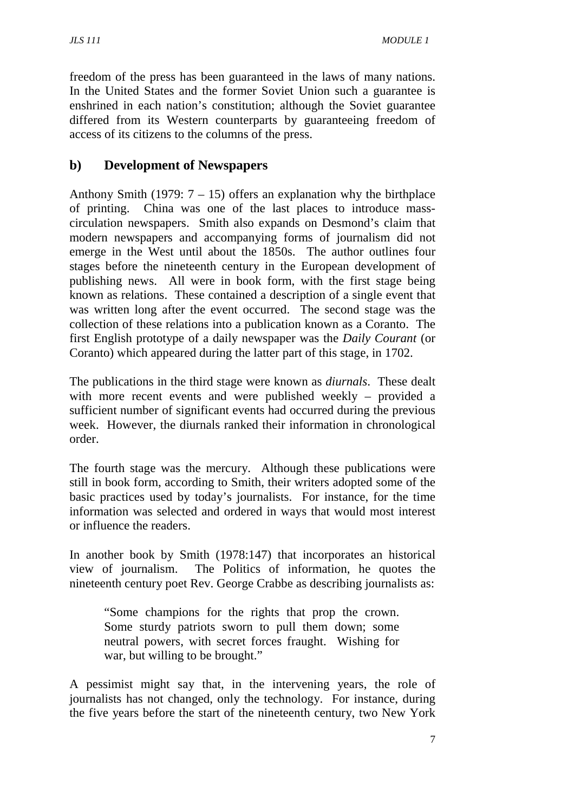freedom of the press has been guaranteed in the laws of many nations. In the United States and the former Soviet Union such a guarantee is enshrined in each nation's constitution; although the Soviet guarantee differed from its Western counterparts by guaranteeing freedom of access of its citizens to the columns of the press.

## **b) Development of Newspapers**

Anthony Smith (1979:  $7 - 15$ ) offers an explanation why the birthplace of printing. China was one of the last places to introduce masscirculation newspapers. Smith also expands on Desmond's claim that modern newspapers and accompanying forms of journalism did not emerge in the West until about the 1850s. The author outlines four stages before the nineteenth century in the European development of publishing news. All were in book form, with the first stage being known as relations. These contained a description of a single event that was written long after the event occurred. The second stage was the collection of these relations into a publication known as a Coranto. The first English prototype of a daily newspaper was the *Daily Courant* (or Coranto) which appeared during the latter part of this stage, in 1702.

The publications in the third stage were known as *diurnals*. These dealt with more recent events and were published weekly – provided a sufficient number of significant events had occurred during the previous week. However, the diurnals ranked their information in chronological order.

The fourth stage was the mercury. Although these publications were still in book form, according to Smith, their writers adopted some of the basic practices used by today's journalists. For instance, for the time information was selected and ordered in ways that would most interest or influence the readers.

In another book by Smith (1978:147) that incorporates an historical view of journalism. The Politics of information, he quotes the nineteenth century poet Rev. George Crabbe as describing journalists as:

"Some champions for the rights that prop the crown. Some sturdy patriots sworn to pull them down; some neutral powers, with secret forces fraught. Wishing for war, but willing to be brought."

A pessimist might say that, in the intervening years, the role of journalists has not changed, only the technology. For instance, during the five years before the start of the nineteenth century, two New York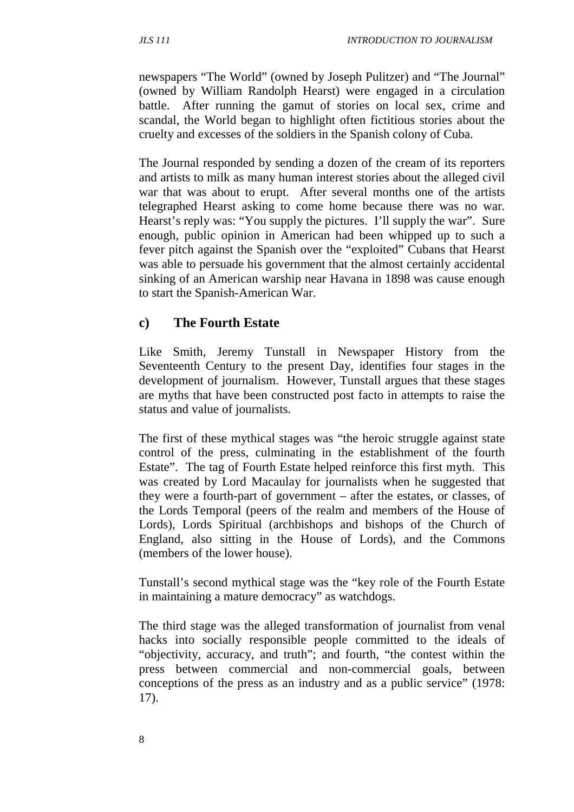newspapers "The World" (owned by Joseph Pulitzer) and "The Journal" (owned by William Randolph Hearst) were engaged in a circulation battle. After running the gamut of stories on local sex, crime and scandal, the World began to highlight often fictitious stories about the cruelty and excesses of the soldiers in the Spanish colony of Cuba.

The Journal responded by sending a dozen of the cream of its reporters and artists to milk as many human interest stories about the alleged civil war that was about to erupt. After several months one of the artists telegraphed Hearst asking to come home because there was no war. Hearst's reply was: "You supply the pictures. I'll supply the war". Sure enough, public opinion in American had been whipped up to such a fever pitch against the Spanish over the "exploited" Cubans that Hearst was able to persuade his government that the almost certainly accidental sinking of an American warship near Havana in 1898 was cause enough to start the Spanish-American War.

#### **c) The Fourth Estate**

Like Smith, Jeremy Tunstall in Newspaper History from the Seventeenth Century to the present Day, identifies four stages in the development of journalism. However, Tunstall argues that these stages are myths that have been constructed post facto in attempts to raise the status and value of journalists.

The first of these mythical stages was "the heroic struggle against state control of the press, culminating in the establishment of the fourth Estate". The tag of Fourth Estate helped reinforce this first myth. This was created by Lord Macaulay for journalists when he suggested that they were a fourth-part of government – after the estates, or classes, of the Lords Temporal (peers of the realm and members of the House of Lords), Lords Spiritual (archbishops and bishops of the Church of England, also sitting in the House of Lords), and the Commons (members of the lower house).

Tunstall's second mythical stage was the "key role of the Fourth Estate in maintaining a mature democracy" as watchdogs.

The third stage was the alleged transformation of journalist from venal hacks into socially responsible people committed to the ideals of "objectivity, accuracy, and truth"; and fourth, "the contest within the press between commercial and non-commercial goals, between conceptions of the press as an industry and as a public service" (1978: 17).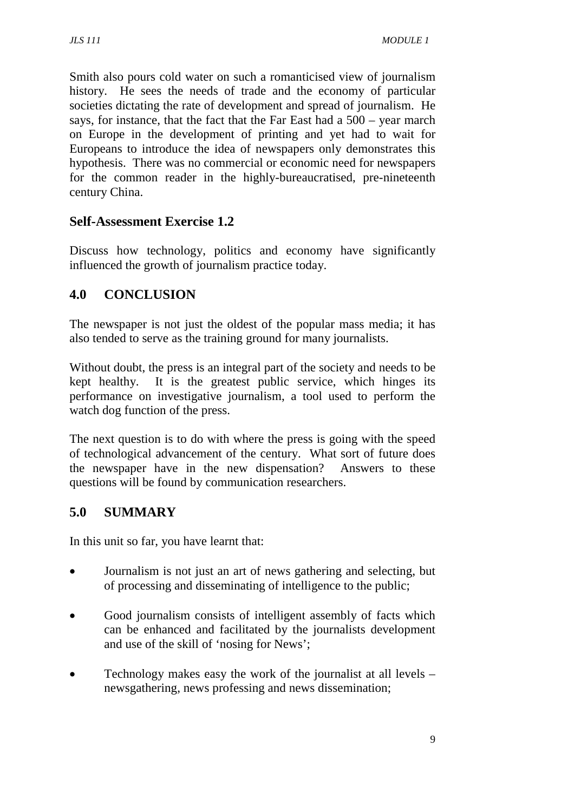Smith also pours cold water on such a romanticised view of journalism history. He sees the needs of trade and the economy of particular societies dictating the rate of development and spread of journalism. He says, for instance, that the fact that the Far East had a 500 – year march on Europe in the development of printing and yet had to wait for Europeans to introduce the idea of newspapers only demonstrates this hypothesis. There was no commercial or economic need for newspapers for the common reader in the highly-bureaucratised, pre-nineteenth century China.

## **Self-Assessment Exercise 1.2**

Discuss how technology, politics and economy have significantly influenced the growth of journalism practice today.

## **4.0 CONCLUSION**

The newspaper is not just the oldest of the popular mass media; it has also tended to serve as the training ground for many journalists.

Without doubt, the press is an integral part of the society and needs to be kept healthy. It is the greatest public service, which hinges its performance on investigative journalism, a tool used to perform the watch dog function of the press.

The next question is to do with where the press is going with the speed of technological advancement of the century. What sort of future does the newspaper have in the new dispensation? Answers to these questions will be found by communication researchers.

# **5.0 SUMMARY**

In this unit so far, you have learnt that:

- Journalism is not just an art of news gathering and selecting, but of processing and disseminating of intelligence to the public;
- Good journalism consists of intelligent assembly of facts which can be enhanced and facilitated by the journalists development and use of the skill of 'nosing for News';
- Technology makes easy the work of the journalist at all levels newsgathering, news professing and news dissemination;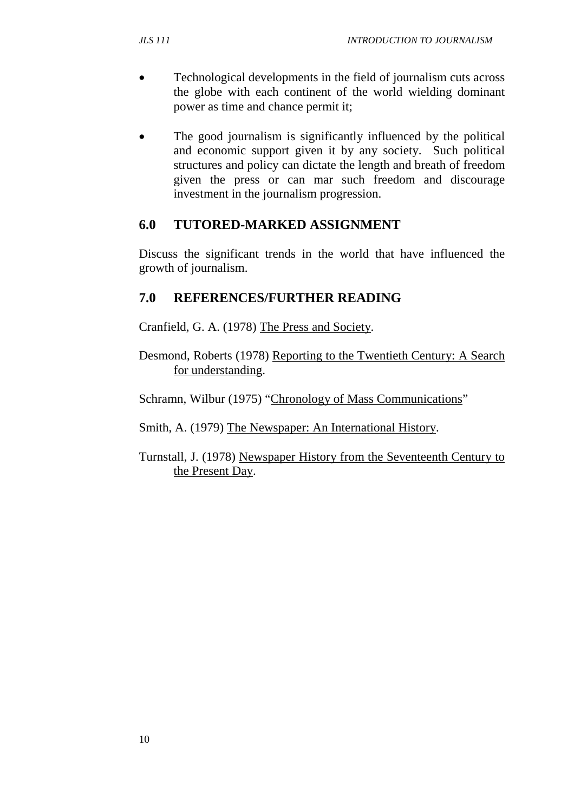- Technological developments in the field of journalism cuts across the globe with each continent of the world wielding dominant power as time and chance permit it;
- The good journalism is significantly influenced by the political and economic support given it by any society. Such political structures and policy can dictate the length and breath of freedom given the press or can mar such freedom and discourage investment in the journalism progression.

## **6.0 TUTORED-MARKED ASSIGNMENT**

Discuss the significant trends in the world that have influenced the growth of journalism.

## **7.0 REFERENCES/FURTHER READING**

Cranfield, G. A. (1978) The Press and Society.

Desmond, Roberts (1978) Reporting to the Twentieth Century: A Search for understanding.

Schramn, Wilbur (1975) "Chronology of Mass Communications"

Smith, A. (1979) The Newspaper: An International History.

Turnstall, J. (1978) Newspaper History from the Seventeenth Century to the Present Day.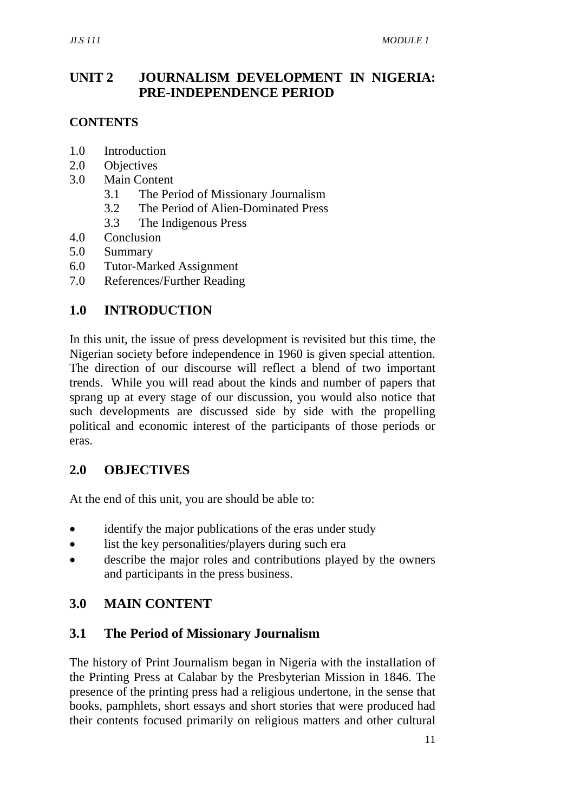## **UNIT 2 JOURNALISM DEVELOPMENT IN NIGERIA: PRE-INDEPENDENCE PERIOD**

## **CONTENTS**

- 1.0 Introduction
- 2.0 Objectives
- 3.0 Main Content
	- 3.1 The Period of Missionary Journalism
	- 3.2 The Period of Alien-Dominated Press
	- 3.3 The Indigenous Press
- 4.0 Conclusion
- 5.0 Summary
- 6.0 Tutor-Marked Assignment
- 7.0 References/Further Reading

## **1.0 INTRODUCTION**

In this unit, the issue of press development is revisited but this time, the Nigerian society before independence in 1960 is given special attention. The direction of our discourse will reflect a blend of two important trends. While you will read about the kinds and number of papers that sprang up at every stage of our discussion, you would also notice that such developments are discussed side by side with the propelling political and economic interest of the participants of those periods or eras.

### **2.0 OBJECTIVES**

At the end of this unit, you are should be able to:

- identify the major publications of the eras under study
- list the key personalities/players during such era
- describe the major roles and contributions played by the owners and participants in the press business.

## **3.0 MAIN CONTENT**

### **3.1 The Period of Missionary Journalism**

The history of Print Journalism began in Nigeria with the installation of the Printing Press at Calabar by the Presbyterian Mission in 1846. The presence of the printing press had a religious undertone, in the sense that books, pamphlets, short essays and short stories that were produced had their contents focused primarily on religious matters and other cultural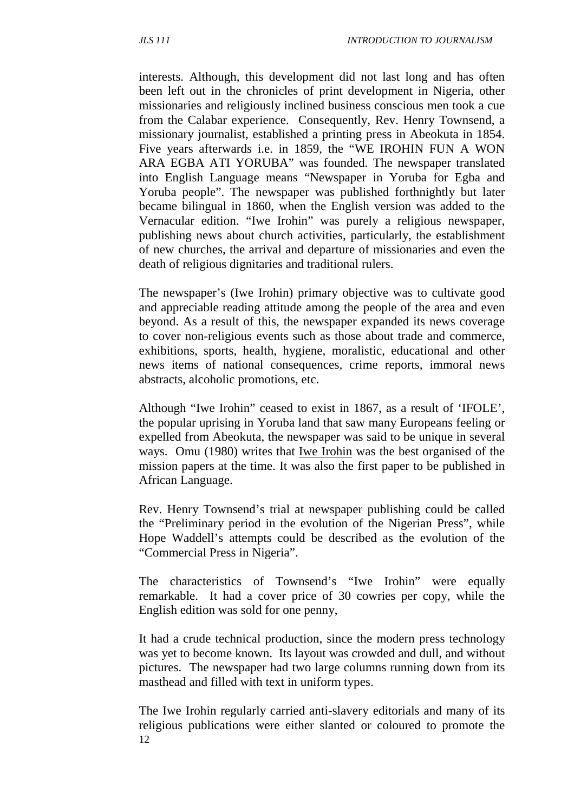interests. Although, this development did not last long and has often been left out in the chronicles of print development in Nigeria, other missionaries and religiously inclined business conscious men took a cue from the Calabar experience. Consequently, Rev. Henry Townsend, a missionary journalist, established a printing press in Abeokuta in 1854. Five years afterwards i.e. in 1859, the "WE IROHIN FUN A WON ARA EGBA ATI YORUBA" was founded. The newspaper translated into English Language means "Newspaper in Yoruba for Egba and Yoruba people". The newspaper was published forthnightly but later became bilingual in 1860, when the English version was added to the Vernacular edition. "Iwe Irohin" was purely a religious newspaper, publishing news about church activities, particularly, the establishment of new churches, the arrival and departure of missionaries and even the death of religious dignitaries and traditional rulers.

The newspaper's (Iwe Irohin) primary objective was to cultivate good and appreciable reading attitude among the people of the area and even beyond. As a result of this, the newspaper expanded its news coverage to cover non-religious events such as those about trade and commerce, exhibitions, sports, health, hygiene, moralistic, educational and other news items of national consequences, crime reports, immoral news abstracts, alcoholic promotions, etc.

Although "Iwe Irohin" ceased to exist in 1867, as a result of 'IFOLE', the popular uprising in Yoruba land that saw many Europeans feeling or expelled from Abeokuta, the newspaper was said to be unique in several ways. Omu (1980) writes that Iwe Irohin was the best organised of the mission papers at the time. It was also the first paper to be published in African Language.

Rev. Henry Townsend's trial at newspaper publishing could be called the "Preliminary period in the evolution of the Nigerian Press", while Hope Waddell's attempts could be described as the evolution of the "Commercial Press in Nigeria".

The characteristics of Townsend's "Iwe Irohin" were equally remarkable. It had a cover price of 30 cowries per copy, while the English edition was sold for one penny,

It had a crude technical production, since the modern press technology was yet to become known. Its layout was crowded and dull, and without pictures. The newspaper had two large columns running down from its masthead and filled with text in uniform types.

12 The Iwe Irohin regularly carried anti-slavery editorials and many of its religious publications were either slanted or coloured to promote the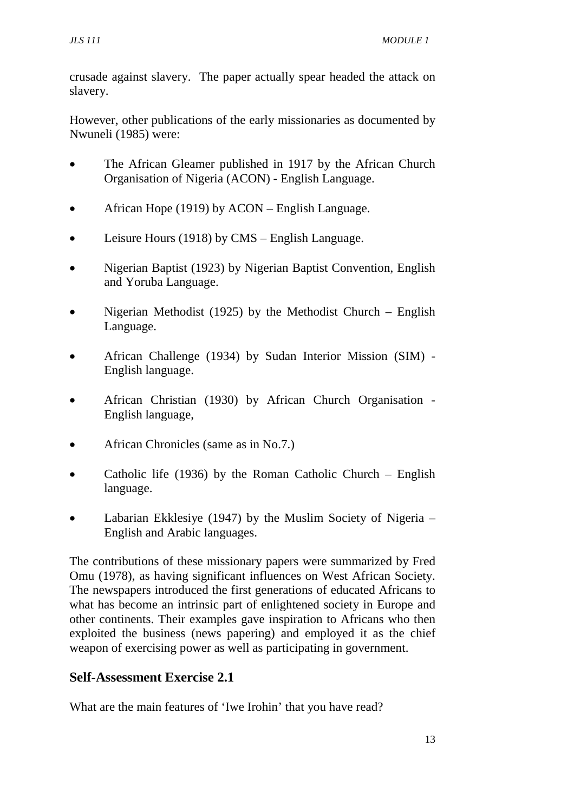crusade against slavery. The paper actually spear headed the attack on slavery.

However, other publications of the early missionaries as documented by Nwuneli (1985) were:

- The African Gleamer published in 1917 by the African Church Organisation of Nigeria (ACON) - English Language.
- African Hope (1919) by ACON English Language.
- Leisure Hours (1918) by CMS English Language.
- Nigerian Baptist (1923) by Nigerian Baptist Convention, English and Yoruba Language.
- Nigerian Methodist (1925) by the Methodist Church English Language.
- African Challenge (1934) by Sudan Interior Mission (SIM) English language.
- African Christian (1930) by African Church Organisation English language,
- African Chronicles (same as in No.7.)
- Catholic life (1936) by the Roman Catholic Church English language.
- Labarian Ekklesiye (1947) by the Muslim Society of Nigeria  $-$ English and Arabic languages.

The contributions of these missionary papers were summarized by Fred Omu (1978), as having significant influences on West African Society. The newspapers introduced the first generations of educated Africans to what has become an intrinsic part of enlightened society in Europe and other continents. Their examples gave inspiration to Africans who then exploited the business (news papering) and employed it as the chief weapon of exercising power as well as participating in government.

### **Self-Assessment Exercise 2.1**

What are the main features of 'Iwe Irohin' that you have read?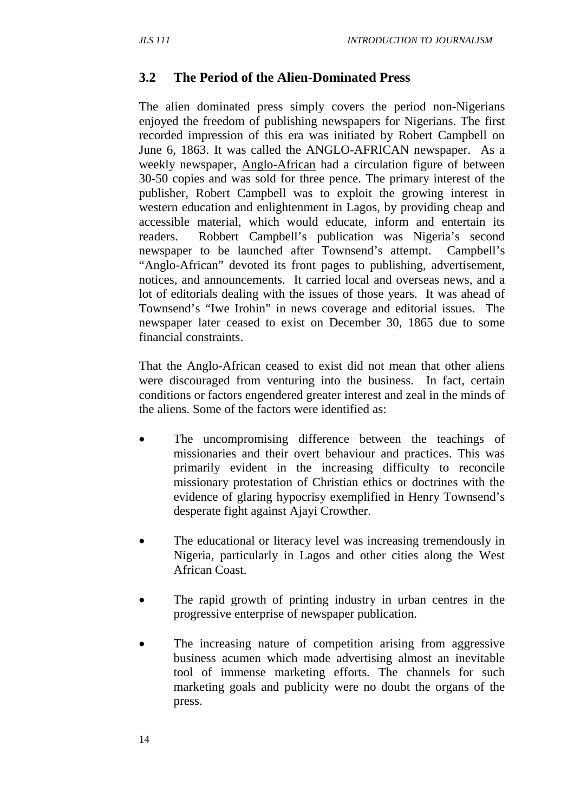## **3.2 The Period of the Alien-Dominated Press**

The alien dominated press simply covers the period non-Nigerians enjoyed the freedom of publishing newspapers for Nigerians. The first recorded impression of this era was initiated by Robert Campbell on June 6, 1863. It was called the ANGLO-AFRICAN newspaper. As a weekly newspaper, Anglo-African had a circulation figure of between 30-50 copies and was sold for three pence. The primary interest of the publisher, Robert Campbell was to exploit the growing interest in western education and enlightenment in Lagos, by providing cheap and accessible material, which would educate, inform and entertain its readers. Robbert Campbell's publication was Nigeria's second newspaper to be launched after Townsend's attempt. Campbell's "Anglo-African" devoted its front pages to publishing, advertisement, notices, and announcements. It carried local and overseas news, and a lot of editorials dealing with the issues of those years. It was ahead of Townsend's "Iwe Irohin" in news coverage and editorial issues. The newspaper later ceased to exist on December 30, 1865 due to some financial constraints.

That the Anglo-African ceased to exist did not mean that other aliens were discouraged from venturing into the business. In fact, certain conditions or factors engendered greater interest and zeal in the minds of the aliens. Some of the factors were identified as:

- The uncompromising difference between the teachings of missionaries and their overt behaviour and practices. This was primarily evident in the increasing difficulty to reconcile missionary protestation of Christian ethics or doctrines with the evidence of glaring hypocrisy exemplified in Henry Townsend's desperate fight against Ajayi Crowther.
- The educational or literacy level was increasing tremendously in Nigeria, particularly in Lagos and other cities along the West African Coast.
- The rapid growth of printing industry in urban centres in the progressive enterprise of newspaper publication.
- The increasing nature of competition arising from aggressive business acumen which made advertising almost an inevitable tool of immense marketing efforts. The channels for such marketing goals and publicity were no doubt the organs of the press.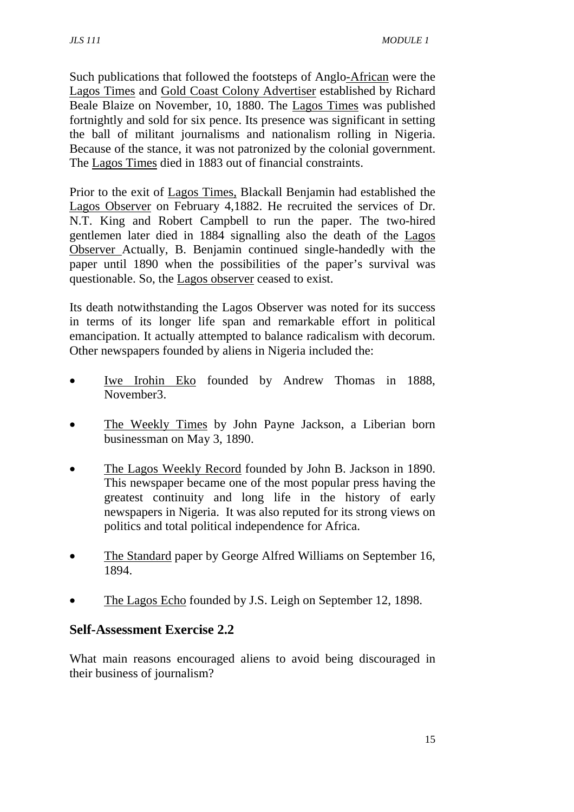Such publications that followed the footsteps of Anglo-African were the Lagos Times and Gold Coast Colony Advertiser established by Richard Beale Blaize on November, 10, 1880. The Lagos Times was published fortnightly and sold for six pence. Its presence was significant in setting the ball of militant journalisms and nationalism rolling in Nigeria. Because of the stance, it was not patronized by the colonial government. The Lagos Times died in 1883 out of financial constraints.

Prior to the exit of Lagos Times, Blackall Benjamin had established the Lagos Observer on February 4,1882. He recruited the services of Dr. N.T. King and Robert Campbell to run the paper. The two-hired gentlemen later died in 1884 signalling also the death of the Lagos Observer Actually, B. Benjamin continued single-handedly with the paper until 1890 when the possibilities of the paper's survival was questionable. So, the Lagos observer ceased to exist.

Its death notwithstanding the Lagos Observer was noted for its success in terms of its longer life span and remarkable effort in political emancipation. It actually attempted to balance radicalism with decorum. Other newspapers founded by aliens in Nigeria included the:

- Iwe Irohin Eko founded by Andrew Thomas in 1888, November3.
- The Weekly Times by John Payne Jackson, a Liberian born businessman on May 3, 1890.
- The Lagos Weekly Record founded by John B. Jackson in 1890. This newspaper became one of the most popular press having the greatest continuity and long life in the history of early newspapers in Nigeria. It was also reputed for its strong views on politics and total political independence for Africa.
- The Standard paper by George Alfred Williams on September 16, 1894.
- The Lagos Echo founded by J.S. Leigh on September 12, 1898.

#### **Self-Assessment Exercise 2.2**

What main reasons encouraged aliens to avoid being discouraged in their business of journalism?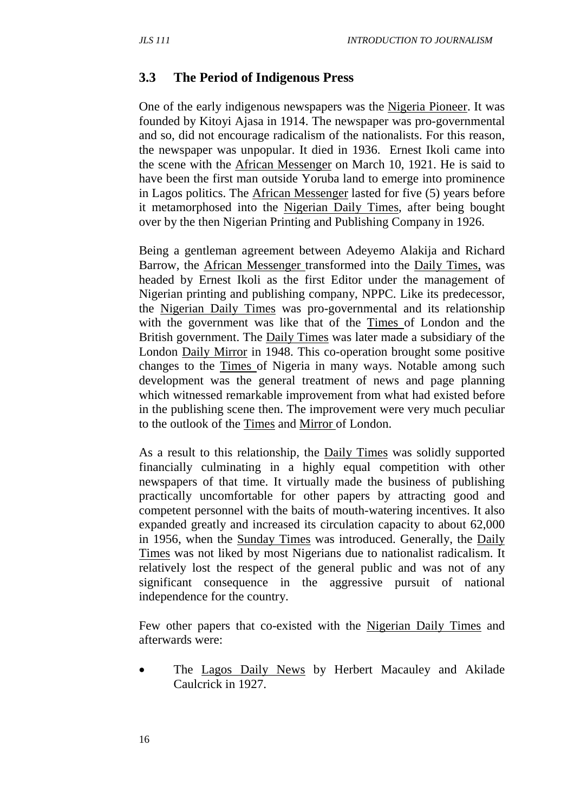#### **3.3 The Period of Indigenous Press**

One of the early indigenous newspapers was the Nigeria Pioneer. It was founded by Kitoyi Ajasa in 1914. The newspaper was pro-governmental and so, did not encourage radicalism of the nationalists. For this reason, the newspaper was unpopular. It died in 1936. Ernest Ikoli came into the scene with the African Messenger on March 10, 1921. He is said to have been the first man outside Yoruba land to emerge into prominence in Lagos politics. The African Messenger lasted for five (5) years before it metamorphosed into the Nigerian Daily Times, after being bought over by the then Nigerian Printing and Publishing Company in 1926.

Being a gentleman agreement between Adeyemo Alakija and Richard Barrow, the African Messenger transformed into the Daily Times, was headed by Ernest Ikoli as the first Editor under the management of Nigerian printing and publishing company, NPPC. Like its predecessor, the Nigerian Daily Times was pro-governmental and its relationship with the government was like that of the Times of London and the British government. The Daily Times was later made a subsidiary of the London Daily Mirror in 1948. This co-operation brought some positive changes to the Times of Nigeria in many ways. Notable among such development was the general treatment of news and page planning which witnessed remarkable improvement from what had existed before in the publishing scene then. The improvement were very much peculiar to the outlook of the Times and Mirror of London.

As a result to this relationship, the Daily Times was solidly supported financially culminating in a highly equal competition with other newspapers of that time. It virtually made the business of publishing practically uncomfortable for other papers by attracting good and competent personnel with the baits of mouth-watering incentives. It also expanded greatly and increased its circulation capacity to about 62,000 in 1956, when the Sunday Times was introduced. Generally, the Daily Times was not liked by most Nigerians due to nationalist radicalism. It relatively lost the respect of the general public and was not of any significant consequence in the aggressive pursuit of national independence for the country.

Few other papers that co-existed with the Nigerian Daily Times and afterwards were:

• The Lagos Daily News by Herbert Macauley and Akilade Caulcrick in 1927.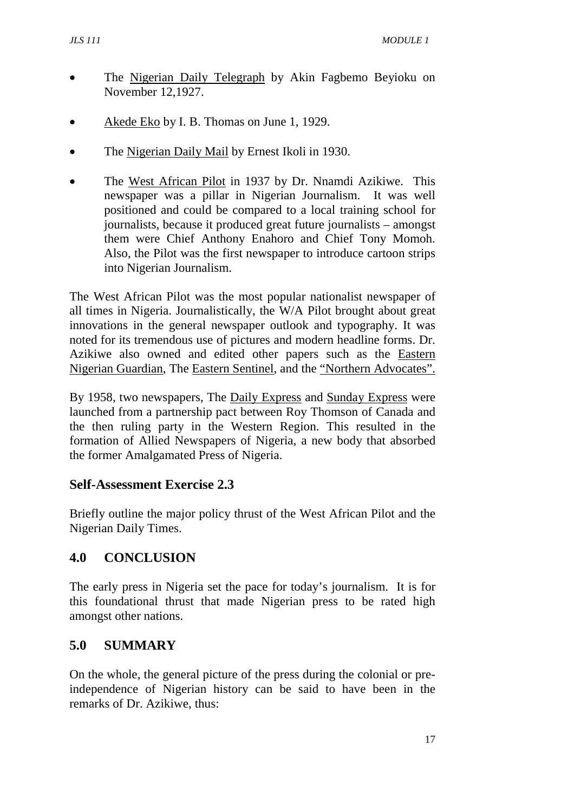- The Nigerian Daily Telegraph by Akin Fagbemo Beyioku on November 12,1927.
- Akede Eko by I. B. Thomas on June 1, 1929.
- The Nigerian Daily Mail by Ernest Ikoli in 1930.
- The West African Pilot in 1937 by Dr. Nnamdi Azikiwe. This newspaper was a pillar in Nigerian Journalism. It was well positioned and could be compared to a local training school for journalists, because it produced great future journalists – amongst them were Chief Anthony Enahoro and Chief Tony Momoh. Also, the Pilot was the first newspaper to introduce cartoon strips into Nigerian Journalism.

The West African Pilot was the most popular nationalist newspaper of all times in Nigeria. Journalistically, the W/A Pilot brought about great innovations in the general newspaper outlook and typography. It was noted for its tremendous use of pictures and modern headline forms. Dr. Azikiwe also owned and edited other papers such as the Eastern Nigerian Guardian, The Eastern Sentinel, and the "Northern Advocates".

By 1958, two newspapers, The Daily Express and Sunday Express were launched from a partnership pact between Roy Thomson of Canada and the then ruling party in the Western Region. This resulted in the formation of Allied Newspapers of Nigeria, a new body that absorbed the former Amalgamated Press of Nigeria.

#### **Self-Assessment Exercise 2.3**

Briefly outline the major policy thrust of the West African Pilot and the Nigerian Daily Times.

### **4.0 CONCLUSION**

The early press in Nigeria set the pace for today's journalism. It is for this foundational thrust that made Nigerian press to be rated high amongst other nations.

### **5.0 SUMMARY**

On the whole, the general picture of the press during the colonial or preindependence of Nigerian history can be said to have been in the remarks of Dr. Azikiwe, thus: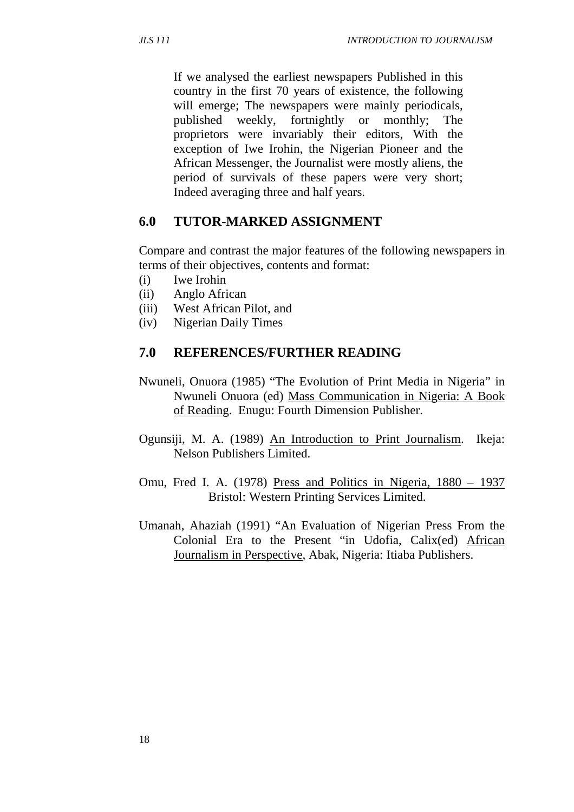If we analysed the earliest newspapers Published in this country in the first 70 years of existence, the following will emerge; The newspapers were mainly periodicals, published weekly, fortnightly or monthly; The proprietors were invariably their editors, With the exception of Iwe Irohin, the Nigerian Pioneer and the African Messenger, the Journalist were mostly aliens, the period of survivals of these papers were very short; Indeed averaging three and half years.

### **6.0 TUTOR-MARKED ASSIGNMENT**

Compare and contrast the major features of the following newspapers in terms of their objectives, contents and format:

- (i) Iwe Irohin
- (ii) Anglo African
- (iii) West African Pilot, and
- (iv) Nigerian Daily Times

#### **7.0 REFERENCES/FURTHER READING**

- Nwuneli, Onuora (1985) "The Evolution of Print Media in Nigeria" in Nwuneli Onuora (ed) Mass Communication in Nigeria: A Book of Reading. Enugu: Fourth Dimension Publisher.
- Ogunsiji, M. A. (1989) An Introduction to Print Journalism. Ikeja: Nelson Publishers Limited.
- Omu, Fred I. A. (1978) Press and Politics in Nigeria, 1880 1937 Bristol: Western Printing Services Limited.
- Umanah, Ahaziah (1991) "An Evaluation of Nigerian Press From the Colonial Era to the Present "in Udofia, Calix(ed) African Journalism in Perspective, Abak, Nigeria: Itiaba Publishers.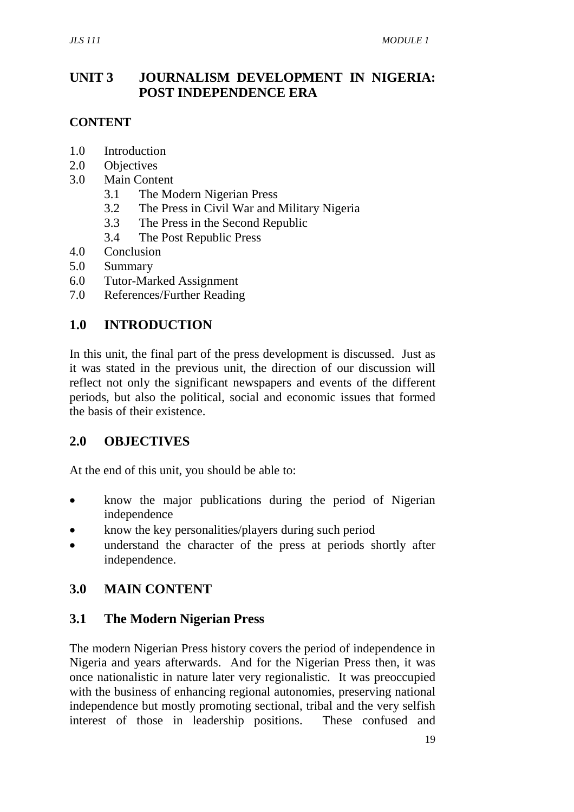## **UNIT 3 JOURNALISM DEVELOPMENT IN NIGERIA: POST INDEPENDENCE ERA**

### **CONTENT**

- 1.0 Introduction
- 2.0 Objectives
- 3.0 Main Content
	- 3.1 The Modern Nigerian Press
	- 3.2 The Press in Civil War and Military Nigeria
	- 3.3 The Press in the Second Republic
	- 3.4 The Post Republic Press
- 4.0 Conclusion
- 5.0 Summary
- 6.0 Tutor-Marked Assignment
- 7.0 References/Further Reading

## **1.0 INTRODUCTION**

In this unit, the final part of the press development is discussed. Just as it was stated in the previous unit, the direction of our discussion will reflect not only the significant newspapers and events of the different periods, but also the political, social and economic issues that formed the basis of their existence.

### **2.0 OBJECTIVES**

At the end of this unit, you should be able to:

- know the major publications during the period of Nigerian independence
- know the key personalities/players during such period
- understand the character of the press at periods shortly after independence.

## **3.0 MAIN CONTENT**

### **3.1 The Modern Nigerian Press**

The modern Nigerian Press history covers the period of independence in Nigeria and years afterwards. And for the Nigerian Press then, it was once nationalistic in nature later very regionalistic. It was preoccupied with the business of enhancing regional autonomies, preserving national independence but mostly promoting sectional, tribal and the very selfish interest of those in leadership positions. These confused and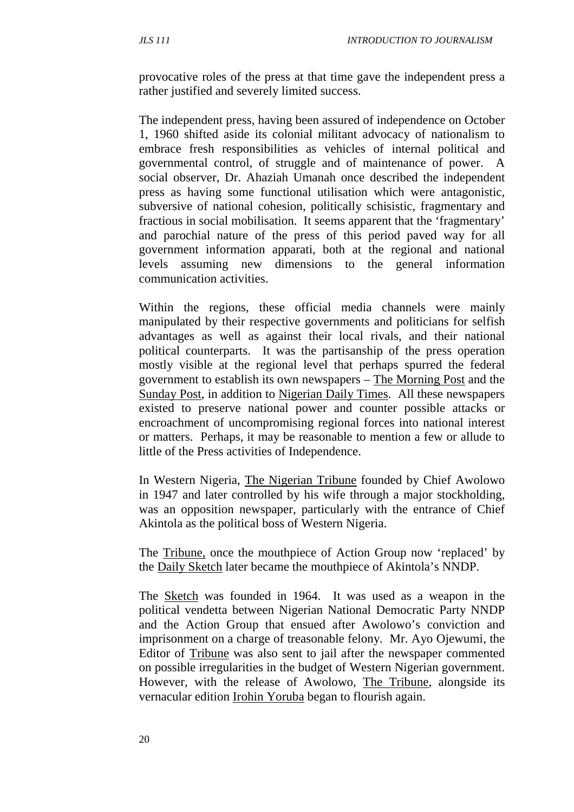provocative roles of the press at that time gave the independent press a rather justified and severely limited success.

The independent press, having been assured of independence on October 1, 1960 shifted aside its colonial militant advocacy of nationalism to embrace fresh responsibilities as vehicles of internal political and governmental control, of struggle and of maintenance of power. A social observer, Dr. Ahaziah Umanah once described the independent press as having some functional utilisation which were antagonistic, subversive of national cohesion, politically schisistic, fragmentary and fractious in social mobilisation. It seems apparent that the 'fragmentary' and parochial nature of the press of this period paved way for all government information apparati, both at the regional and national levels assuming new dimensions to the general information communication activities.

Within the regions, these official media channels were mainly manipulated by their respective governments and politicians for selfish advantages as well as against their local rivals, and their national political counterparts. It was the partisanship of the press operation mostly visible at the regional level that perhaps spurred the federal government to establish its own newspapers – The Morning Post and the Sunday Post, in addition to Nigerian Daily Times. All these newspapers existed to preserve national power and counter possible attacks or encroachment of uncompromising regional forces into national interest or matters. Perhaps, it may be reasonable to mention a few or allude to little of the Press activities of Independence.

In Western Nigeria, The Nigerian Tribune founded by Chief Awolowo in 1947 and later controlled by his wife through a major stockholding, was an opposition newspaper, particularly with the entrance of Chief Akintola as the political boss of Western Nigeria.

The Tribune, once the mouthpiece of Action Group now 'replaced' by the Daily Sketch later became the mouthpiece of Akintola's NNDP.

The Sketch was founded in 1964. It was used as a weapon in the political vendetta between Nigerian National Democratic Party NNDP and the Action Group that ensued after Awolowo's conviction and imprisonment on a charge of treasonable felony. Mr. Ayo Ojewumi, the Editor of Tribune was also sent to jail after the newspaper commented on possible irregularities in the budget of Western Nigerian government. However, with the release of Awolowo, The Tribune, alongside its vernacular edition Irohin Yoruba began to flourish again.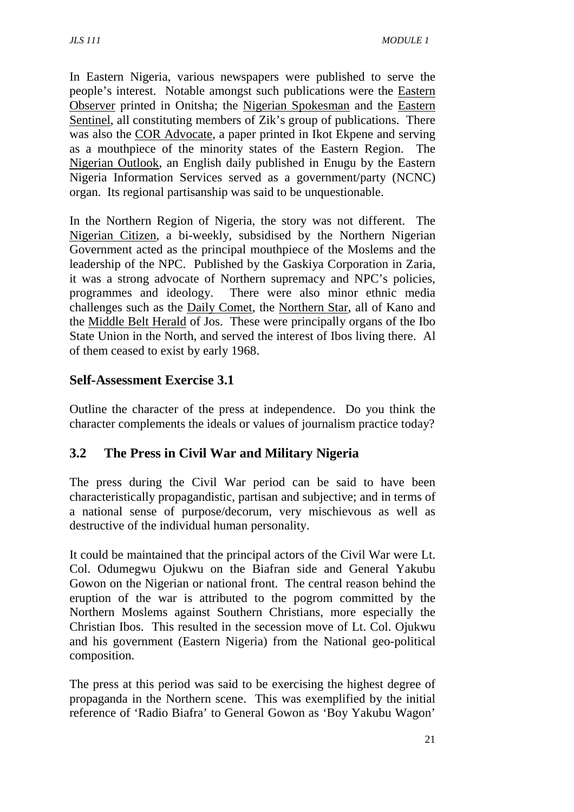In Eastern Nigeria, various newspapers were published to serve the people's interest. Notable amongst such publications were the Eastern Observer printed in Onitsha; the Nigerian Spokesman and the Eastern Sentinel, all constituting members of Zik's group of publications. There was also the COR Advocate, a paper printed in Ikot Ekpene and serving as a mouthpiece of the minority states of the Eastern Region. The Nigerian Outlook, an English daily published in Enugu by the Eastern Nigeria Information Services served as a government/party (NCNC) organ. Its regional partisanship was said to be unquestionable.

In the Northern Region of Nigeria, the story was not different. The Nigerian Citizen, a bi-weekly, subsidised by the Northern Nigerian Government acted as the principal mouthpiece of the Moslems and the leadership of the NPC. Published by the Gaskiya Corporation in Zaria, it was a strong advocate of Northern supremacy and NPC's policies, programmes and ideology. There were also minor ethnic media challenges such as the Daily Comet, the Northern Star, all of Kano and the Middle Belt Herald of Jos. These were principally organs of the Ibo State Union in the North, and served the interest of Ibos living there. Al of them ceased to exist by early 1968.

### **Self-Assessment Exercise 3.1**

Outline the character of the press at independence. Do you think the character complements the ideals or values of journalism practice today?

## **3.2 The Press in Civil War and Military Nigeria**

The press during the Civil War period can be said to have been characteristically propagandistic, partisan and subjective; and in terms of a national sense of purpose/decorum, very mischievous as well as destructive of the individual human personality.

It could be maintained that the principal actors of the Civil War were Lt. Col. Odumegwu Ojukwu on the Biafran side and General Yakubu Gowon on the Nigerian or national front. The central reason behind the eruption of the war is attributed to the pogrom committed by the Northern Moslems against Southern Christians, more especially the Christian Ibos. This resulted in the secession move of Lt. Col. Ojukwu and his government (Eastern Nigeria) from the National geo-political composition.

The press at this period was said to be exercising the highest degree of propaganda in the Northern scene. This was exemplified by the initial reference of 'Radio Biafra' to General Gowon as 'Boy Yakubu Wagon'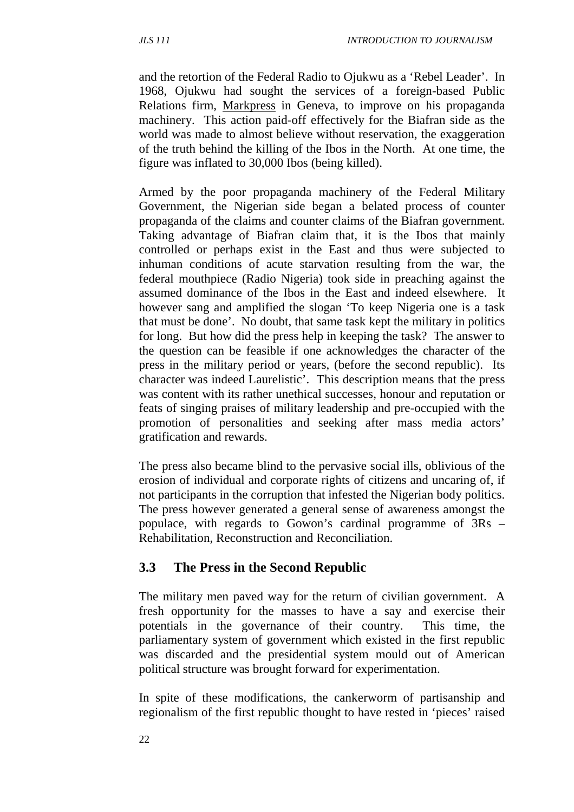and the retortion of the Federal Radio to Ojukwu as a 'Rebel Leader'. In 1968, Ojukwu had sought the services of a foreign-based Public Relations firm, Markpress in Geneva, to improve on his propaganda machinery. This action paid-off effectively for the Biafran side as the world was made to almost believe without reservation, the exaggeration of the truth behind the killing of the Ibos in the North. At one time, the figure was inflated to 30,000 Ibos (being killed).

Armed by the poor propaganda machinery of the Federal Military Government, the Nigerian side began a belated process of counter propaganda of the claims and counter claims of the Biafran government. Taking advantage of Biafran claim that, it is the Ibos that mainly controlled or perhaps exist in the East and thus were subjected to inhuman conditions of acute starvation resulting from the war, the federal mouthpiece (Radio Nigeria) took side in preaching against the assumed dominance of the Ibos in the East and indeed elsewhere. It however sang and amplified the slogan 'To keep Nigeria one is a task that must be done'. No doubt, that same task kept the military in politics for long. But how did the press help in keeping the task? The answer to the question can be feasible if one acknowledges the character of the press in the military period or years, (before the second republic). Its character was indeed Laurelistic'. This description means that the press was content with its rather unethical successes, honour and reputation or feats of singing praises of military leadership and pre-occupied with the promotion of personalities and seeking after mass media actors' gratification and rewards.

The press also became blind to the pervasive social ills, oblivious of the erosion of individual and corporate rights of citizens and uncaring of, if not participants in the corruption that infested the Nigerian body politics. The press however generated a general sense of awareness amongst the populace, with regards to Gowon's cardinal programme of 3Rs – Rehabilitation, Reconstruction and Reconciliation.

## **3.3 The Press in the Second Republic**

The military men paved way for the return of civilian government. A fresh opportunity for the masses to have a say and exercise their potentials in the governance of their country. This time, the parliamentary system of government which existed in the first republic was discarded and the presidential system mould out of American political structure was brought forward for experimentation.

In spite of these modifications, the cankerworm of partisanship and regionalism of the first republic thought to have rested in 'pieces' raised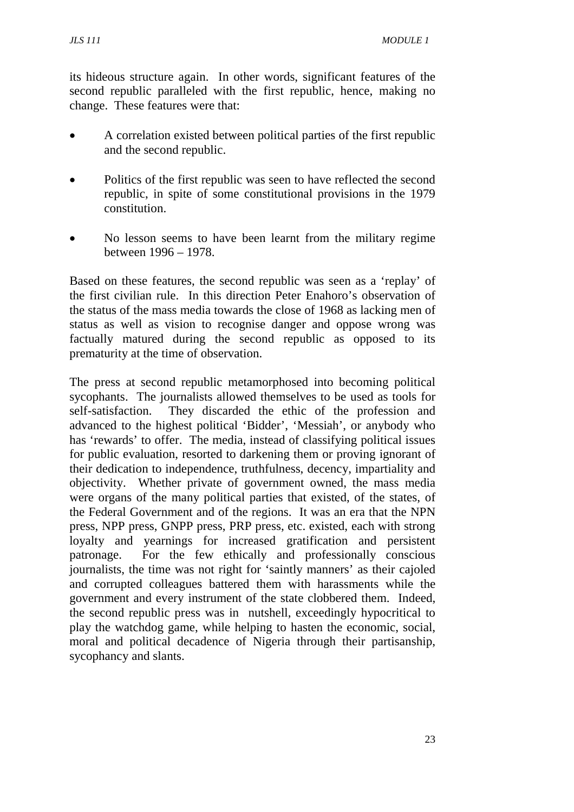its hideous structure again. In other words, significant features of the second republic paralleled with the first republic, hence, making no change. These features were that:

- A correlation existed between political parties of the first republic and the second republic.
- Politics of the first republic was seen to have reflected the second republic, in spite of some constitutional provisions in the 1979 constitution.
- No lesson seems to have been learnt from the military regime between 1996 – 1978.

Based on these features, the second republic was seen as a 'replay' of the first civilian rule. In this direction Peter Enahoro's observation of the status of the mass media towards the close of 1968 as lacking men of status as well as vision to recognise danger and oppose wrong was factually matured during the second republic as opposed to its prematurity at the time of observation.

The press at second republic metamorphosed into becoming political sycophants. The journalists allowed themselves to be used as tools for self-satisfaction. They discarded the ethic of the profession and advanced to the highest political 'Bidder', 'Messiah', or anybody who has 'rewards' to offer. The media, instead of classifying political issues for public evaluation, resorted to darkening them or proving ignorant of their dedication to independence, truthfulness, decency, impartiality and objectivity. Whether private of government owned, the mass media were organs of the many political parties that existed, of the states, of the Federal Government and of the regions. It was an era that the NPN press, NPP press, GNPP press, PRP press, etc. existed, each with strong loyalty and yearnings for increased gratification and persistent patronage. For the few ethically and professionally conscious journalists, the time was not right for 'saintly manners' as their cajoled and corrupted colleagues battered them with harassments while the government and every instrument of the state clobbered them. Indeed, the second republic press was in nutshell, exceedingly hypocritical to play the watchdog game, while helping to hasten the economic, social, moral and political decadence of Nigeria through their partisanship, sycophancy and slants.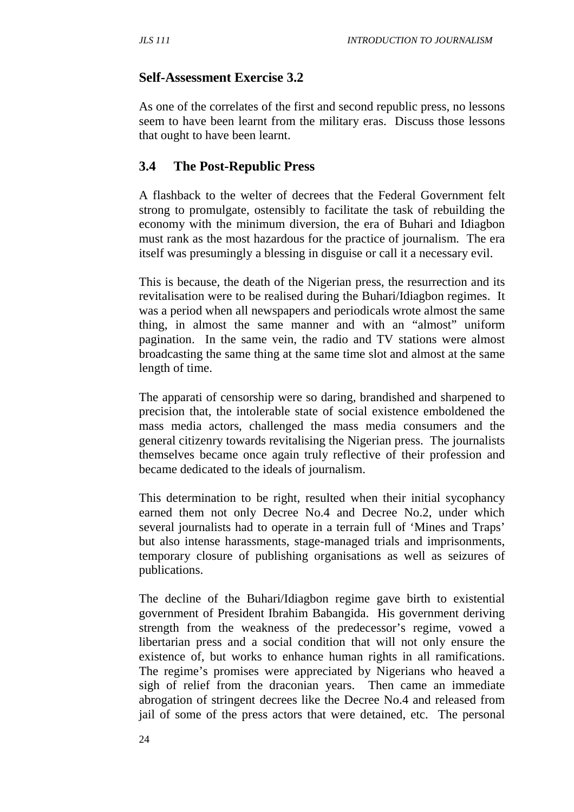## **Self-Assessment Exercise 3.2**

As one of the correlates of the first and second republic press, no lessons seem to have been learnt from the military eras. Discuss those lessons that ought to have been learnt.

## **3.4 The Post-Republic Press**

A flashback to the welter of decrees that the Federal Government felt strong to promulgate, ostensibly to facilitate the task of rebuilding the economy with the minimum diversion, the era of Buhari and Idiagbon must rank as the most hazardous for the practice of journalism. The era itself was presumingly a blessing in disguise or call it a necessary evil.

This is because, the death of the Nigerian press, the resurrection and its revitalisation were to be realised during the Buhari/Idiagbon regimes. It was a period when all newspapers and periodicals wrote almost the same thing, in almost the same manner and with an "almost" uniform pagination. In the same vein, the radio and TV stations were almost broadcasting the same thing at the same time slot and almost at the same length of time.

The apparati of censorship were so daring, brandished and sharpened to precision that, the intolerable state of social existence emboldened the mass media actors, challenged the mass media consumers and the general citizenry towards revitalising the Nigerian press. The journalists themselves became once again truly reflective of their profession and became dedicated to the ideals of journalism.

This determination to be right, resulted when their initial sycophancy earned them not only Decree No.4 and Decree No.2, under which several journalists had to operate in a terrain full of 'Mines and Traps' but also intense harassments, stage-managed trials and imprisonments, temporary closure of publishing organisations as well as seizures of publications.

The decline of the Buhari/Idiagbon regime gave birth to existential government of President Ibrahim Babangida. His government deriving strength from the weakness of the predecessor's regime, vowed a libertarian press and a social condition that will not only ensure the existence of, but works to enhance human rights in all ramifications. The regime's promises were appreciated by Nigerians who heaved a sigh of relief from the draconian years. Then came an immediate abrogation of stringent decrees like the Decree No.4 and released from jail of some of the press actors that were detained, etc. The personal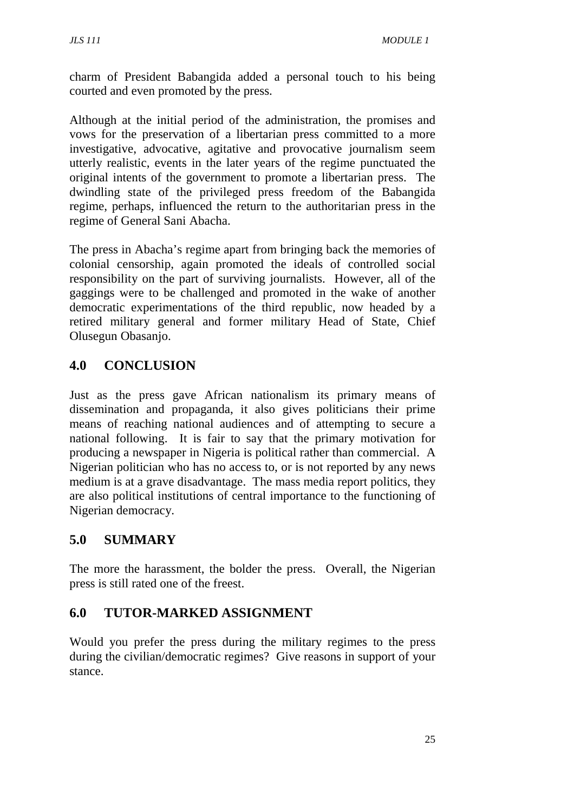charm of President Babangida added a personal touch to his being courted and even promoted by the press.

Although at the initial period of the administration, the promises and vows for the preservation of a libertarian press committed to a more investigative, advocative, agitative and provocative journalism seem utterly realistic, events in the later years of the regime punctuated the original intents of the government to promote a libertarian press. The dwindling state of the privileged press freedom of the Babangida regime, perhaps, influenced the return to the authoritarian press in the regime of General Sani Abacha.

The press in Abacha's regime apart from bringing back the memories of colonial censorship, again promoted the ideals of controlled social responsibility on the part of surviving journalists. However, all of the gaggings were to be challenged and promoted in the wake of another democratic experimentations of the third republic, now headed by a retired military general and former military Head of State, Chief Olusegun Obasanjo.

## **4.0 CONCLUSION**

Just as the press gave African nationalism its primary means of dissemination and propaganda, it also gives politicians their prime means of reaching national audiences and of attempting to secure a national following. It is fair to say that the primary motivation for producing a newspaper in Nigeria is political rather than commercial. A Nigerian politician who has no access to, or is not reported by any news medium is at a grave disadvantage. The mass media report politics, they are also political institutions of central importance to the functioning of Nigerian democracy.

## **5.0 SUMMARY**

The more the harassment, the bolder the press. Overall, the Nigerian press is still rated one of the freest.

## **6.0 TUTOR-MARKED ASSIGNMENT**

Would you prefer the press during the military regimes to the press during the civilian/democratic regimes? Give reasons in support of your stance.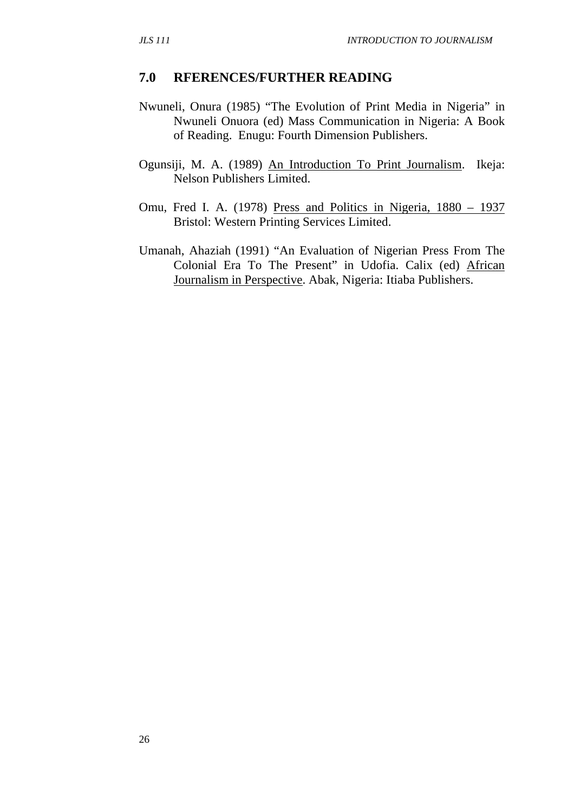#### **7.0 RFERENCES/FURTHER READING**

- Nwuneli, Onura (1985) "The Evolution of Print Media in Nigeria" in Nwuneli Onuora (ed) Mass Communication in Nigeria: A Book of Reading. Enugu: Fourth Dimension Publishers.
- Ogunsiji, M. A. (1989) An Introduction To Print Journalism. Ikeja: Nelson Publishers Limited.
- Omu, Fred I. A. (1978) Press and Politics in Nigeria, 1880 1937 Bristol: Western Printing Services Limited.
- Umanah, Ahaziah (1991) "An Evaluation of Nigerian Press From The Colonial Era To The Present" in Udofia. Calix (ed) African Journalism in Perspective. Abak, Nigeria: Itiaba Publishers.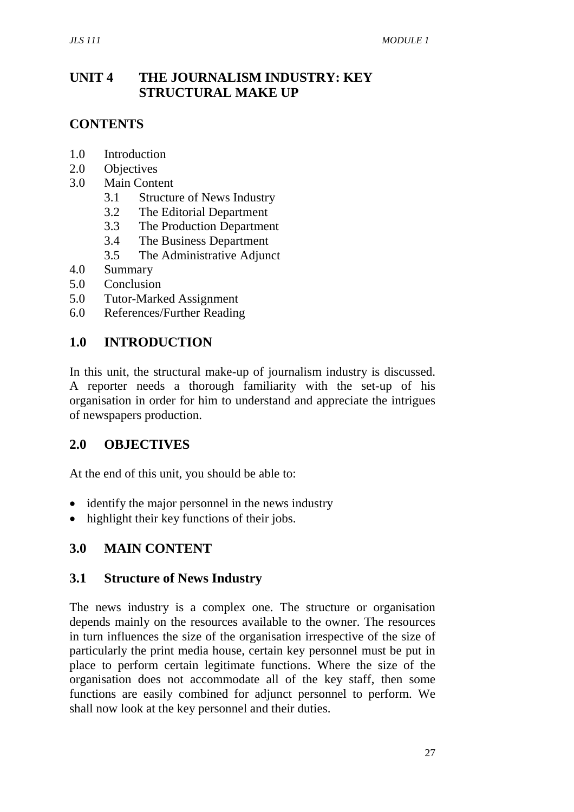## **UNIT 4 THE JOURNALISM INDUSTRY: KEY STRUCTURAL MAKE UP**

## **CONTENTS**

- 1.0 Introduction
- 2.0 Objectives
- 3.0 Main Content
	- 3.1 Structure of News Industry
	- 3.2 The Editorial Department
	- 3.3 The Production Department
	- 3.4 The Business Department
	- 3.5 The Administrative Adjunct
- 4.0 Summary
- 5.0 Conclusion
- 5.0 Tutor-Marked Assignment
- 6.0 References/Further Reading

## **1.0 INTRODUCTION**

In this unit, the structural make-up of journalism industry is discussed. A reporter needs a thorough familiarity with the set-up of his organisation in order for him to understand and appreciate the intrigues of newspapers production.

## **2.0 OBJECTIVES**

At the end of this unit, you should be able to:

- identify the major personnel in the news industry
- highlight their key functions of their jobs.

## **3.0 MAIN CONTENT**

#### **3.1 Structure of News Industry**

The news industry is a complex one. The structure or organisation depends mainly on the resources available to the owner. The resources in turn influences the size of the organisation irrespective of the size of particularly the print media house, certain key personnel must be put in place to perform certain legitimate functions. Where the size of the organisation does not accommodate all of the key staff, then some functions are easily combined for adjunct personnel to perform. We shall now look at the key personnel and their duties.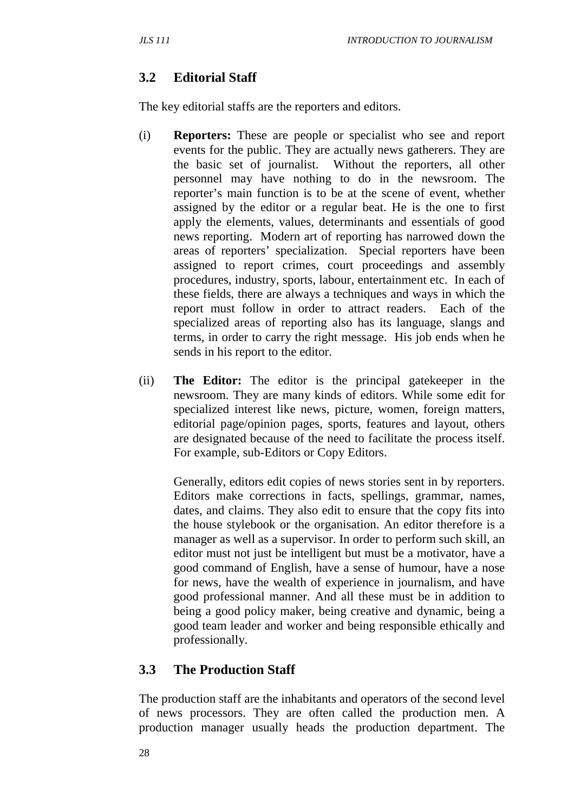# **3.2 Editorial Staff**

The key editorial staffs are the reporters and editors.

- (i) **Reporters:** These are people or specialist who see and report events for the public. They are actually news gatherers. They are the basic set of journalist. Without the reporters, all other personnel may have nothing to do in the newsroom. The reporter's main function is to be at the scene of event, whether assigned by the editor or a regular beat. He is the one to first apply the elements, values, determinants and essentials of good news reporting. Modern art of reporting has narrowed down the areas of reporters' specialization. Special reporters have been assigned to report crimes, court proceedings and assembly procedures, industry, sports, labour, entertainment etc. In each of these fields, there are always a techniques and ways in which the report must follow in order to attract readers. Each of the specialized areas of reporting also has its language, slangs and terms, in order to carry the right message. His job ends when he sends in his report to the editor.
- (ii) **The Editor:** The editor is the principal gatekeeper in the newsroom. They are many kinds of editors. While some edit for specialized interest like news, picture, women, foreign matters, editorial page/opinion pages, sports, features and layout, others are designated because of the need to facilitate the process itself. For example, sub-Editors or Copy Editors.

Generally, editors edit copies of news stories sent in by reporters. Editors make corrections in facts, spellings, grammar, names, dates, and claims. They also edit to ensure that the copy fits into the house stylebook or the organisation. An editor therefore is a manager as well as a supervisor. In order to perform such skill, an editor must not just be intelligent but must be a motivator, have a good command of English, have a sense of humour, have a nose for news, have the wealth of experience in journalism, and have good professional manner. And all these must be in addition to being a good policy maker, being creative and dynamic, being a good team leader and worker and being responsible ethically and professionally.

# **3.3 The Production Staff**

The production staff are the inhabitants and operators of the second level of news processors. They are often called the production men. A production manager usually heads the production department. The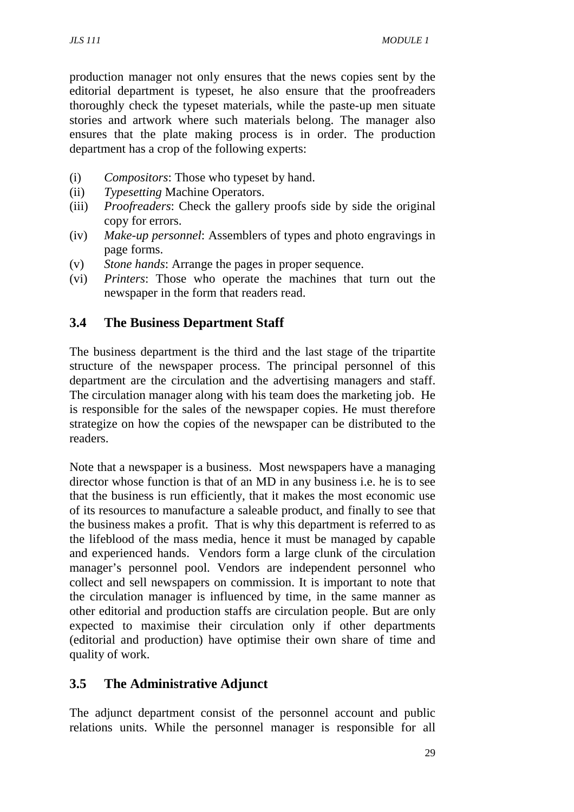production manager not only ensures that the news copies sent by the editorial department is typeset, he also ensure that the proofreaders thoroughly check the typeset materials, while the paste-up men situate stories and artwork where such materials belong. The manager also ensures that the plate making process is in order. The production department has a crop of the following experts:

- (i) *Compositors*: Those who typeset by hand.
- (ii) *Typesetting* Machine Operators.
- (iii) *Proofreaders*: Check the gallery proofs side by side the original copy for errors.
- (iv) *Make*-*up personnel*: Assemblers of types and photo engravings in page forms.
- (v) *Stone hands*: Arrange the pages in proper sequence.
- (vi) *Printers*: Those who operate the machines that turn out the newspaper in the form that readers read.

## **3.4 The Business Department Staff**

The business department is the third and the last stage of the tripartite structure of the newspaper process. The principal personnel of this department are the circulation and the advertising managers and staff. The circulation manager along with his team does the marketing job. He is responsible for the sales of the newspaper copies. He must therefore strategize on how the copies of the newspaper can be distributed to the readers.

Note that a newspaper is a business. Most newspapers have a managing director whose function is that of an MD in any business i.e. he is to see that the business is run efficiently, that it makes the most economic use of its resources to manufacture a saleable product, and finally to see that the business makes a profit. That is why this department is referred to as the lifeblood of the mass media, hence it must be managed by capable and experienced hands. Vendors form a large clunk of the circulation manager's personnel pool. Vendors are independent personnel who collect and sell newspapers on commission. It is important to note that the circulation manager is influenced by time, in the same manner as other editorial and production staffs are circulation people. But are only expected to maximise their circulation only if other departments (editorial and production) have optimise their own share of time and quality of work.

## **3.5 The Administrative Adjunct**

The adjunct department consist of the personnel account and public relations units. While the personnel manager is responsible for all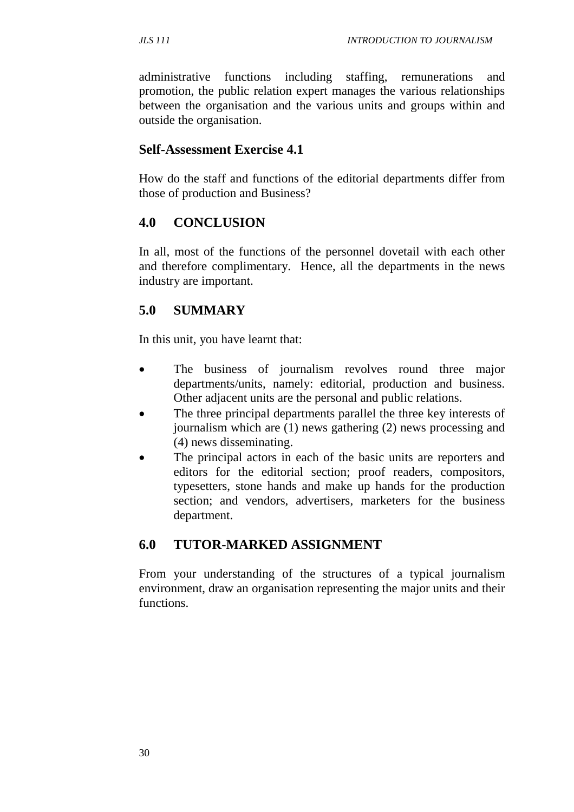administrative functions including staffing, remunerations and promotion, the public relation expert manages the various relationships between the organisation and the various units and groups within and outside the organisation.

#### **Self-Assessment Exercise 4.1**

How do the staff and functions of the editorial departments differ from those of production and Business?

#### **4.0 CONCLUSION**

In all, most of the functions of the personnel dovetail with each other and therefore complimentary. Hence, all the departments in the news industry are important.

## **5.0 SUMMARY**

In this unit, you have learnt that:

- The business of journalism revolves round three major departments/units, namely: editorial, production and business. Other adjacent units are the personal and public relations.
- The three principal departments parallel the three key interests of journalism which are (1) news gathering (2) news processing and (4) news disseminating.
- The principal actors in each of the basic units are reporters and editors for the editorial section; proof readers, compositors, typesetters, stone hands and make up hands for the production section; and vendors, advertisers, marketers for the business department.

## **6.0 TUTOR-MARKED ASSIGNMENT**

From your understanding of the structures of a typical journalism environment, draw an organisation representing the major units and their functions.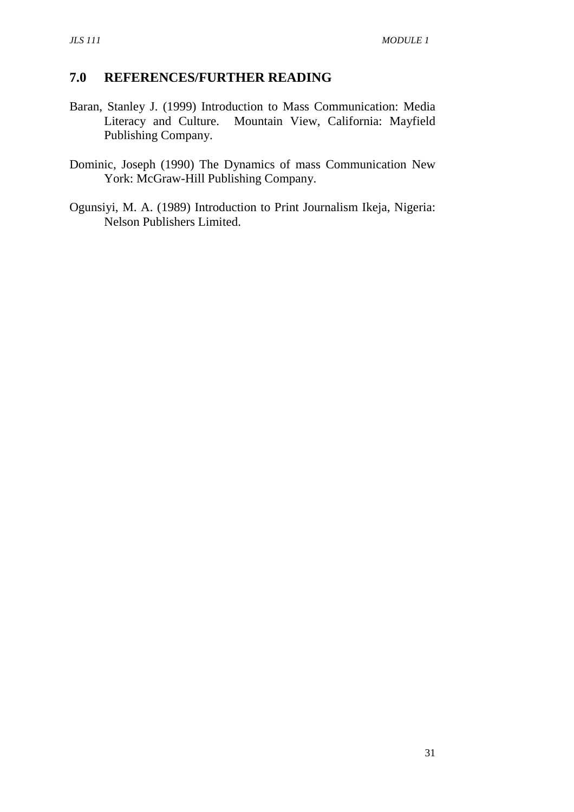## **7.0 REFERENCES/FURTHER READING**

- Baran, Stanley J. (1999) Introduction to Mass Communication: Media Literacy and Culture. Mountain View, California: Mayfield Publishing Company.
- Dominic, Joseph (1990) The Dynamics of mass Communication New York: McGraw-Hill Publishing Company.
- Ogunsiyi, M. A. (1989) Introduction to Print Journalism Ikeja, Nigeria: Nelson Publishers Limited.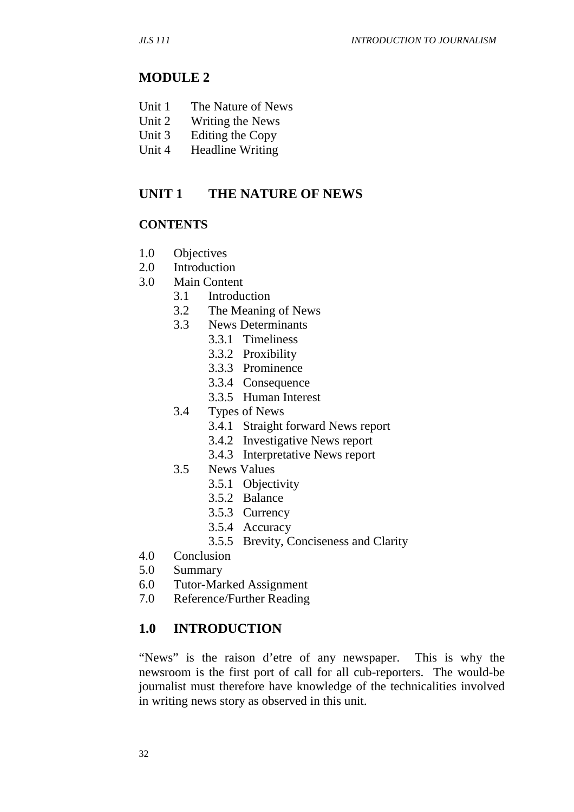#### **MODULE 2**

- Unit 1 The Nature of News
- Unit 2 Writing the News
- Unit 3 Editing the Copy
- Unit 4 Headline Writing

#### **UNIT 1 THE NATURE OF NEWS**

#### **CONTENTS**

- 1.0 Objectives
- 2.0 Introduction
- 3.0 Main Content
	- 3.1 Introduction
	- 3.2 The Meaning of News
	- 3.3 News Determinants
		- 3.3.1 Timeliness
		- 3.3.2 Proxibility
		- 3.3.3 Prominence
		- 3.3.4 Consequence
		- 3.3.5 Human Interest
	- 3.4 Types of News
		- 3.4.1 Straight forward News report
		- 3.4.2 Investigative News report
		- 3.4.3 Interpretative News report
	- 3.5 News Values
		- 3.5.1 Objectivity
		- 3.5.2 Balance
		- 3.5.3 Currency
		- 3.5.4 Accuracy
		- 3.5.5 Brevity, Conciseness and Clarity
- 4.0 Conclusion
- 5.0 Summary
- 6.0 Tutor-Marked Assignment
- 7.0 Reference/Further Reading

#### **1.0 INTRODUCTION**

"News" is the raison d'etre of any newspaper. This is why the newsroom is the first port of call for all cub-reporters. The would-be journalist must therefore have knowledge of the technicalities involved in writing news story as observed in this unit.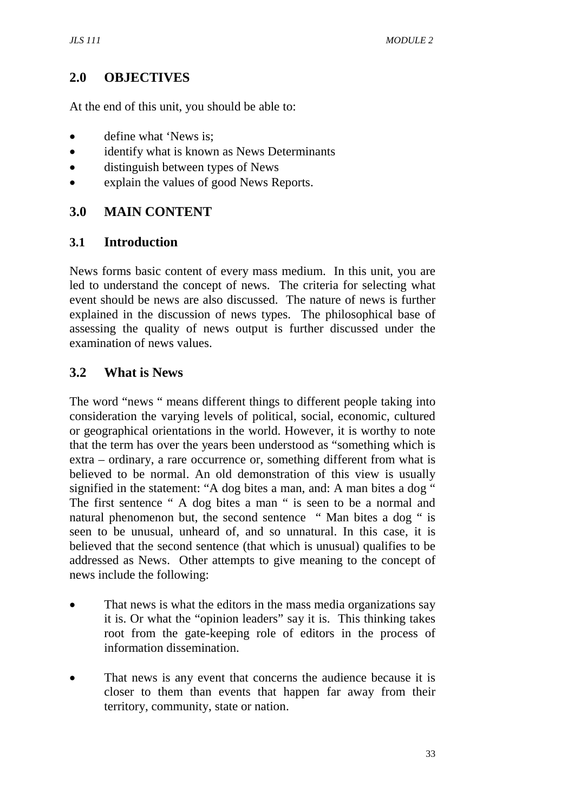## **2.0 OBJECTIVES**

At the end of this unit, you should be able to:

- define what 'News is:
- identify what is known as News Determinants
- distinguish between types of News
- explain the values of good News Reports.

## **3.0 MAIN CONTENT**

#### **3.1 Introduction**

News forms basic content of every mass medium. In this unit, you are led to understand the concept of news. The criteria for selecting what event should be news are also discussed. The nature of news is further explained in the discussion of news types. The philosophical base of assessing the quality of news output is further discussed under the examination of news values.

## **3.2 What is News**

The word "news " means different things to different people taking into consideration the varying levels of political, social, economic, cultured or geographical orientations in the world. However, it is worthy to note that the term has over the years been understood as "something which is extra – ordinary, a rare occurrence or, something different from what is believed to be normal. An old demonstration of this view is usually signified in the statement: "A dog bites a man, and: A man bites a dog " The first sentence " A dog bites a man " is seen to be a normal and natural phenomenon but, the second sentence " Man bites a dog " is seen to be unusual, unheard of, and so unnatural. In this case, it is believed that the second sentence (that which is unusual) qualifies to be addressed as News. Other attempts to give meaning to the concept of news include the following:

- That news is what the editors in the mass media organizations say it is. Or what the "opinion leaders" say it is. This thinking takes root from the gate-keeping role of editors in the process of information dissemination.
- That news is any event that concerns the audience because it is closer to them than events that happen far away from their territory, community, state or nation.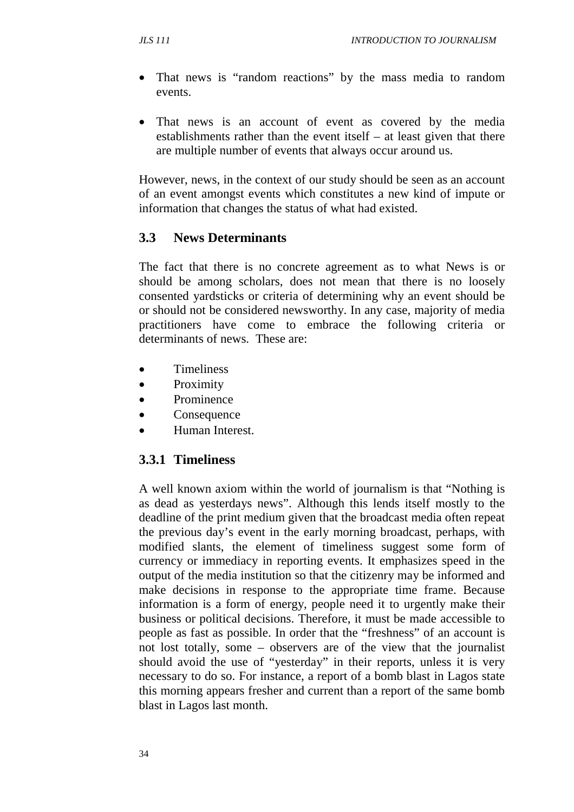- That news is "random reactions" by the mass media to random events.
- That news is an account of event as covered by the media establishments rather than the event itself – at least given that there are multiple number of events that always occur around us.

However, news, in the context of our study should be seen as an account of an event amongst events which constitutes a new kind of impute or information that changes the status of what had existed.

## **3.3 News Determinants**

The fact that there is no concrete agreement as to what News is or should be among scholars, does not mean that there is no loosely consented yardsticks or criteria of determining why an event should be or should not be considered newsworthy. In any case, majority of media practitioners have come to embrace the following criteria or determinants of news. These are:

- **Timeliness**
- Proximity
- Prominence
- **Consequence**
- Human Interest.

## **3.3.1 Timeliness**

A well known axiom within the world of journalism is that "Nothing is as dead as yesterdays news". Although this lends itself mostly to the deadline of the print medium given that the broadcast media often repeat the previous day's event in the early morning broadcast, perhaps, with modified slants, the element of timeliness suggest some form of currency or immediacy in reporting events. It emphasizes speed in the output of the media institution so that the citizenry may be informed and make decisions in response to the appropriate time frame. Because information is a form of energy, people need it to urgently make their business or political decisions. Therefore, it must be made accessible to people as fast as possible. In order that the "freshness" of an account is not lost totally, some – observers are of the view that the journalist should avoid the use of "yesterday" in their reports, unless it is very necessary to do so. For instance, a report of a bomb blast in Lagos state this morning appears fresher and current than a report of the same bomb blast in Lagos last month.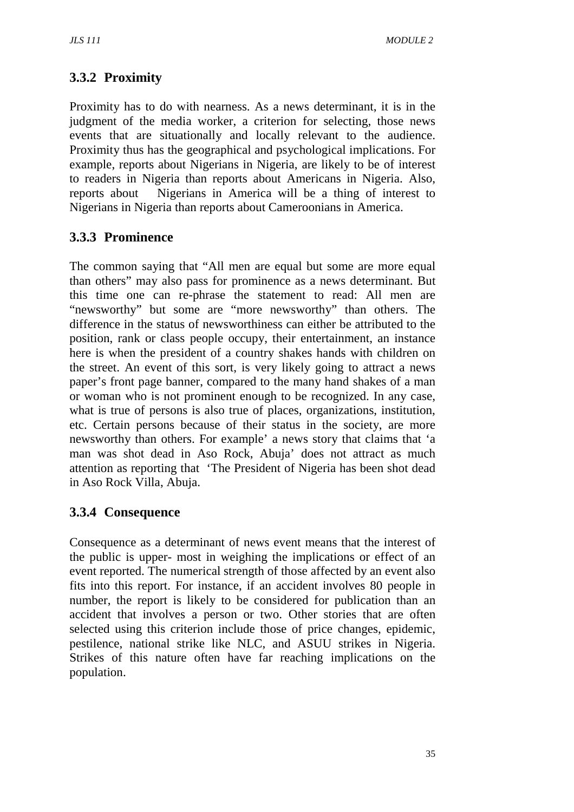# **3.3.2 Proximity**

Proximity has to do with nearness. As a news determinant, it is in the judgment of the media worker, a criterion for selecting, those news events that are situationally and locally relevant to the audience. Proximity thus has the geographical and psychological implications. For example, reports about Nigerians in Nigeria, are likely to be of interest to readers in Nigeria than reports about Americans in Nigeria. Also, reports about Nigerians in America will be a thing of interest to Nigerians in Nigeria than reports about Cameroonians in America.

## **3.3.3 Prominence**

The common saying that "All men are equal but some are more equal than others" may also pass for prominence as a news determinant. But this time one can re-phrase the statement to read: All men are "newsworthy" but some are "more newsworthy" than others. The difference in the status of newsworthiness can either be attributed to the position, rank or class people occupy, their entertainment, an instance here is when the president of a country shakes hands with children on the street. An event of this sort, is very likely going to attract a news paper's front page banner, compared to the many hand shakes of a man or woman who is not prominent enough to be recognized. In any case, what is true of persons is also true of places, organizations, institution, etc. Certain persons because of their status in the society, are more newsworthy than others. For example' a news story that claims that 'a man was shot dead in Aso Rock, Abuja' does not attract as much attention as reporting that 'The President of Nigeria has been shot dead in Aso Rock Villa, Abuja.

## **3.3.4 Consequence**

Consequence as a determinant of news event means that the interest of the public is upper- most in weighing the implications or effect of an event reported. The numerical strength of those affected by an event also fits into this report. For instance, if an accident involves 80 people in number, the report is likely to be considered for publication than an accident that involves a person or two. Other stories that are often selected using this criterion include those of price changes, epidemic, pestilence, national strike like NLC, and ASUU strikes in Nigeria. Strikes of this nature often have far reaching implications on the population.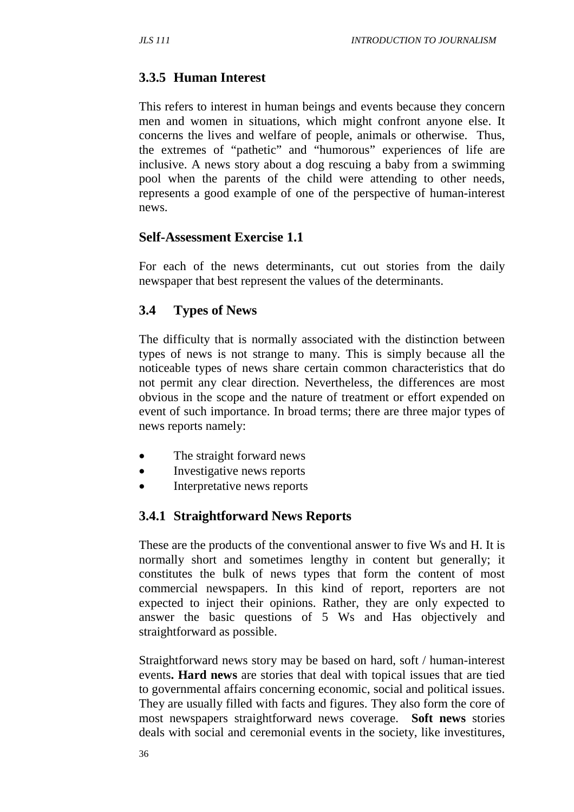# **3.3.5 Human Interest**

This refers to interest in human beings and events because they concern men and women in situations, which might confront anyone else. It concerns the lives and welfare of people, animals or otherwise. Thus, the extremes of "pathetic" and "humorous" experiences of life are inclusive. A news story about a dog rescuing a baby from a swimming pool when the parents of the child were attending to other needs, represents a good example of one of the perspective of human-interest news.

## **Self-Assessment Exercise 1.1**

For each of the news determinants, cut out stories from the daily newspaper that best represent the values of the determinants.

## **3.4 Types of News**

The difficulty that is normally associated with the distinction between types of news is not strange to many. This is simply because all the noticeable types of news share certain common characteristics that do not permit any clear direction. Nevertheless, the differences are most obvious in the scope and the nature of treatment or effort expended on event of such importance. In broad terms; there are three major types of news reports namely:

- The straight forward news
- Investigative news reports
- Interpretative news reports

## **3.4.1 Straightforward News Reports**

These are the products of the conventional answer to five Ws and H. It is normally short and sometimes lengthy in content but generally; it constitutes the bulk of news types that form the content of most commercial newspapers. In this kind of report, reporters are not expected to inject their opinions. Rather, they are only expected to answer the basic questions of 5 Ws and Has objectively and straightforward as possible.

Straightforward news story may be based on hard, soft / human-interest events**. Hard news** are stories that deal with topical issues that are tied to governmental affairs concerning economic, social and political issues. They are usually filled with facts and figures. They also form the core of most newspapers straightforward news coverage. **Soft news** stories deals with social and ceremonial events in the society, like investitures,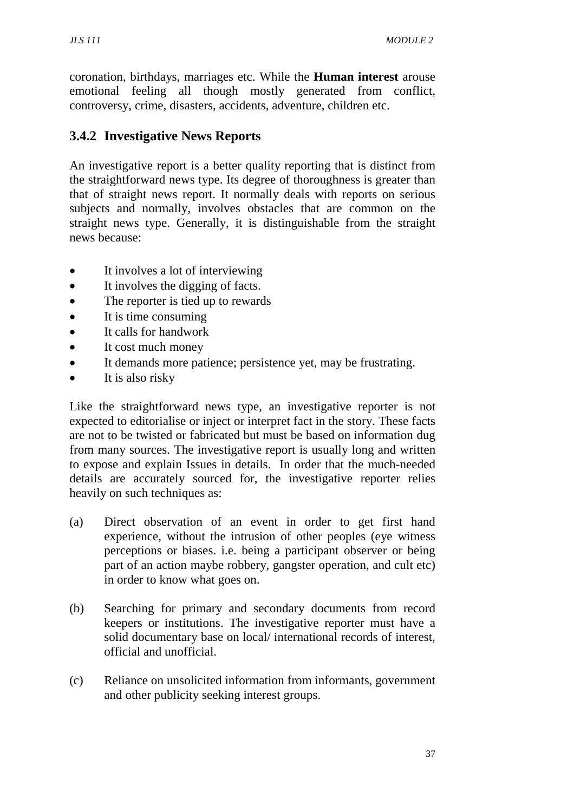coronation, birthdays, marriages etc. While the **Human interest** arouse emotional feeling all though mostly generated from conflict, controversy, crime, disasters, accidents, adventure, children etc.

## **3.4.2 Investigative News Reports**

An investigative report is a better quality reporting that is distinct from the straightforward news type. Its degree of thoroughness is greater than that of straight news report. It normally deals with reports on serious subjects and normally, involves obstacles that are common on the straight news type. Generally, it is distinguishable from the straight news because:

- It involves a lot of interviewing
- It involves the digging of facts.
- The reporter is tied up to rewards
- It is time consuming
- It calls for handwork
- It cost much money
- It demands more patience; persistence yet, may be frustrating.
- It is also risky

Like the straightforward news type, an investigative reporter is not expected to editorialise or inject or interpret fact in the story. These facts are not to be twisted or fabricated but must be based on information dug from many sources. The investigative report is usually long and written to expose and explain Issues in details. In order that the much-needed details are accurately sourced for, the investigative reporter relies heavily on such techniques as:

- (a) Direct observation of an event in order to get first hand experience, without the intrusion of other peoples (eye witness perceptions or biases. i.e. being a participant observer or being part of an action maybe robbery, gangster operation, and cult etc) in order to know what goes on.
- (b) Searching for primary and secondary documents from record keepers or institutions. The investigative reporter must have a solid documentary base on local/ international records of interest, official and unofficial.
- (c) Reliance on unsolicited information from informants, government and other publicity seeking interest groups.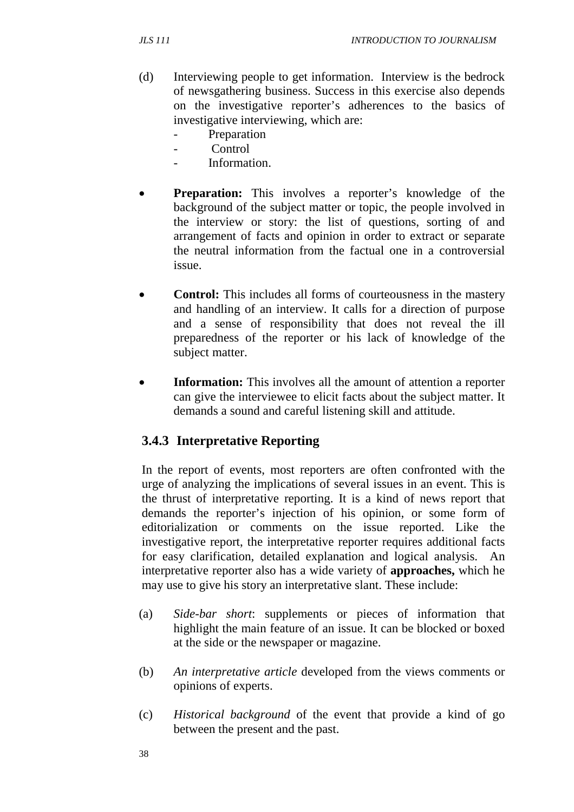- (d) Interviewing people to get information. Interview is the bedrock of newsgathering business. Success in this exercise also depends on the investigative reporter's adherences to the basics of investigative interviewing, which are:
	- Preparation
	- Control
	- Information
- **Preparation:** This involves a reporter's knowledge of the background of the subject matter or topic, the people involved in the interview or story: the list of questions, sorting of and arrangement of facts and opinion in order to extract or separate the neutral information from the factual one in a controversial issue.
- **Control:** This includes all forms of courteousness in the mastery and handling of an interview. It calls for a direction of purpose and a sense of responsibility that does not reveal the ill preparedness of the reporter or his lack of knowledge of the subject matter.
- **Information:** This involves all the amount of attention a reporter can give the interviewee to elicit facts about the subject matter. It demands a sound and careful listening skill and attitude.

## **3.4.3 Interpretative Reporting**

In the report of events, most reporters are often confronted with the urge of analyzing the implications of several issues in an event. This is the thrust of interpretative reporting. It is a kind of news report that demands the reporter's injection of his opinion, or some form of editorialization or comments on the issue reported. Like the investigative report, the interpretative reporter requires additional facts for easy clarification, detailed explanation and logical analysis. An interpretative reporter also has a wide variety of **approaches,** which he may use to give his story an interpretative slant. These include:

- (a) *Side-bar short*: supplements or pieces of information that highlight the main feature of an issue. It can be blocked or boxed at the side or the newspaper or magazine.
- (b) *An interpretative article* developed from the views comments or opinions of experts.
- (c) *Historical background* of the event that provide a kind of go between the present and the past.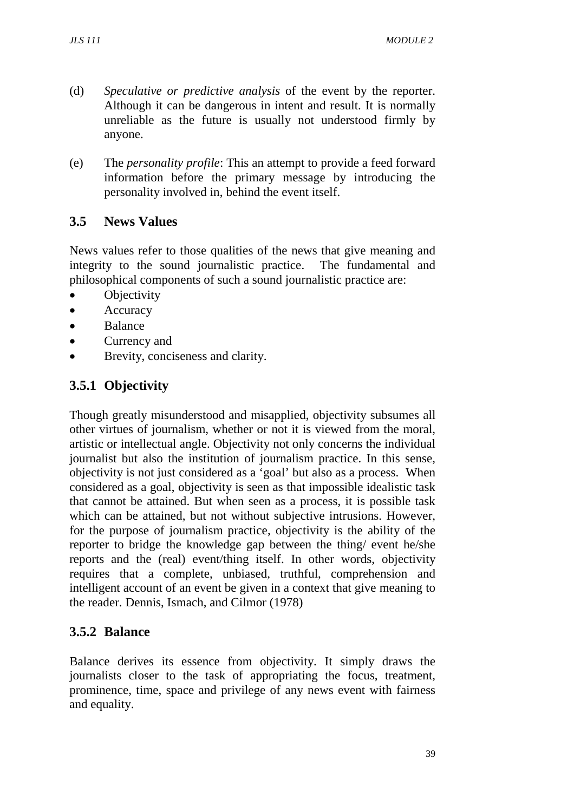- (d) *Speculative or predictive analysis* of the event by the reporter. Although it can be dangerous in intent and result. It is normally unreliable as the future is usually not understood firmly by anyone.
- (e) The *personality profile*: This an attempt to provide a feed forward information before the primary message by introducing the personality involved in, behind the event itself.

## **3.5 News Values**

News values refer to those qualities of the news that give meaning and integrity to the sound journalistic practice. The fundamental and philosophical components of such a sound journalistic practice are:

- **Objectivity**
- Accuracy
- Balance
- Currency and
- Brevity, conciseness and clarity.

## **3.5.1 Objectivity**

Though greatly misunderstood and misapplied, objectivity subsumes all other virtues of journalism, whether or not it is viewed from the moral, artistic or intellectual angle. Objectivity not only concerns the individual journalist but also the institution of journalism practice. In this sense, objectivity is not just considered as a 'goal' but also as a process. When considered as a goal, objectivity is seen as that impossible idealistic task that cannot be attained. But when seen as a process, it is possible task which can be attained, but not without subjective intrusions. However, for the purpose of journalism practice, objectivity is the ability of the reporter to bridge the knowledge gap between the thing/ event he/she reports and the (real) event/thing itself. In other words, objectivity requires that a complete, unbiased, truthful, comprehension and intelligent account of an event be given in a context that give meaning to the reader. Dennis, Ismach, and Cilmor (1978)

## **3.5.2 Balance**

Balance derives its essence from objectivity. It simply draws the journalists closer to the task of appropriating the focus, treatment, prominence, time, space and privilege of any news event with fairness and equality.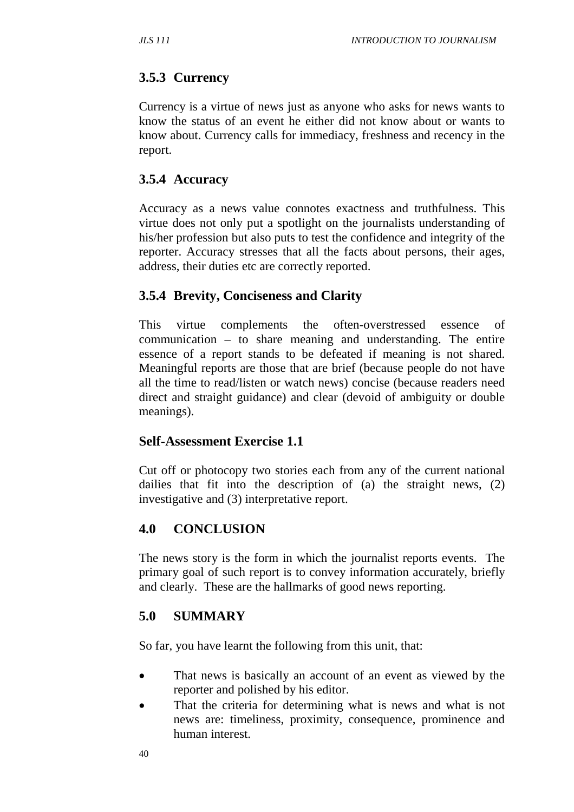# **3.5.3 Currency**

Currency is a virtue of news just as anyone who asks for news wants to know the status of an event he either did not know about or wants to know about. Currency calls for immediacy, freshness and recency in the report.

# **3.5.4 Accuracy**

Accuracy as a news value connotes exactness and truthfulness. This virtue does not only put a spotlight on the journalists understanding of his/her profession but also puts to test the confidence and integrity of the reporter. Accuracy stresses that all the facts about persons, their ages, address, their duties etc are correctly reported.

## **3.5.4 Brevity, Conciseness and Clarity**

This virtue complements the often-overstressed essence of communication – to share meaning and understanding. The entire essence of a report stands to be defeated if meaning is not shared. Meaningful reports are those that are brief (because people do not have all the time to read/listen or watch news) concise (because readers need direct and straight guidance) and clear (devoid of ambiguity or double meanings).

## **Self-Assessment Exercise 1.1**

Cut off or photocopy two stories each from any of the current national dailies that fit into the description of (a) the straight news, (2) investigative and (3) interpretative report.

## **4.0 CONCLUSION**

The news story is the form in which the journalist reports events. The primary goal of such report is to convey information accurately, briefly and clearly. These are the hallmarks of good news reporting.

# **5.0 SUMMARY**

So far, you have learnt the following from this unit, that:

- That news is basically an account of an event as viewed by the reporter and polished by his editor.
- That the criteria for determining what is news and what is not news are: timeliness, proximity, consequence, prominence and human interest.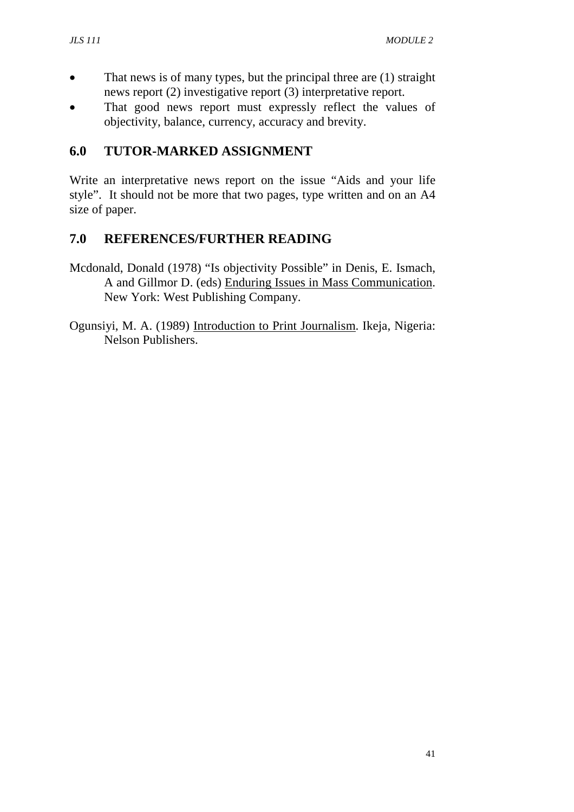- That news is of many types, but the principal three are (1) straight news report (2) investigative report (3) interpretative report.
- That good news report must expressly reflect the values of objectivity, balance, currency, accuracy and brevity.

# **6.0 TUTOR-MARKED ASSIGNMENT**

Write an interpretative news report on the issue "Aids and your life style". It should not be more that two pages, type written and on an A4 size of paper.

## **7.0 REFERENCES/FURTHER READING**

Mcdonald, Donald (1978) "Is objectivity Possible" in Denis, E. Ismach, A and Gillmor D. (eds) Enduring Issues in Mass Communication. New York: West Publishing Company.

Ogunsiyi, M. A. (1989) Introduction to Print Journalism. Ikeja, Nigeria: Nelson Publishers.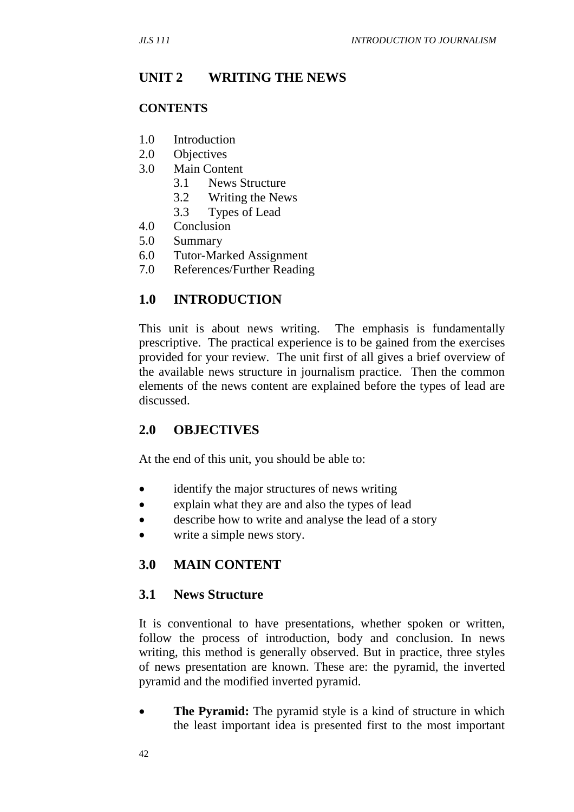#### **UNIT 2 WRITING THE NEWS**

#### **CONTENTS**

- 1.0 Introduction
- 2.0 Objectives
- 3.0 Main Content
	- 3.1 News Structure
	- 3.2 Writing the News
	- 3.3 Types of Lead
- 4.0 Conclusion
- 5.0 Summary
- 6.0 Tutor-Marked Assignment
- 7.0 References/Further Reading

#### **1.0 INTRODUCTION**

This unit is about news writing. The emphasis is fundamentally prescriptive. The practical experience is to be gained from the exercises provided for your review. The unit first of all gives a brief overview of the available news structure in journalism practice. Then the common elements of the news content are explained before the types of lead are discussed.

#### **2.0 OBJECTIVES**

At the end of this unit, you should be able to:

- identify the major structures of news writing
- explain what they are and also the types of lead
- describe how to write and analyse the lead of a story
- write a simple news story.

## **3.0 MAIN CONTENT**

#### **3.1 News Structure**

It is conventional to have presentations, whether spoken or written, follow the process of introduction, body and conclusion. In news writing, this method is generally observed. But in practice, three styles of news presentation are known. These are: the pyramid, the inverted pyramid and the modified inverted pyramid.

• **The Pyramid:** The pyramid style is a kind of structure in which the least important idea is presented first to the most important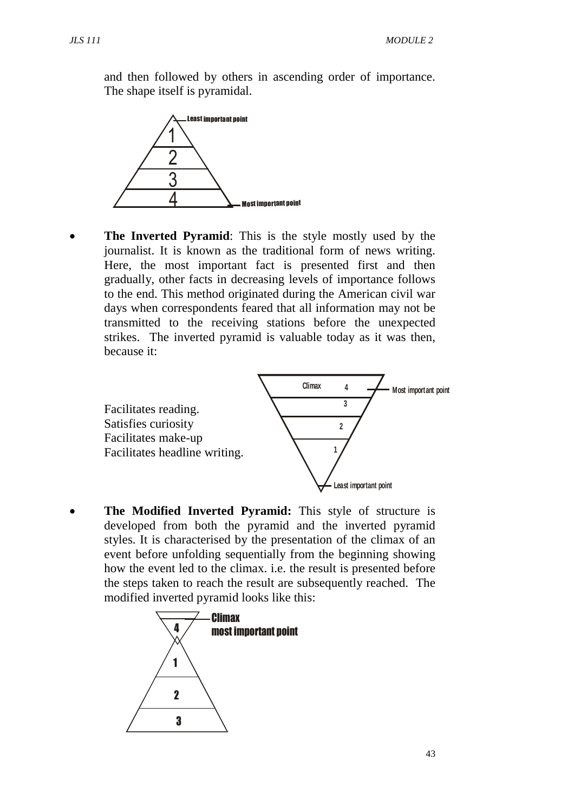and then followed by others in ascending order of importance. The shape itself is pyramidal.



• **The Inverted Pyramid:** This is the style mostly used by the journalist. It is known as the traditional form of news writing. Here, the most important fact is presented first and then gradually, other facts in decreasing levels of importance follows to the end. This method originated during the American civil war days when correspondents feared that all information may not be transmitted to the receiving stations before the unexpected strikes. The inverted pyramid is valuable today as it was then, because it:



• **The Modified Inverted Pyramid:** This style of structure is developed from both the pyramid and the inverted pyramid styles. It is characterised by the presentation of the climax of an event before unfolding sequentially from the beginning showing how the event led to the climax. i.e. the result is presented before the steps taken to reach the result are subsequently reached. The modified inverted pyramid looks like this:

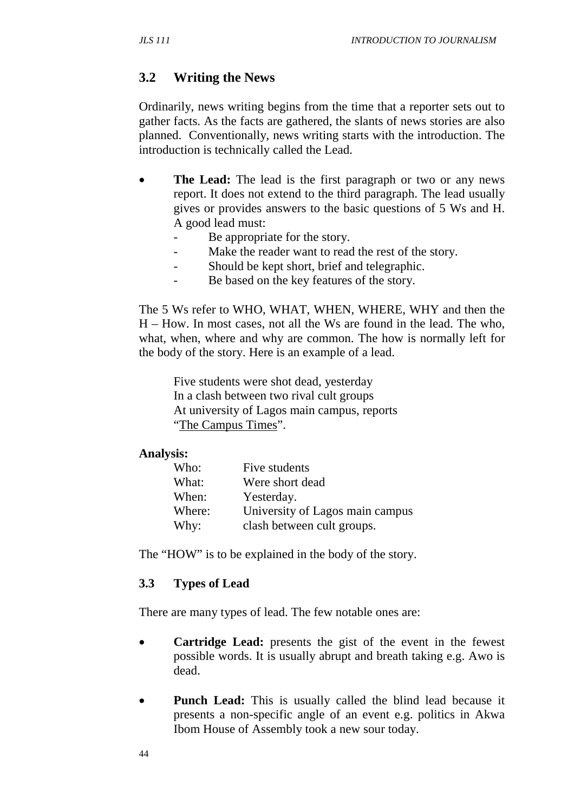## **3.2 Writing the News**

Ordinarily, news writing begins from the time that a reporter sets out to gather facts. As the facts are gathered, the slants of news stories are also planned. Conventionally, news writing starts with the introduction. The introduction is technically called the Lead.

- **The Lead:** The lead is the first paragraph or two or any news report. It does not extend to the third paragraph. The lead usually gives or provides answers to the basic questions of 5 Ws and H. A good lead must:
	- Be appropriate for the story.
	- Make the reader want to read the rest of the story.
	- Should be kept short, brief and telegraphic.
	- Be based on the key features of the story.

The 5 Ws refer to WHO, WHAT, WHEN, WHERE, WHY and then the H – How. In most cases, not all the Ws are found in the lead. The who, what, when, where and why are common. The how is normally left for the body of the story. Here is an example of a lead.

Five students were shot dead, yesterday In a clash between two rival cult groups At university of Lagos main campus, reports "The Campus Times".

#### **Analysis:**

| Who:   | Five students                   |
|--------|---------------------------------|
| What:  | Were short dead                 |
| When:  | Yesterday.                      |
| Where: | University of Lagos main campus |
| Why:   | clash between cult groups.      |

The "HOW" is to be explained in the body of the story.

#### **3.3 Types of Lead**

There are many types of lead. The few notable ones are:

- **Cartridge Lead:** presents the gist of the event in the fewest possible words. It is usually abrupt and breath taking e.g. Awo is dead.
- **Punch Lead:** This is usually called the blind lead because it presents a non-specific angle of an event e.g. politics in Akwa Ibom House of Assembly took a new sour today.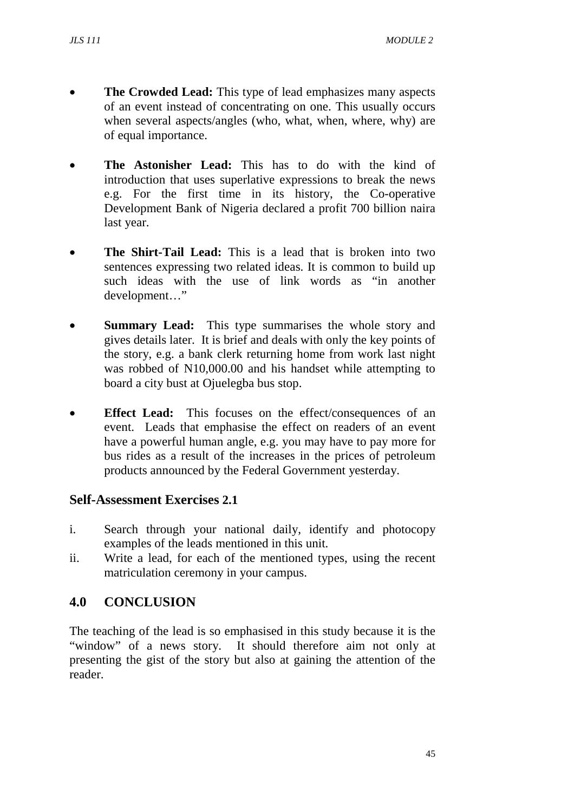- **The Crowded Lead:** This type of lead emphasizes many aspects of an event instead of concentrating on one. This usually occurs when several aspects/angles (who, what, when, where, why) are of equal importance.
- **The Astonisher Lead:** This has to do with the kind of introduction that uses superlative expressions to break the news e.g. For the first time in its history, the Co-operative Development Bank of Nigeria declared a profit 700 billion naira last year.
- **The Shirt-Tail Lead:** This is a lead that is broken into two sentences expressing two related ideas. It is common to build up such ideas with the use of link words as "in another development…"
- **Summary Lead:** This type summarises the whole story and gives details later. It is brief and deals with only the key points of the story, e.g. a bank clerk returning home from work last night was robbed of N10,000.00 and his handset while attempting to board a city bust at Ojuelegba bus stop.
- **Effect Lead:** This focuses on the effect/consequences of an event. Leads that emphasise the effect on readers of an event have a powerful human angle, e.g. you may have to pay more for bus rides as a result of the increases in the prices of petroleum products announced by the Federal Government yesterday.

#### **Self-Assessment Exercises 2.1**

- i. Search through your national daily, identify and photocopy examples of the leads mentioned in this unit.
- ii. Write a lead, for each of the mentioned types, using the recent matriculation ceremony in your campus.

## **4.0 CONCLUSION**

The teaching of the lead is so emphasised in this study because it is the "window" of a news story. It should therefore aim not only at presenting the gist of the story but also at gaining the attention of the reader.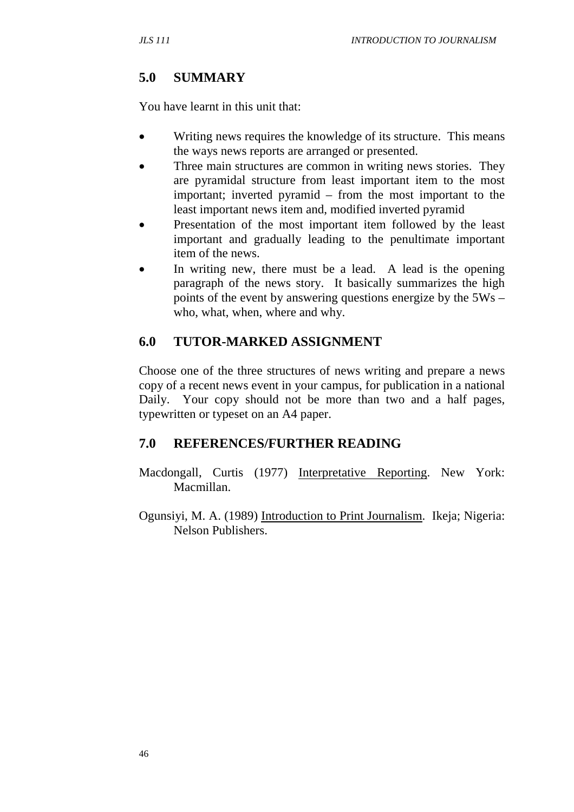# **5.0 SUMMARY**

You have learnt in this unit that:

- Writing news requires the knowledge of its structure. This means the ways news reports are arranged or presented.
- Three main structures are common in writing news stories. They are pyramidal structure from least important item to the most important; inverted pyramid – from the most important to the least important news item and, modified inverted pyramid
- Presentation of the most important item followed by the least important and gradually leading to the penultimate important item of the news.
- In writing new, there must be a lead. A lead is the opening paragraph of the news story. It basically summarizes the high points of the event by answering questions energize by the 5Ws – who, what, when, where and why.

# **6.0 TUTOR-MARKED ASSIGNMENT**

Choose one of the three structures of news writing and prepare a news copy of a recent news event in your campus, for publication in a national Daily. Your copy should not be more than two and a half pages, typewritten or typeset on an A4 paper.

## **7.0 REFERENCES/FURTHER READING**

- Macdongall, Curtis (1977) Interpretative Reporting. New York: Macmillan.
- Ogunsiyi, M. A. (1989) Introduction to Print Journalism. Ikeja; Nigeria: Nelson Publishers.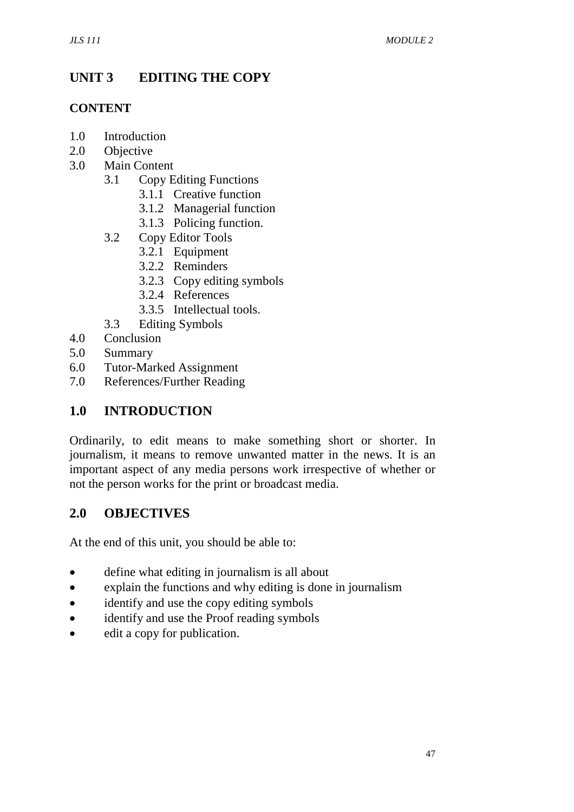# **UNIT 3 EDITING THE COPY**

#### **CONTENT**

- 1.0 Introduction
- 2.0 Objective
- 3.0 Main Content
	- 3.1 Copy Editing Functions
		- 3.1.1 Creative function
		- 3.1.2 Managerial function
		- 3.1.3 Policing function.
	- 3.2 Copy Editor Tools
		- 3.2.1 Equipment
		- 3.2.2 Reminders
		- 3.2.3 Copy editing symbols
		- 3.2.4 References
		- 3.3.5 Intellectual tools.
	- 3.3 Editing Symbols
- 4.0 Conclusion
- 5.0 Summary
- 6.0 Tutor-Marked Assignment
- 7.0 References/Further Reading

## **1.0 INTRODUCTION**

Ordinarily, to edit means to make something short or shorter. In journalism, it means to remove unwanted matter in the news. It is an important aspect of any media persons work irrespective of whether or not the person works for the print or broadcast media.

## **2.0 OBJECTIVES**

At the end of this unit, you should be able to:

- define what editing in journalism is all about
- explain the functions and why editing is done in journalism
- identify and use the copy editing symbols
- identify and use the Proof reading symbols
- edit a copy for publication.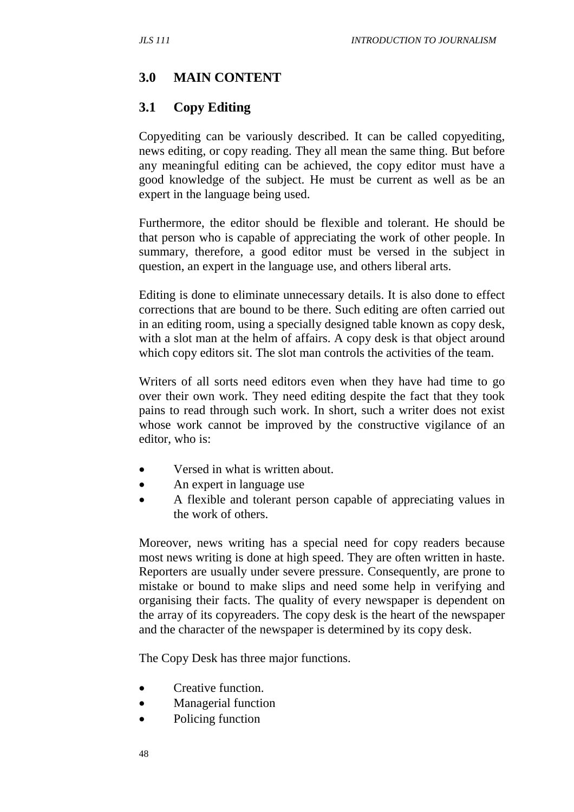## **3.0 MAIN CONTENT**

#### **3.1 Copy Editing**

Copyediting can be variously described. It can be called copyediting, news editing, or copy reading. They all mean the same thing. But before any meaningful editing can be achieved, the copy editor must have a good knowledge of the subject. He must be current as well as be an expert in the language being used.

Furthermore, the editor should be flexible and tolerant. He should be that person who is capable of appreciating the work of other people. In summary, therefore, a good editor must be versed in the subject in question, an expert in the language use, and others liberal arts.

Editing is done to eliminate unnecessary details. It is also done to effect corrections that are bound to be there. Such editing are often carried out in an editing room, using a specially designed table known as copy desk, with a slot man at the helm of affairs. A copy desk is that object around which copy editors sit. The slot man controls the activities of the team.

Writers of all sorts need editors even when they have had time to go over their own work. They need editing despite the fact that they took pains to read through such work. In short, such a writer does not exist whose work cannot be improved by the constructive vigilance of an editor, who is:

- Versed in what is written about.
- An expert in language use
- A flexible and tolerant person capable of appreciating values in the work of others.

Moreover, news writing has a special need for copy readers because most news writing is done at high speed. They are often written in haste. Reporters are usually under severe pressure. Consequently, are prone to mistake or bound to make slips and need some help in verifying and organising their facts. The quality of every newspaper is dependent on the array of its copyreaders. The copy desk is the heart of the newspaper and the character of the newspaper is determined by its copy desk.

The Copy Desk has three major functions.

- Creative function.
- Managerial function
- Policing function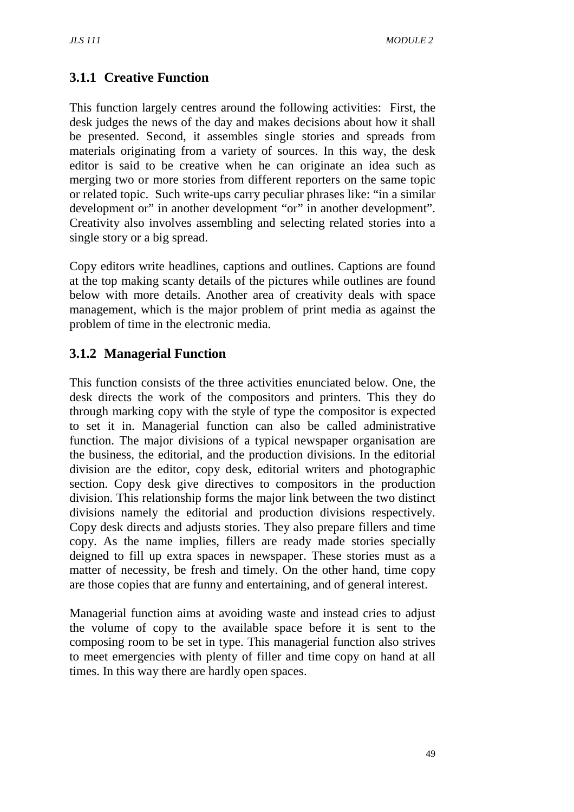## **3.1.1 Creative Function**

This function largely centres around the following activities: First, the desk judges the news of the day and makes decisions about how it shall be presented. Second, it assembles single stories and spreads from materials originating from a variety of sources. In this way, the desk editor is said to be creative when he can originate an idea such as merging two or more stories from different reporters on the same topic or related topic. Such write-ups carry peculiar phrases like: "in a similar development or" in another development "or" in another development". Creativity also involves assembling and selecting related stories into a single story or a big spread.

Copy editors write headlines, captions and outlines. Captions are found at the top making scanty details of the pictures while outlines are found below with more details. Another area of creativity deals with space management, which is the major problem of print media as against the problem of time in the electronic media.

## **3.1.2 Managerial Function**

This function consists of the three activities enunciated below. One, the desk directs the work of the compositors and printers. This they do through marking copy with the style of type the compositor is expected to set it in. Managerial function can also be called administrative function. The major divisions of a typical newspaper organisation are the business, the editorial, and the production divisions. In the editorial division are the editor, copy desk, editorial writers and photographic section. Copy desk give directives to compositors in the production division. This relationship forms the major link between the two distinct divisions namely the editorial and production divisions respectively. Copy desk directs and adjusts stories. They also prepare fillers and time copy. As the name implies, fillers are ready made stories specially deigned to fill up extra spaces in newspaper. These stories must as a matter of necessity, be fresh and timely. On the other hand, time copy are those copies that are funny and entertaining, and of general interest.

Managerial function aims at avoiding waste and instead cries to adjust the volume of copy to the available space before it is sent to the composing room to be set in type. This managerial function also strives to meet emergencies with plenty of filler and time copy on hand at all times. In this way there are hardly open spaces.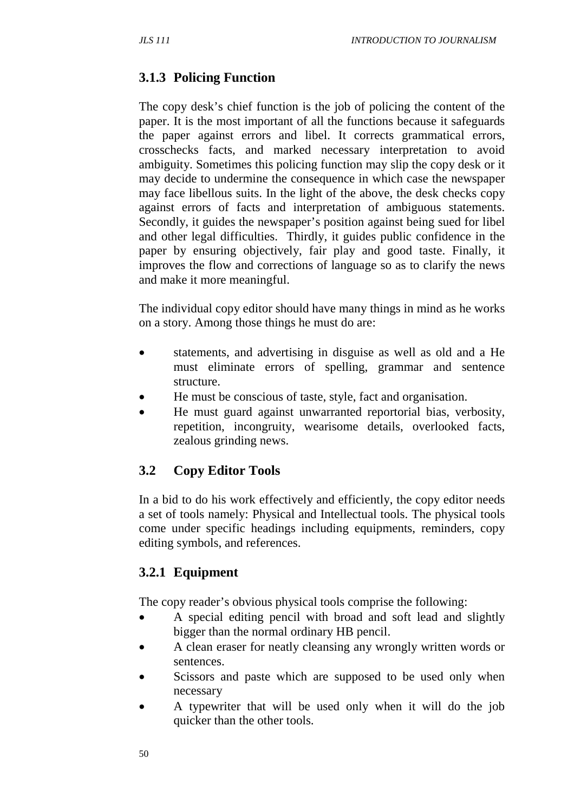# **3.1.3 Policing Function**

The copy desk's chief function is the job of policing the content of the paper. It is the most important of all the functions because it safeguards the paper against errors and libel. It corrects grammatical errors, crosschecks facts, and marked necessary interpretation to avoid ambiguity. Sometimes this policing function may slip the copy desk or it may decide to undermine the consequence in which case the newspaper may face libellous suits. In the light of the above, the desk checks copy against errors of facts and interpretation of ambiguous statements. Secondly, it guides the newspaper's position against being sued for libel and other legal difficulties. Thirdly, it guides public confidence in the paper by ensuring objectively, fair play and good taste. Finally, it improves the flow and corrections of language so as to clarify the news and make it more meaningful.

The individual copy editor should have many things in mind as he works on a story. Among those things he must do are:

- statements, and advertising in disguise as well as old and a He must eliminate errors of spelling, grammar and sentence structure.
- He must be conscious of taste, style, fact and organisation.
- He must guard against unwarranted reportorial bias, verbosity, repetition, incongruity, wearisome details, overlooked facts, zealous grinding news.

## **3.2 Copy Editor Tools**

In a bid to do his work effectively and efficiently, the copy editor needs a set of tools namely: Physical and Intellectual tools. The physical tools come under specific headings including equipments, reminders, copy editing symbols, and references.

## **3.2.1 Equipment**

The copy reader's obvious physical tools comprise the following:

- A special editing pencil with broad and soft lead and slightly bigger than the normal ordinary HB pencil.
- A clean eraser for neatly cleansing any wrongly written words or sentences.
- Scissors and paste which are supposed to be used only when necessary
- A typewriter that will be used only when it will do the job quicker than the other tools.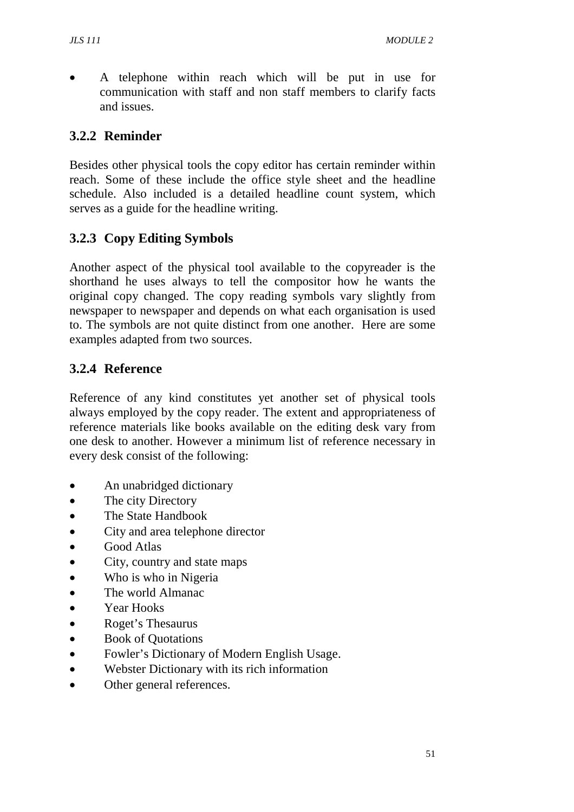• A telephone within reach which will be put in use for communication with staff and non staff members to clarify facts and issues.

## **3.2.2 Reminder**

Besides other physical tools the copy editor has certain reminder within reach. Some of these include the office style sheet and the headline schedule. Also included is a detailed headline count system, which serves as a guide for the headline writing.

## **3.2.3 Copy Editing Symbols**

Another aspect of the physical tool available to the copyreader is the shorthand he uses always to tell the compositor how he wants the original copy changed. The copy reading symbols vary slightly from newspaper to newspaper and depends on what each organisation is used to. The symbols are not quite distinct from one another. Here are some examples adapted from two sources.

## **3.2.4 Reference**

Reference of any kind constitutes yet another set of physical tools always employed by the copy reader. The extent and appropriateness of reference materials like books available on the editing desk vary from one desk to another. However a minimum list of reference necessary in every desk consist of the following:

- An unabridged dictionary
- The city Directory
- The State Handbook
- City and area telephone director
- Good Atlas
- City, country and state maps
- Who is who in Nigeria
- The world Almanac
- Year Hooks
- Roget's Thesaurus
- Book of Quotations
- Fowler's Dictionary of Modern English Usage.
- Webster Dictionary with its rich information
- Other general references.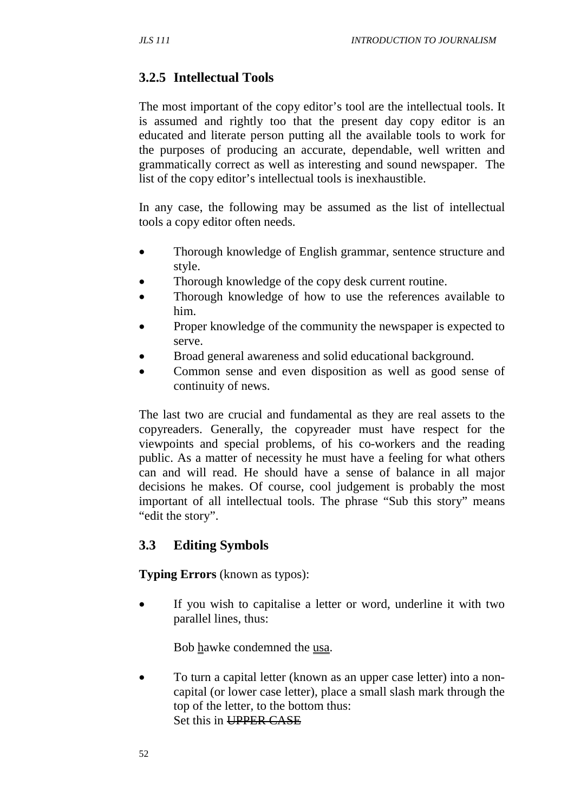## **3.2.5 Intellectual Tools**

The most important of the copy editor's tool are the intellectual tools. It is assumed and rightly too that the present day copy editor is an educated and literate person putting all the available tools to work for the purposes of producing an accurate, dependable, well written and grammatically correct as well as interesting and sound newspaper. The list of the copy editor's intellectual tools is inexhaustible.

In any case, the following may be assumed as the list of intellectual tools a copy editor often needs.

- Thorough knowledge of English grammar, sentence structure and style.
- Thorough knowledge of the copy desk current routine.
- Thorough knowledge of how to use the references available to him.
- Proper knowledge of the community the newspaper is expected to serve.
- Broad general awareness and solid educational background.
- Common sense and even disposition as well as good sense of continuity of news.

The last two are crucial and fundamental as they are real assets to the copyreaders. Generally, the copyreader must have respect for the viewpoints and special problems, of his co-workers and the reading public. As a matter of necessity he must have a feeling for what others can and will read. He should have a sense of balance in all major decisions he makes. Of course, cool judgement is probably the most important of all intellectual tools. The phrase "Sub this story" means "edit the story".

## **3.3 Editing Symbols**

#### **Typing Errors** (known as typos):

• If you wish to capitalise a letter or word, underline it with two parallel lines, thus:

Bob hawke condemned the usa.

• To turn a capital letter (known as an upper case letter) into a noncapital (or lower case letter), place a small slash mark through the top of the letter, to the bottom thus: Set this in UPPER CASE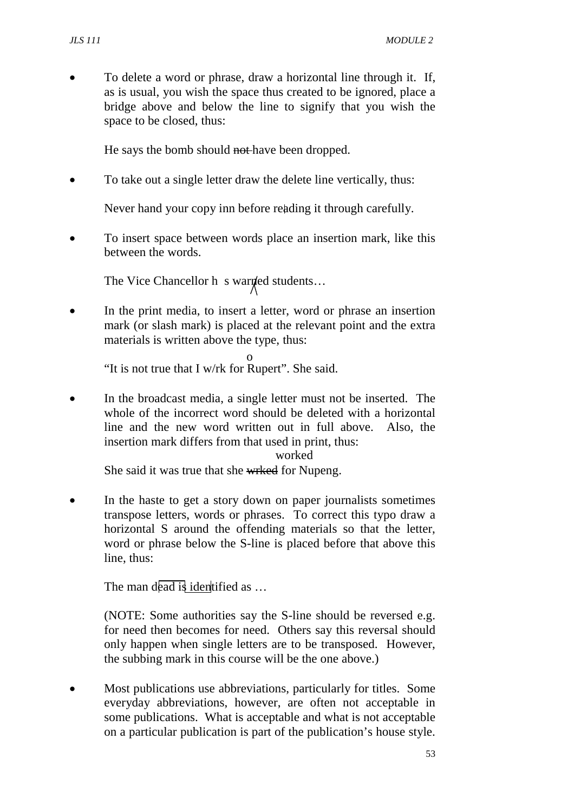• To delete a word or phrase, draw a horizontal line through it. If, as is usual, you wish the space thus created to be ignored, place a bridge above and below the line to signify that you wish the space to be closed, thus:

He says the bomb should not have been dropped.

• To take out a single letter draw the delete line vertically, thus:

Never hand your copy inn before reading it through carefully.

• To insert space between words place an insertion mark, like this between the words.

The Vice Chancellor h s warned students...

In the print media, to insert a letter, word or phrase an insertion mark (or slash mark) is placed at the relevant point and the extra materials is written above the type, thus:

"It is not true that I w/rk for Rupert". She said. o

• In the broadcast media, a single letter must not be inserted. The whole of the incorrect word should be deleted with a horizontal line and the new word written out in full above. Also, the insertion mark differs from that used in print, thus:

#### worked

She said it was true that she wrked for Nupeng.

In the haste to get a story down on paper journalists sometimes transpose letters, words or phrases. To correct this typo draw a horizontal S around the offending materials so that the letter, word or phrase below the S-line is placed before that above this line, thus:

The man dead is identified as ...

(NOTE: Some authorities say the S-line should be reversed e.g. for need then becomes for need. Others say this reversal should only happen when single letters are to be transposed. However, the subbing mark in this course will be the one above.)

• Most publications use abbreviations, particularly for titles. Some everyday abbreviations, however, are often not acceptable in some publications. What is acceptable and what is not acceptable on a particular publication is part of the publication's house style.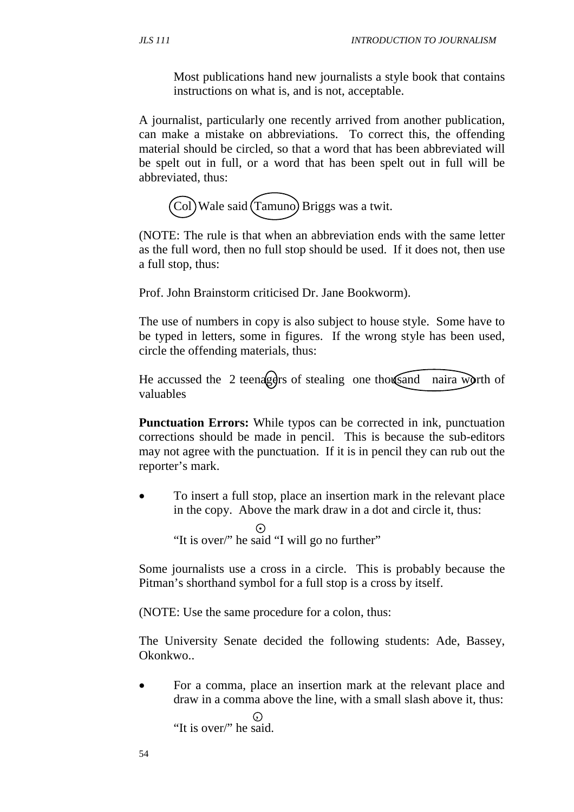Most publications hand new journalists a style book that contains instructions on what is, and is not, acceptable.

A journalist, particularly one recently arrived from another publication, can make a mistake on abbreviations. To correct this, the offending material should be circled, so that a word that has been abbreviated will be spelt out in full, or a word that has been spelt out in full will be abbreviated, thus:

Col Wale said Tamuno Briggs was a twit.

(NOTE: The rule is that when an abbreviation ends with the same letter as the full word, then no full stop should be used. If it does not, then use a full stop, thus:

Prof. John Brainstorm criticised Dr. Jane Bookworm).

The use of numbers in copy is also subject to house style. Some have to be typed in letters, some in figures. If the wrong style has been used, circle the offending materials, thus:

He accussed the 2 teenagers of stealing one thousand naira worth of valuables

**Punctuation Errors:** While typos can be corrected in ink, punctuation corrections should be made in pencil. This is because the sub-editors may not agree with the punctuation. If it is in pencil they can rub out the reporter's mark.

• To insert a full stop, place an insertion mark in the relevant place in the copy. Above the mark draw in a dot and circle it, thus:

 **.**  "It is over/" he said "I will go no further"

Some journalists use a cross in a circle. This is probably because the Pitman's shorthand symbol for a full stop is a cross by itself.

(NOTE: Use the same procedure for a colon, thus:

The University Senate decided the following students: Ade, Bassey, Okonkwo..

• For a comma, place an insertion mark at the relevant place and draw in a comma above the line, with a small slash above it, thus:  $\odot$ "It is over/" he said.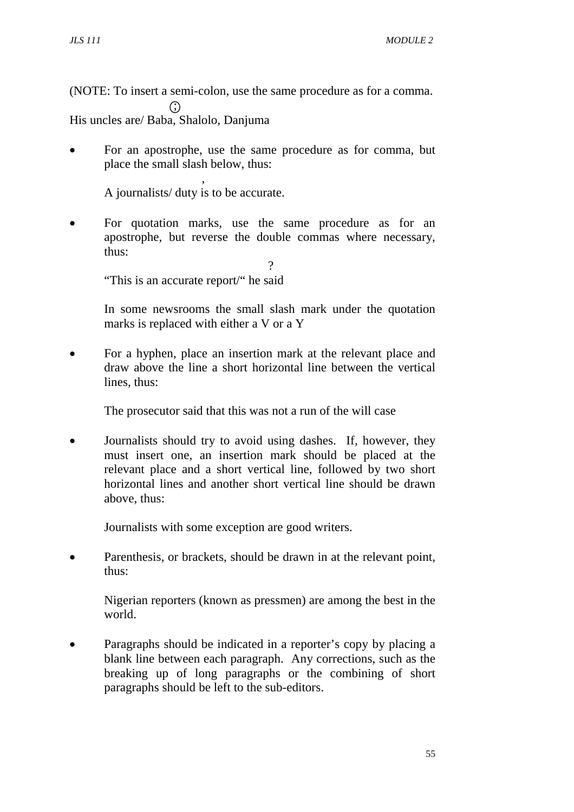(NOTE: To insert a semi-colon, use the same procedure as for a comma.  $\odot$ His uncles are/ Baba, Shalolo, Danjuma

• For an apostrophe, use the same procedure as for comma, but place the small slash below, thus:

 , A journalists/ duty is to be accurate.

For quotation marks, use the same procedure as for an apostrophe, but reverse the double commas where necessary, thus:

"This is an accurate report/" he said

In some newsrooms the small slash mark under the quotation marks is replaced with either a V or a Y

 $\gamma$ 

• For a hyphen, place an insertion mark at the relevant place and draw above the line a short horizontal line between the vertical lines, thus:

The prosecutor said that this was not a run of the will case

• Journalists should try to avoid using dashes. If, however, they must insert one, an insertion mark should be placed at the relevant place and a short vertical line, followed by two short horizontal lines and another short vertical line should be drawn above, thus:

Journalists with some exception are good writers.

Parenthesis, or brackets, should be drawn in at the relevant point, thus:

Nigerian reporters (known as pressmen) are among the best in the world.

• Paragraphs should be indicated in a reporter's copy by placing a blank line between each paragraph. Any corrections, such as the breaking up of long paragraphs or the combining of short paragraphs should be left to the sub-editors.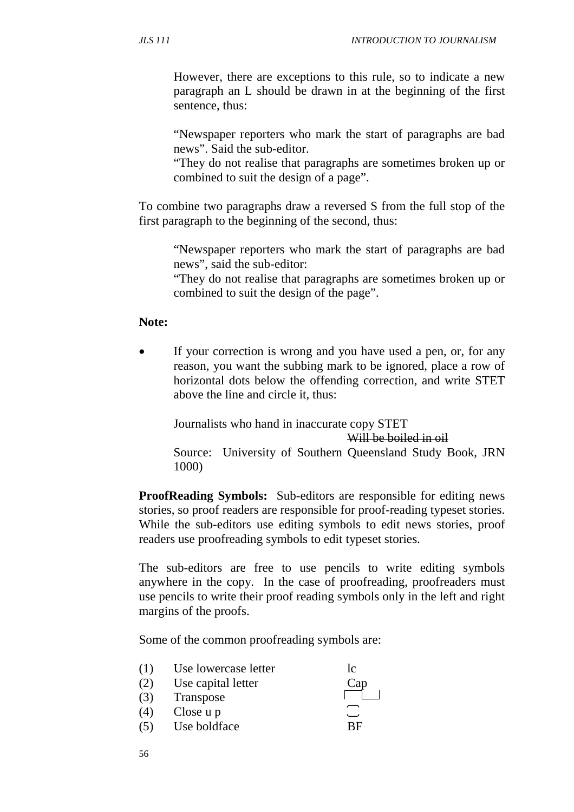However, there are exceptions to this rule, so to indicate a new paragraph an L should be drawn in at the beginning of the first sentence, thus:

"Newspaper reporters who mark the start of paragraphs are bad news". Said the sub-editor.

"They do not realise that paragraphs are sometimes broken up or combined to suit the design of a page".

To combine two paragraphs draw a reversed S from the full stop of the first paragraph to the beginning of the second, thus:

"Newspaper reporters who mark the start of paragraphs are bad news", said the sub-editor:

"They do not realise that paragraphs are sometimes broken up or combined to suit the design of the page".

#### **Note:**

If your correction is wrong and you have used a pen, or, for any reason, you want the subbing mark to be ignored, place a row of horizontal dots below the offending correction, and write STET above the line and circle it, thus:

Journalists who hand in inaccurate copy STET

Will be boiled in oil

Source: University of Southern Queensland Study Book, JRN 1000)

**ProofReading Symbols:** Sub-editors are responsible for editing news stories, so proof readers are responsible for proof-reading typeset stories. While the sub-editors use editing symbols to edit news stories, proof readers use proofreading symbols to edit typeset stories.

The sub-editors are free to use pencils to write editing symbols anywhere in the copy. In the case of proofreading, proofreaders must use pencils to write their proof reading symbols only in the left and right margins of the proofs.

Some of the common proofreading symbols are:

| (1) | Use lowercase letter | <sub>10</sub> |
|-----|----------------------|---------------|
| (2) | Use capital letter   | Cap           |
| (3) | Transpose            |               |
| (4) | Close u p            |               |
| (5) | Use boldface         | <b>RE</b>     |
|     |                      |               |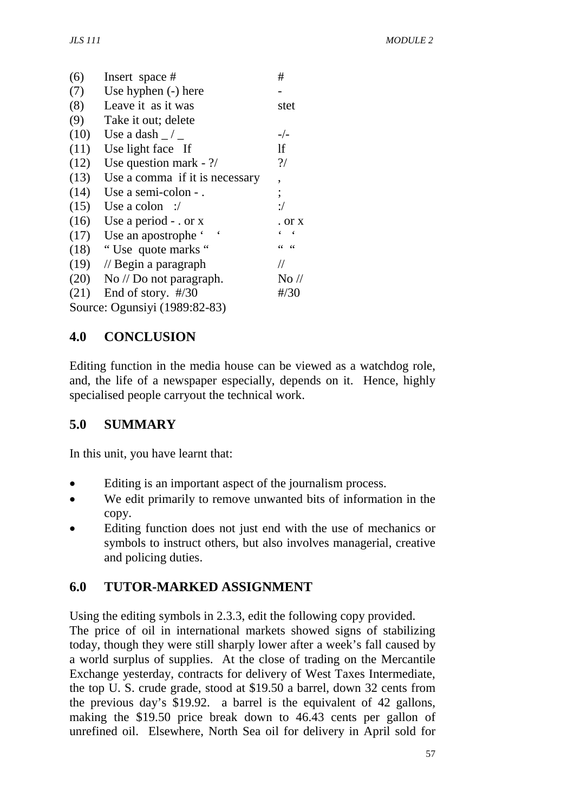| (6)  | Insert space #                      | #               |
|------|-------------------------------------|-----------------|
| (7)  | Use hyphen (-) here                 |                 |
| (8)  | Leave it as it was                  | stet            |
| (9)  | Take it out; delete                 |                 |
| (10) | Use a dash $\angle$ $\angle$        | $-/-$           |
| (11) | Use light face If                   | <sup>1</sup> f  |
| (12) | Use question mark - $\frac{?}{'}$   | $\gamma$        |
| (13) | Use a comma if it is necessary      | ,               |
| (14) | Use a semi-colon -.                 | $\vdots$        |
| (15) | Use a colon :/                      | $:$ /           |
| (16) | Use a period $-$ or x               | . or x          |
| (17) | Use an apostrophe '                 |                 |
| (18) | "Use quote marks"                   | 66<br>66        |
| (19) | $\frac{1}{2}$ Begin a paragraph     | $\frac{1}{2}$   |
| (20) | $\rm No$ // $\rm Do$ not paragraph. | $\rm No$ //     |
| (21) | End of story. $\#/30$               | $\frac{\#}{30}$ |
|      | Source: Ogunsiyi (1989:82-83)       |                 |

## **4.0 CONCLUSION**

Editing function in the media house can be viewed as a watchdog role, and, the life of a newspaper especially, depends on it. Hence, highly specialised people carryout the technical work.

## **5.0 SUMMARY**

In this unit, you have learnt that:

- Editing is an important aspect of the journalism process.
- We edit primarily to remove unwanted bits of information in the copy.
- Editing function does not just end with the use of mechanics or symbols to instruct others, but also involves managerial, creative and policing duties.

## **6.0 TUTOR-MARKED ASSIGNMENT**

Using the editing symbols in 2.3.3, edit the following copy provided.

The price of oil in international markets showed signs of stabilizing today, though they were still sharply lower after a week's fall caused by a world surplus of supplies. At the close of trading on the Mercantile Exchange yesterday, contracts for delivery of West Taxes Intermediate, the top U. S. crude grade, stood at \$19.50 a barrel, down 32 cents from the previous day's \$19.92. a barrel is the equivalent of 42 gallons, making the \$19.50 price break down to 46.43 cents per gallon of unrefined oil. Elsewhere, North Sea oil for delivery in April sold for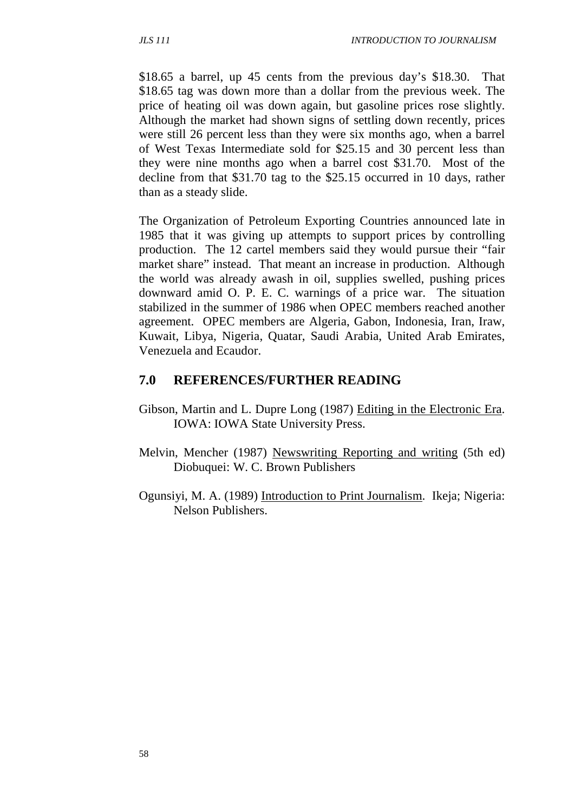\$18.65 a barrel, up 45 cents from the previous day's \$18.30. That \$18.65 tag was down more than a dollar from the previous week. The price of heating oil was down again, but gasoline prices rose slightly. Although the market had shown signs of settling down recently, prices were still 26 percent less than they were six months ago, when a barrel of West Texas Intermediate sold for \$25.15 and 30 percent less than they were nine months ago when a barrel cost \$31.70. Most of the decline from that \$31.70 tag to the \$25.15 occurred in 10 days, rather than as a steady slide.

The Organization of Petroleum Exporting Countries announced late in 1985 that it was giving up attempts to support prices by controlling production. The 12 cartel members said they would pursue their "fair market share" instead. That meant an increase in production. Although the world was already awash in oil, supplies swelled, pushing prices downward amid O. P. E. C. warnings of a price war. The situation stabilized in the summer of 1986 when OPEC members reached another agreement. OPEC members are Algeria, Gabon, Indonesia, Iran, Iraw, Kuwait, Libya, Nigeria, Quatar, Saudi Arabia, United Arab Emirates, Venezuela and Ecaudor.

#### **7.0 REFERENCES/FURTHER READING**

- Gibson, Martin and L. Dupre Long (1987) Editing in the Electronic Era. IOWA: IOWA State University Press.
- Melvin, Mencher (1987) Newswriting Reporting and writing (5th ed) Diobuquei: W. C. Brown Publishers
- Ogunsiyi, M. A. (1989) Introduction to Print Journalism. Ikeja; Nigeria: Nelson Publishers.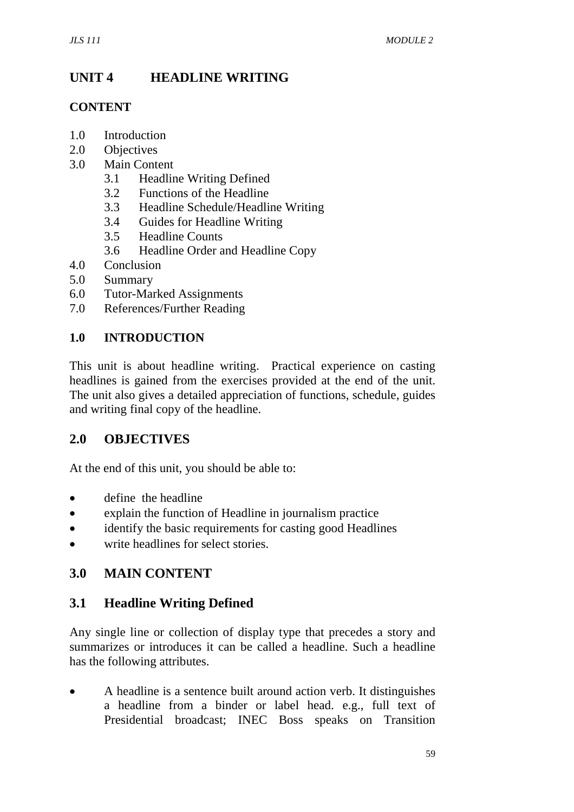# **UNIT 4 HEADLINE WRITING**

#### **CONTENT**

- 1.0 Introduction
- 2.0 Objectives
- 3.0 Main Content
	- 3.1 Headline Writing Defined
	- 3.2 Functions of the Headline
	- 3.3 Headline Schedule/Headline Writing
	- 3.4 Guides for Headline Writing
	- 3.5 Headline Counts
	- 3.6 Headline Order and Headline Copy
- 4.0 Conclusion
- 5.0 Summary
- 6.0 Tutor-Marked Assignments
- 7.0 References/Further Reading

#### **1.0 INTRODUCTION**

This unit is about headline writing. Practical experience on casting headlines is gained from the exercises provided at the end of the unit. The unit also gives a detailed appreciation of functions, schedule, guides and writing final copy of the headline.

## **2.0 OBJECTIVES**

At the end of this unit, you should be able to:

- define the headline
- explain the function of Headline in journalism practice
- identify the basic requirements for casting good Headlines
- write headlines for select stories.

## **3.0 MAIN CONTENT**

## **3.1 Headline Writing Defined**

Any single line or collection of display type that precedes a story and summarizes or introduces it can be called a headline. Such a headline has the following attributes.

• A headline is a sentence built around action verb. It distinguishes a headline from a binder or label head. e.g., full text of Presidential broadcast; INEC Boss speaks on Transition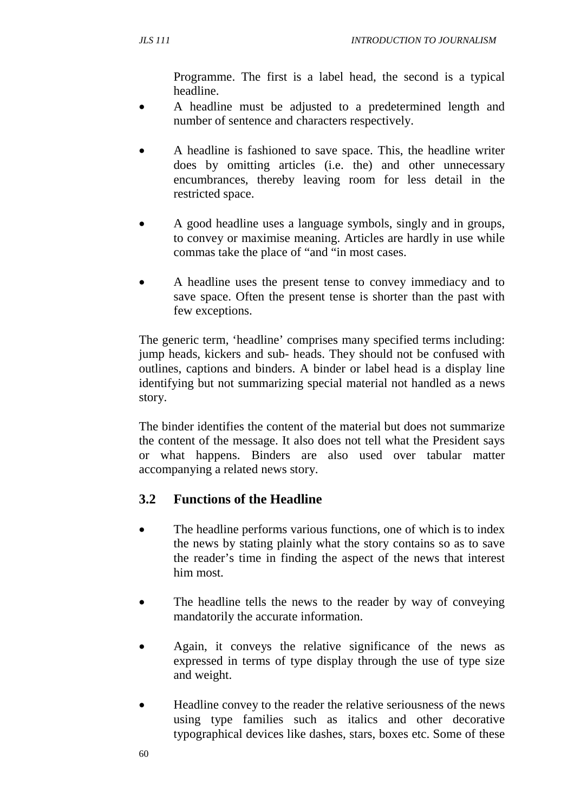Programme. The first is a label head, the second is a typical headline.

- A headline must be adjusted to a predetermined length and number of sentence and characters respectively.
- A headline is fashioned to save space. This, the headline writer does by omitting articles (i.e. the) and other unnecessary encumbrances, thereby leaving room for less detail in the restricted space.
- A good headline uses a language symbols, singly and in groups, to convey or maximise meaning. Articles are hardly in use while commas take the place of "and "in most cases.
- A headline uses the present tense to convey immediacy and to save space. Often the present tense is shorter than the past with few exceptions.

The generic term, 'headline' comprises many specified terms including: jump heads, kickers and sub- heads. They should not be confused with outlines, captions and binders. A binder or label head is a display line identifying but not summarizing special material not handled as a news story.

The binder identifies the content of the material but does not summarize the content of the message. It also does not tell what the President says or what happens. Binders are also used over tabular matter accompanying a related news story.

# **3.2 Functions of the Headline**

- The headline performs various functions, one of which is to index the news by stating plainly what the story contains so as to save the reader's time in finding the aspect of the news that interest him most.
- The headline tells the news to the reader by way of conveying mandatorily the accurate information.
- Again, it conveys the relative significance of the news as expressed in terms of type display through the use of type size and weight.
- Headline convey to the reader the relative seriousness of the news using type families such as italics and other decorative typographical devices like dashes, stars, boxes etc. Some of these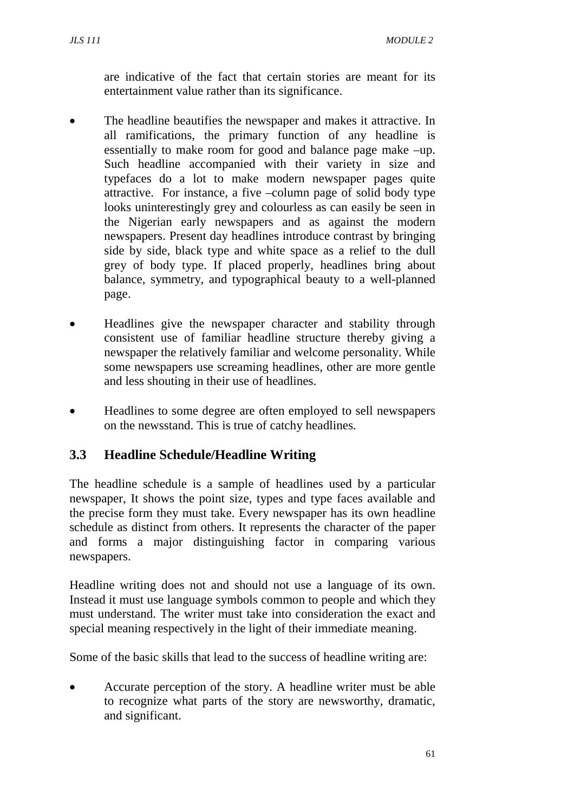are indicative of the fact that certain stories are meant for its entertainment value rather than its significance.

- The headline beautifies the newspaper and makes it attractive. In all ramifications, the primary function of any headline is essentially to make room for good and balance page make –up. Such headline accompanied with their variety in size and typefaces do a lot to make modern newspaper pages quite attractive. For instance, a five –column page of solid body type looks uninterestingly grey and colourless as can easily be seen in the Nigerian early newspapers and as against the modern newspapers. Present day headlines introduce contrast by bringing side by side, black type and white space as a relief to the dull grey of body type. If placed properly, headlines bring about balance, symmetry, and typographical beauty to a well-planned page.
- Headlines give the newspaper character and stability through consistent use of familiar headline structure thereby giving a newspaper the relatively familiar and welcome personality. While some newspapers use screaming headlines, other are more gentle and less shouting in their use of headlines.
- Headlines to some degree are often employed to sell newspapers on the newsstand. This is true of catchy headlines.

## **3.3 Headline Schedule/Headline Writing**

The headline schedule is a sample of headlines used by a particular newspaper, It shows the point size, types and type faces available and the precise form they must take. Every newspaper has its own headline schedule as distinct from others. It represents the character of the paper and forms a major distinguishing factor in comparing various newspapers.

Headline writing does not and should not use a language of its own. Instead it must use language symbols common to people and which they must understand. The writer must take into consideration the exact and special meaning respectively in the light of their immediate meaning.

Some of the basic skills that lead to the success of headline writing are:

• Accurate perception of the story. A headline writer must be able to recognize what parts of the story are newsworthy, dramatic, and significant.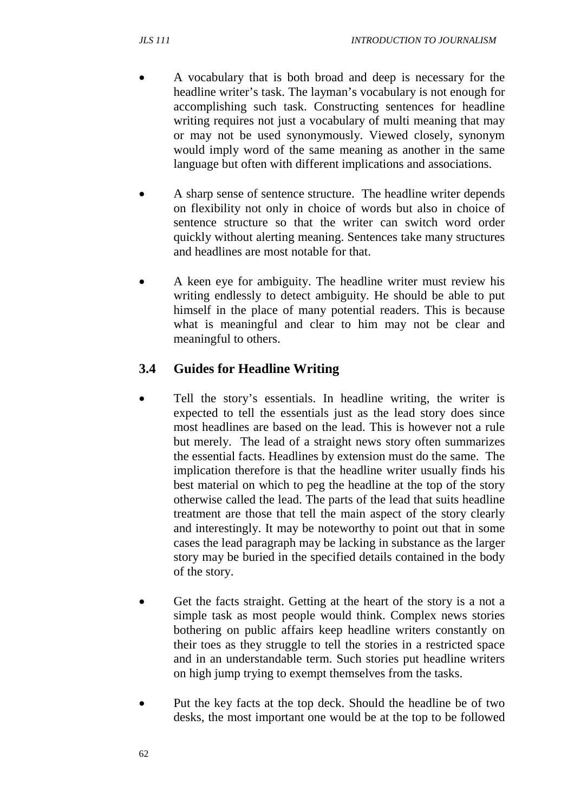- A vocabulary that is both broad and deep is necessary for the headline writer's task. The layman's vocabulary is not enough for accomplishing such task. Constructing sentences for headline writing requires not just a vocabulary of multi meaning that may or may not be used synonymously. Viewed closely, synonym would imply word of the same meaning as another in the same language but often with different implications and associations.
- A sharp sense of sentence structure. The headline writer depends on flexibility not only in choice of words but also in choice of sentence structure so that the writer can switch word order quickly without alerting meaning. Sentences take many structures and headlines are most notable for that.
- A keen eye for ambiguity. The headline writer must review his writing endlessly to detect ambiguity. He should be able to put himself in the place of many potential readers. This is because what is meaningful and clear to him may not be clear and meaningful to others.

# **3.4 Guides for Headline Writing**

- Tell the story's essentials. In headline writing, the writer is expected to tell the essentials just as the lead story does since most headlines are based on the lead. This is however not a rule but merely. The lead of a straight news story often summarizes the essential facts. Headlines by extension must do the same. The implication therefore is that the headline writer usually finds his best material on which to peg the headline at the top of the story otherwise called the lead. The parts of the lead that suits headline treatment are those that tell the main aspect of the story clearly and interestingly. It may be noteworthy to point out that in some cases the lead paragraph may be lacking in substance as the larger story may be buried in the specified details contained in the body of the story.
- Get the facts straight. Getting at the heart of the story is a not a simple task as most people would think. Complex news stories bothering on public affairs keep headline writers constantly on their toes as they struggle to tell the stories in a restricted space and in an understandable term. Such stories put headline writers on high jump trying to exempt themselves from the tasks.
- Put the key facts at the top deck. Should the headline be of two desks, the most important one would be at the top to be followed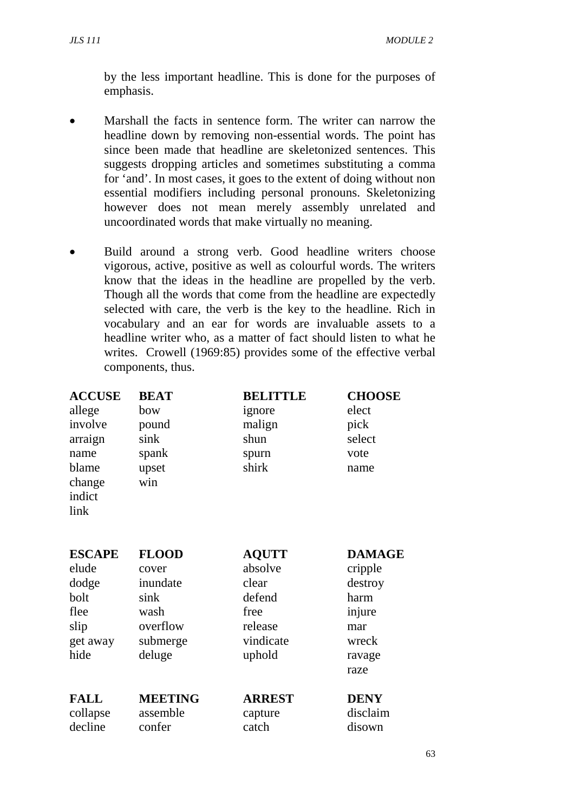by the less important headline. This is done for the purposes of emphasis.

- Marshall the facts in sentence form. The writer can narrow the headline down by removing non-essential words. The point has since been made that headline are skeletonized sentences. This suggests dropping articles and sometimes substituting a comma for 'and'. In most cases, it goes to the extent of doing without non essential modifiers including personal pronouns. Skeletonizing however does not mean merely assembly unrelated and uncoordinated words that make virtually no meaning.
- Build around a strong verb. Good headline writers choose vigorous, active, positive as well as colourful words. The writers know that the ideas in the headline are propelled by the verb. Though all the words that come from the headline are expectedly selected with care, the verb is the key to the headline. Rich in vocabulary and an ear for words are invaluable assets to a headline writer who, as a matter of fact should listen to what he writes. Crowell (1969:85) provides some of the effective verbal components, thus.

| <b>ACCUSE</b><br>allege<br>involve<br>arraign<br>name<br>blame<br>change<br>indict<br>link | <b>BEAT</b><br>bow<br>pound<br>sink<br>spank<br>upset<br>win                        | <b>BELITTLE</b><br>ignore<br>malign<br>shun<br>spurn<br>shirk                        | <b>CHOOSE</b><br>elect<br>pick<br>select<br>vote<br>name                                |
|--------------------------------------------------------------------------------------------|-------------------------------------------------------------------------------------|--------------------------------------------------------------------------------------|-----------------------------------------------------------------------------------------|
| <b>ESCAPE</b><br>elude<br>dodge<br>bolt<br>flee<br>slip<br>get away<br>hide                | <b>FLOOD</b><br>cover<br>inundate<br>sink<br>wash<br>overflow<br>submerge<br>deluge | <b>AQUTT</b><br>absolve<br>clear<br>defend<br>free<br>release<br>vindicate<br>uphold | <b>DAMAGE</b><br>cripple<br>destroy<br>harm<br>injure<br>mar<br>wreck<br>ravage<br>raze |
| <b>FALL</b><br>collapse                                                                    | <b>MEETING</b><br>assemble                                                          | <b>ARREST</b><br>capture                                                             | <b>DENY</b><br>disclaim                                                                 |

decline confer catch disown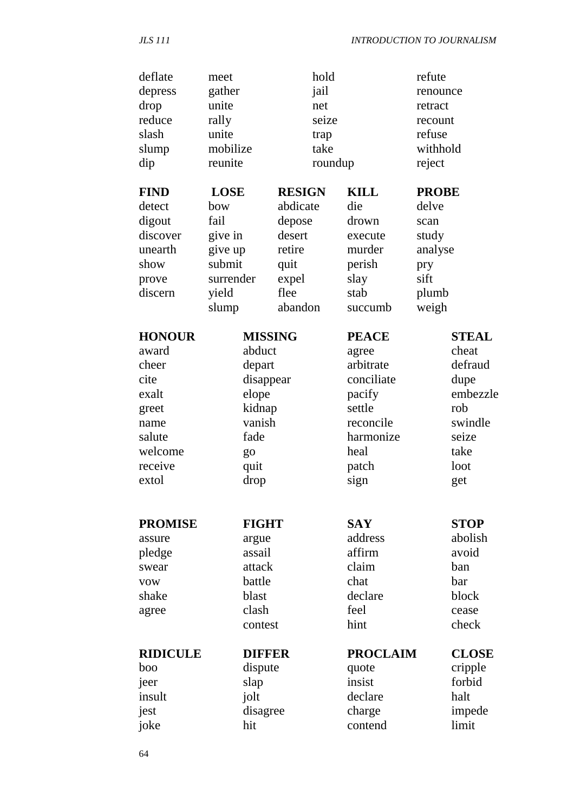| deflate<br>depress<br>drop<br>reduce<br>slash<br>slump<br>dip<br><b>FIND</b><br>detect | meet<br>gather<br>unite<br>rally<br>unite<br>mobilize<br>reunite<br><b>LOSE</b><br>bow | hold<br>jail<br>net<br>seize<br>trap<br>take<br><b>RESIGN</b><br>abdicate | roundup<br><b>KILL</b><br>die | refute<br>renounce<br>retract<br>recount<br>refuse<br>withhold<br>reject<br><b>PROBE</b><br>delve |              |
|----------------------------------------------------------------------------------------|----------------------------------------------------------------------------------------|---------------------------------------------------------------------------|-------------------------------|---------------------------------------------------------------------------------------------------|--------------|
| digout                                                                                 | fail                                                                                   | depose                                                                    | drown                         | scan                                                                                              |              |
| discover                                                                               | give in                                                                                | desert                                                                    | execute                       | study                                                                                             |              |
| unearth                                                                                | give up                                                                                | retire                                                                    | murder                        | analyse                                                                                           |              |
| show                                                                                   | submit                                                                                 | quit                                                                      | perish                        | pry                                                                                               |              |
| prove                                                                                  | surrender                                                                              | expel                                                                     | slay                          | sift                                                                                              |              |
| discern                                                                                | yield                                                                                  | flee                                                                      | stab                          | plumb                                                                                             |              |
|                                                                                        | slump                                                                                  | abandon                                                                   | succumb                       | weigh                                                                                             |              |
| <b>HONOUR</b>                                                                          | <b>MISSING</b>                                                                         |                                                                           | <b>PEACE</b>                  |                                                                                                   | <b>STEAL</b> |
| award                                                                                  | abduct                                                                                 |                                                                           | agree                         |                                                                                                   | cheat        |
| cheer                                                                                  | depart                                                                                 |                                                                           | arbitrate                     |                                                                                                   | defraud      |
| cite                                                                                   | disappear                                                                              |                                                                           | conciliate                    |                                                                                                   | dupe         |
| exalt                                                                                  | elope                                                                                  |                                                                           | pacify                        |                                                                                                   | embezzle     |
| greet                                                                                  | kidnap                                                                                 |                                                                           | settle                        | rob                                                                                               |              |
| name                                                                                   | vanish                                                                                 |                                                                           | reconcile                     |                                                                                                   | swindle      |
| salute                                                                                 | fade                                                                                   |                                                                           | harmonize                     |                                                                                                   | seize        |
| welcome                                                                                | go                                                                                     |                                                                           | heal                          | take                                                                                              |              |
| receive                                                                                | quit                                                                                   |                                                                           | patch                         | loot                                                                                              |              |
| extol                                                                                  | drop                                                                                   |                                                                           | sign                          | get                                                                                               |              |
|                                                                                        |                                                                                        |                                                                           |                               |                                                                                                   |              |
| <b>PROMISE</b>                                                                         | <b>FIGHT</b>                                                                           |                                                                           | <b>SAY</b>                    |                                                                                                   | <b>STOP</b>  |
| assure                                                                                 | argue                                                                                  |                                                                           | address                       |                                                                                                   | abolish      |
| pledge                                                                                 | assail                                                                                 |                                                                           | affirm                        |                                                                                                   | avoid        |
| swear                                                                                  | attack                                                                                 |                                                                           | claim                         | ban                                                                                               |              |
| <b>VOW</b>                                                                             | battle                                                                                 |                                                                           | chat                          | bar                                                                                               |              |
| shake                                                                                  | blast                                                                                  |                                                                           | declare                       |                                                                                                   | block        |
| agree                                                                                  | clash                                                                                  |                                                                           | feel                          |                                                                                                   | cease        |
|                                                                                        | contest                                                                                |                                                                           | hint                          |                                                                                                   | check        |
| <b>RIDICULE</b>                                                                        | <b>DIFFER</b>                                                                          |                                                                           | <b>PROCLAIM</b>               |                                                                                                   | <b>CLOSE</b> |
| boo                                                                                    | dispute                                                                                |                                                                           | quote                         |                                                                                                   | cripple      |
| jeer                                                                                   | slap                                                                                   |                                                                           | insist                        |                                                                                                   | forbid       |
| insult                                                                                 | jolt                                                                                   |                                                                           | declare                       | halt                                                                                              |              |
| jest                                                                                   | disagree                                                                               |                                                                           | charge                        |                                                                                                   | impede       |
| joke                                                                                   | hit                                                                                    |                                                                           | contend                       | limit                                                                                             |              |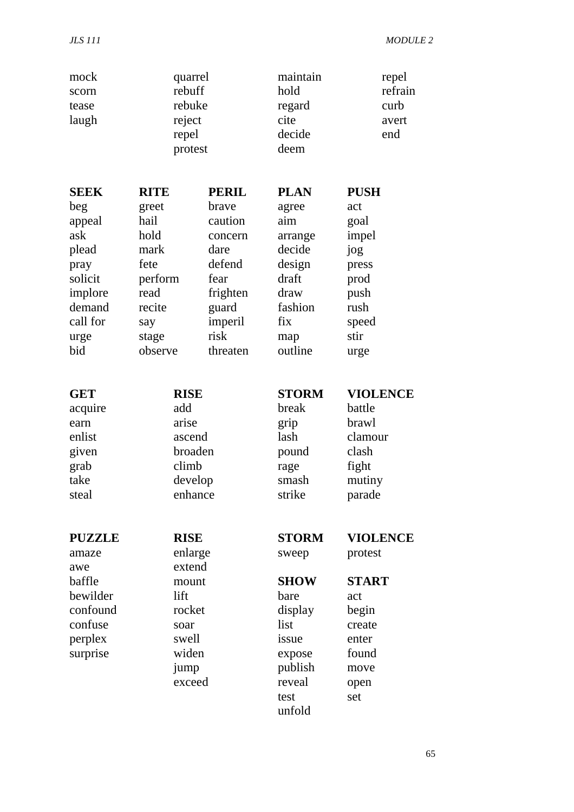| mock<br>scorn<br>tease<br>laugh                                                                   | quarrel<br>rebuff<br>rebuke<br>reject<br>repel<br>protest                                               |              | maintain<br>hold<br>regard<br>cite<br>decide<br>deem                                                                      | repel<br>refrain<br>curb<br>avert<br>end                                                                      |
|---------------------------------------------------------------------------------------------------|---------------------------------------------------------------------------------------------------------|--------------|---------------------------------------------------------------------------------------------------------------------------|---------------------------------------------------------------------------------------------------------------|
| <b>SEEK</b>                                                                                       | <b>RITE</b>                                                                                             | <b>PERIL</b> | <b>PLAN</b>                                                                                                               | <b>PUSH</b>                                                                                                   |
| beg                                                                                               | greet                                                                                                   | brave        | agree                                                                                                                     | act                                                                                                           |
| appeal                                                                                            | hail                                                                                                    | caution      | aim                                                                                                                       | goal                                                                                                          |
| ask                                                                                               | hold                                                                                                    | concern      | arrange                                                                                                                   | impel                                                                                                         |
| plead                                                                                             | mark                                                                                                    | dare         | decide                                                                                                                    | jog                                                                                                           |
| pray                                                                                              | fete                                                                                                    | defend       | design                                                                                                                    | press                                                                                                         |
| solicit                                                                                           | perform                                                                                                 | fear         | draft                                                                                                                     | prod                                                                                                          |
| implore                                                                                           | read                                                                                                    | frighten     | draw                                                                                                                      | push                                                                                                          |
| demand                                                                                            | recite                                                                                                  | guard        | fashion                                                                                                                   | rush                                                                                                          |
| call for                                                                                          | say                                                                                                     | imperil      | fix                                                                                                                       | speed                                                                                                         |
| urge                                                                                              | stage                                                                                                   | risk         | map                                                                                                                       | stir                                                                                                          |
| bid                                                                                               | observe                                                                                                 | threaten     | outline                                                                                                                   | urge                                                                                                          |
| <b>GET</b>                                                                                        | <b>RISE</b>                                                                                             |              | <b>STORM</b>                                                                                                              | <b>VIOLENCE</b>                                                                                               |
| acquire                                                                                           | add                                                                                                     |              | break                                                                                                                     | battle                                                                                                        |
| earn                                                                                              | arise                                                                                                   |              | grip                                                                                                                      | brawl                                                                                                         |
| enlist                                                                                            | ascend                                                                                                  |              | lash                                                                                                                      | clamour                                                                                                       |
| given                                                                                             | broaden                                                                                                 |              | pound                                                                                                                     | clash                                                                                                         |
| grab                                                                                              | climb                                                                                                   |              | rage                                                                                                                      | fight                                                                                                         |
| take                                                                                              | develop                                                                                                 |              | smash                                                                                                                     | mutiny                                                                                                        |
| steal                                                                                             | enhance                                                                                                 |              | strike                                                                                                                    | parade                                                                                                        |
| <b>PUZZLE</b><br>amaze<br>awe<br>baffle<br>bewilder<br>confound<br>confuse<br>perplex<br>surprise | <b>RISE</b><br>enlarge<br>extend<br>mount<br>lift<br>rocket<br>soar<br>swell<br>widen<br>jump<br>exceed |              | <b>STORM</b><br>sweep<br><b>SHOW</b><br>bare<br>display<br>list<br>issue<br>expose<br>publish<br>reveal<br>test<br>unfold | <b>VIOLENCE</b><br>protest<br><b>START</b><br>act<br>begin<br>create<br>enter<br>found<br>move<br>open<br>set |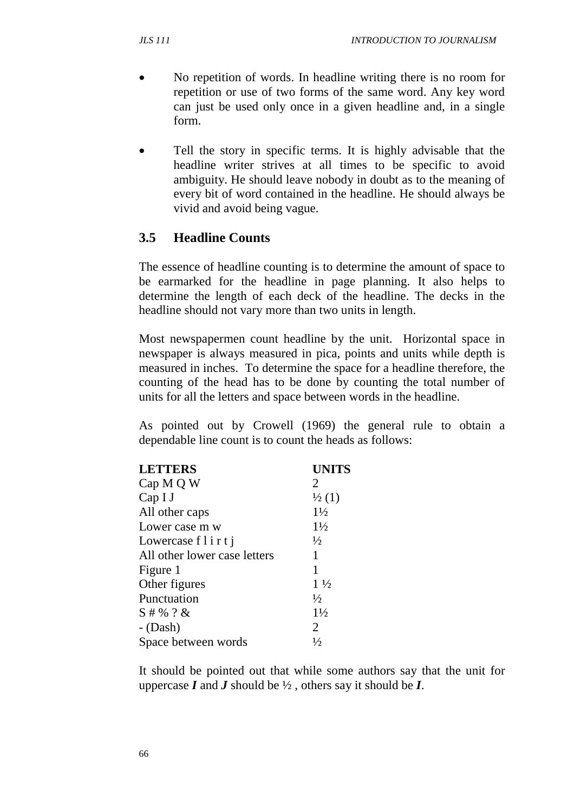- No repetition of words. In headline writing there is no room for repetition or use of two forms of the same word. Any key word can just be used only once in a given headline and, in a single form.
- Tell the story in specific terms. It is highly advisable that the headline writer strives at all times to be specific to avoid ambiguity. He should leave nobody in doubt as to the meaning of every bit of word contained in the headline. He should always be vivid and avoid being vague.

### **3.5 Headline Counts**

The essence of headline counting is to determine the amount of space to be earmarked for the headline in page planning. It also helps to determine the length of each deck of the headline. The decks in the headline should not vary more than two units in length.

Most newspapermen count headline by the unit. Horizontal space in newspaper is always measured in pica, points and units while depth is measured in inches. To determine the space for a headline therefore, the counting of the head has to be done by counting the total number of units for all the letters and space between words in the headline.

As pointed out by Crowell (1969) the general rule to obtain a dependable line count is to count the heads as follows:

| <b>LETTERS</b>               | <b>UNITS</b>      |
|------------------------------|-------------------|
| Cap M Q W                    | 2                 |
| Cap <sub>I</sub>             | $\frac{1}{2}$ (1) |
| All other caps               | $1\frac{1}{2}$    |
| Lower case m w               | $1\frac{1}{2}$    |
| Lowercase $f$ l i $r t$ j    | $\frac{1}{2}$     |
| All other lower case letters | 1                 |
| Figure 1                     | 1                 |
| Other figures                | $1\frac{1}{2}$    |
| Punctuation                  | $\frac{1}{2}$     |
| $S#$ % ? &                   | $1\frac{1}{2}$    |
| $-Dash$ )                    | 2                 |
| Space between words          | $\frac{1}{2}$     |

It should be pointed out that while some authors say that the unit for uppercase  $I$  and  $J$  should be  $\frac{1}{2}$ , others say it should be  $I$ .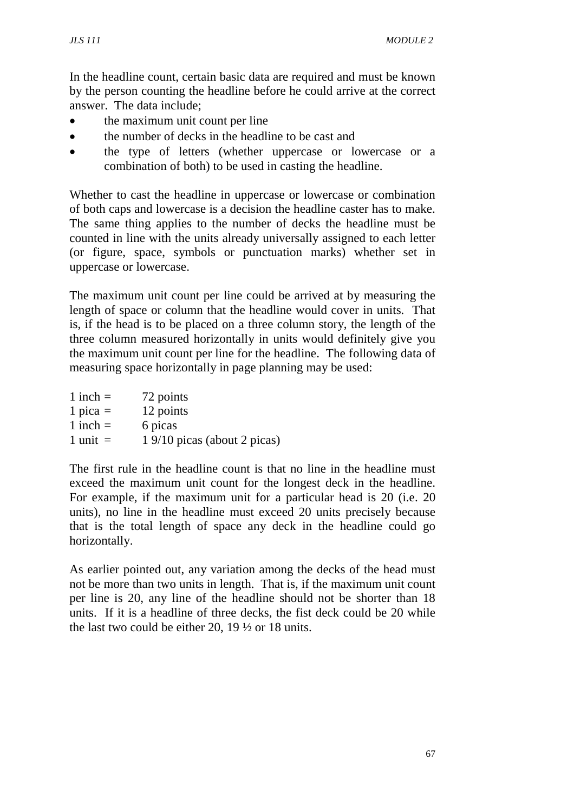In the headline count, certain basic data are required and must be known by the person counting the headline before he could arrive at the correct answer. The data include;

- the maximum unit count per line
- the number of decks in the headline to be cast and
- the type of letters (whether uppercase or lowercase or a combination of both) to be used in casting the headline.

Whether to cast the headline in uppercase or lowercase or combination of both caps and lowercase is a decision the headline caster has to make. The same thing applies to the number of decks the headline must be counted in line with the units already universally assigned to each letter (or figure, space, symbols or punctuation marks) whether set in uppercase or lowercase.

The maximum unit count per line could be arrived at by measuring the length of space or column that the headline would cover in units. That is, if the head is to be placed on a three column story, the length of the three column measured horizontally in units would definitely give you the maximum unit count per line for the headline. The following data of measuring space horizontally in page planning may be used:

| $1$ inch $=$ | 72 points                    |
|--------------|------------------------------|
| 1 pica $=$   | 12 points                    |
| $1$ inch $=$ | 6 picas                      |
| 1 unit $=$   | 1 9/10 picas (about 2 picas) |

The first rule in the headline count is that no line in the headline must exceed the maximum unit count for the longest deck in the headline. For example, if the maximum unit for a particular head is 20 (i.e. 20 units), no line in the headline must exceed 20 units precisely because that is the total length of space any deck in the headline could go horizontally.

As earlier pointed out, any variation among the decks of the head must not be more than two units in length. That is, if the maximum unit count per line is 20, any line of the headline should not be shorter than 18 units. If it is a headline of three decks, the fist deck could be 20 while the last two could be either 20, 19 ½ or 18 units.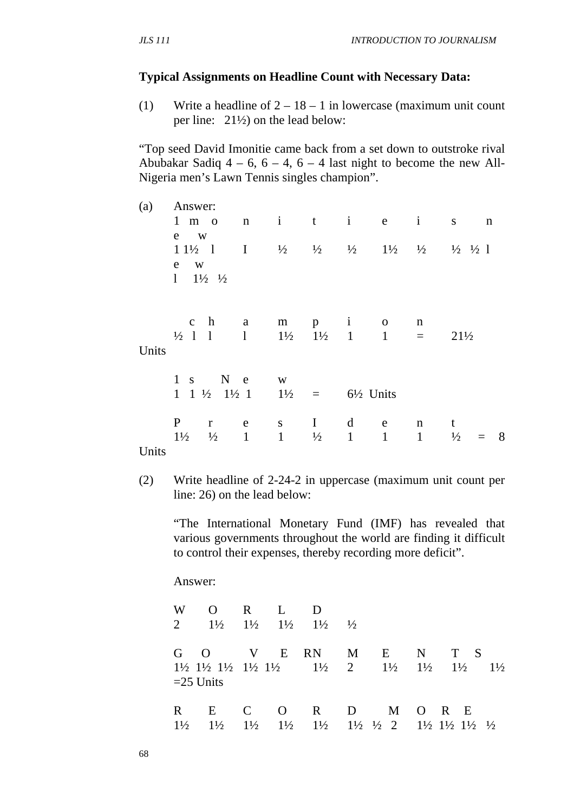#### **Typical Assignments on Headline Count with Necessary Data:**

(1) Write a headline of  $2 - 18 - 1$  in lowercase (maximum unit count per line: 21½) on the lead below:

"Top seed David Imonitie came back from a set down to outstroke rival Abubakar Sadiq  $4 - 6$ ,  $6 - 4$ ,  $6 - 4$  last night to become the new All-Nigeria men's Lawn Tennis singles champion".

| (a)   | Answer:                                                                                                         |                        |              |                                     |   |              |              |                                                                                                                                                                       |             |
|-------|-----------------------------------------------------------------------------------------------------------------|------------------------|--------------|-------------------------------------|---|--------------|--------------|-----------------------------------------------------------------------------------------------------------------------------------------------------------------------|-------------|
|       | $1 \text{ m}$ o                                                                                                 | n i t i e i            |              |                                     |   |              |              | S.                                                                                                                                                                    | $\mathbf n$ |
|       | e<br><b>W</b>                                                                                                   |                        |              |                                     |   |              |              |                                                                                                                                                                       |             |
|       | $11\frac{1}{2}$ 1                                                                                               |                        |              |                                     |   |              |              | $1 \quad \frac{1}{2} \quad \frac{1}{2} \quad \frac{1}{2} \quad \frac{1}{2} \quad \frac{1}{2} \quad \frac{1}{2} \quad \frac{1}{2} \quad \frac{1}{2} \quad \frac{1}{2}$ |             |
|       | e w                                                                                                             |                        |              |                                     |   |              |              |                                                                                                                                                                       |             |
|       | $1 \t1\frac{1}{2} \t\frac{1}{2}$                                                                                |                        |              |                                     |   |              |              |                                                                                                                                                                       |             |
|       |                                                                                                                 |                        |              |                                     |   |              |              |                                                                                                                                                                       |             |
|       |                                                                                                                 |                        |              |                                     |   |              |              |                                                                                                                                                                       |             |
|       | $c \quad h \qquad a$                                                                                            |                        | m            | $p \t1$ 0                           |   | $\mathbf n$  |              |                                                                                                                                                                       |             |
|       | $\frac{1}{2}$ 1 1                                                                                               | $1 \quad \blacksquare$ |              | $1\frac{1}{2}$ $1\frac{1}{2}$ 1 1 = |   |              |              | $21\frac{1}{2}$                                                                                                                                                       |             |
| Units |                                                                                                                 |                        |              |                                     |   |              |              |                                                                                                                                                                       |             |
|       | $1 s$ N e                                                                                                       |                        |              |                                     |   |              |              |                                                                                                                                                                       |             |
|       | $1 \quad 1 \quad \frac{1}{2} \quad 1\frac{1}{2} \quad 1 \qquad 1\frac{1}{2} \qquad = \qquad 6\frac{1}{2}$ Units | W <sub>1</sub>         |              |                                     |   |              |              |                                                                                                                                                                       |             |
|       |                                                                                                                 |                        |              |                                     |   |              |              |                                                                                                                                                                       |             |
|       | P<br>$r_{\rm}$                                                                                                  | e                      |              | $S \tI$                             |   | d e          | n t          |                                                                                                                                                                       |             |
|       | $1\frac{1}{2}$<br>$\frac{1}{2}$                                                                                 | $\mathbf{1}$           | $\mathbf{1}$ | $\frac{1}{2}$                       | 1 | $\mathbf{1}$ | $\mathbf{1}$ | $\frac{1}{2}$                                                                                                                                                         | 8           |
| Units |                                                                                                                 |                        |              |                                     |   |              |              |                                                                                                                                                                       |             |
|       |                                                                                                                 |                        |              |                                     |   |              |              |                                                                                                                                                                       |             |

(2) Write headline of 2-24-2 in uppercase (maximum unit count per line: 26) on the lead below:

"The International Monetary Fund (IMF) has revealed that various governments throughout the world are finding it difficult to control their expenses, thereby recording more deficit".

Answer:

| W<br>2               | $\Omega$<br>$1\frac{1}{2}$                                                                                                   |                     | $R \t L$                         | $\Box$<br>$1\frac{1}{2}$ $1\frac{1}{2}$ $1\frac{1}{2}$ $1\frac{1}{2}$ |              |              |                                    |                                                                                                         |
|----------------------|------------------------------------------------------------------------------------------------------------------------------|---------------------|----------------------------------|-----------------------------------------------------------------------|--------------|--------------|------------------------------------|---------------------------------------------------------------------------------------------------------|
|                      | $G \quad O$<br>$1\frac{1}{2}$ $1\frac{1}{2}$ $1\frac{1}{2}$ $1\frac{1}{2}$ $1\frac{1}{2}$ $1\frac{1}{2}$ $2$<br>$=$ 25 Units | $\mathbf V$         | E                                | <b>RN</b>                                                             | M            | $\mathbf{E}$ | N<br>$1\frac{1}{2}$ $1\frac{1}{2}$ | T S<br>$1\frac{1}{2}$<br>$1\frac{1}{2}$                                                                 |
| R.<br>$1\frac{1}{2}$ | E<br>$1\frac{1}{2}$                                                                                                          | C<br>$1\frac{1}{2}$ | $\overline{O}$<br>$1\frac{1}{2}$ | R<br>$1\frac{1}{2}$                                                   | $\mathbf{D}$ | M            |                                    | $O$ R E<br>$1\frac{1}{2}$ $\frac{1}{2}$ $2$ $1\frac{1}{2}$ $1\frac{1}{2}$ $1\frac{1}{2}$ $1\frac{1}{2}$ |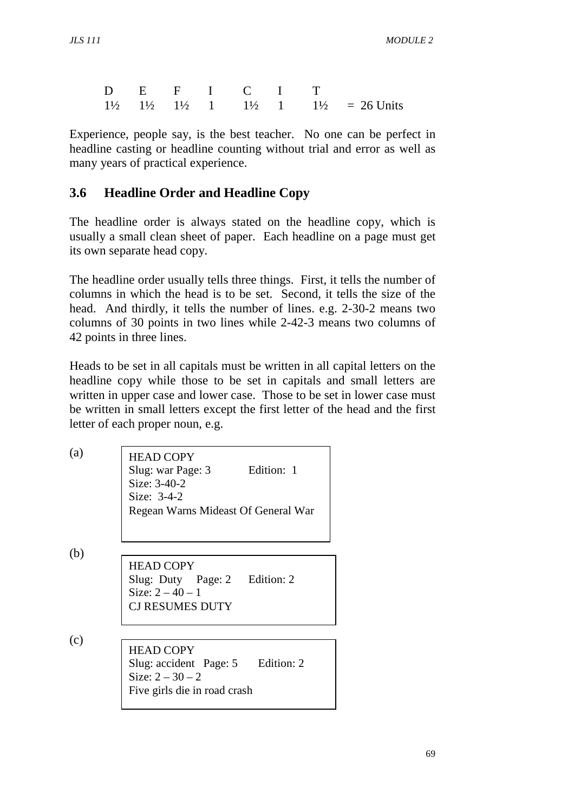|  |  |  | D E F I C I T |                                                                                           |
|--|--|--|---------------|-------------------------------------------------------------------------------------------|
|  |  |  |               | $1\frac{1}{2}$ $1\frac{1}{2}$ $1\frac{1}{2}$ 1 $1\frac{1}{2}$ 1 $1\frac{1}{2}$ = 26 Units |

Experience, people say, is the best teacher. No one can be perfect in headline casting or headline counting without trial and error as well as many years of practical experience.

### **3.6 Headline Order and Headline Copy**

The headline order is always stated on the headline copy, which is usually a small clean sheet of paper. Each headline on a page must get its own separate head copy.

The headline order usually tells three things. First, it tells the number of columns in which the head is to be set. Second, it tells the size of the head. And thirdly, it tells the number of lines. e.g. 2-30-2 means two columns of 30 points in two lines while 2-42-3 means two columns of 42 points in three lines.

Heads to be set in all capitals must be written in all capital letters on the headline copy while those to be set in capitals and small letters are written in upper case and lower case. Those to be set in lower case must be written in small letters except the first letter of the head and the first letter of each proper noun, e.g.

| (a) | <b>HEAD COPY</b><br>Edition: 1<br>Slug: war Page: 3<br>Size: 3-40-2<br>Size: $3-4-2$<br>Regean Warns Mideast Of General War |
|-----|-----------------------------------------------------------------------------------------------------------------------------|
| (b) | <b>HEAD COPY</b><br>Slug: Duty Page: 2 Edition: 2<br>Size: $2 - 40 - 1$<br><b>CJ RESUMES DUTY</b>                           |
| (c) | <b>HEAD COPY</b><br>Slug: accident Page: 5 Edition: 2<br>Size: $2 - 30 - 2$<br>Five girls die in road crash                 |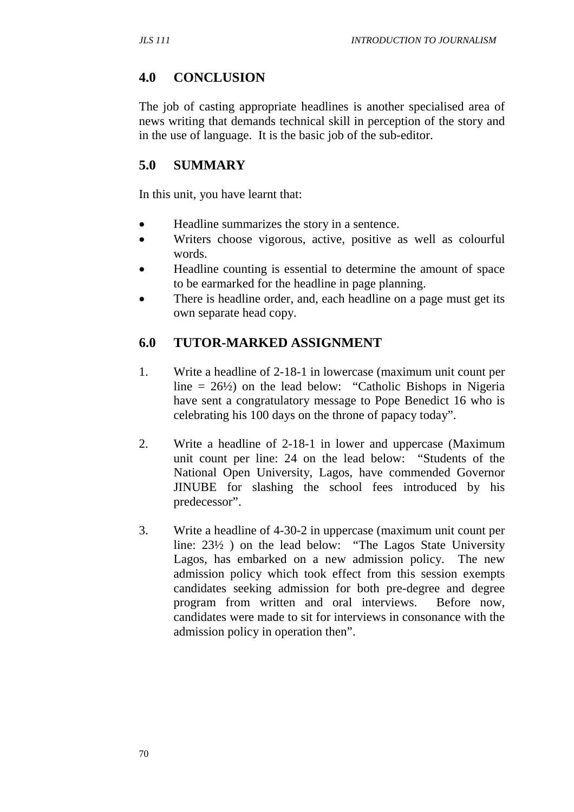#### **4.0 CONCLUSION**

The job of casting appropriate headlines is another specialised area of news writing that demands technical skill in perception of the story and in the use of language. It is the basic job of the sub-editor.

### **5.0 SUMMARY**

In this unit, you have learnt that:

- Headline summarizes the story in a sentence.
- Writers choose vigorous, active, positive as well as colourful words.
- Headline counting is essential to determine the amount of space to be earmarked for the headline in page planning.
- There is headline order, and, each headline on a page must get its own separate head copy.

### **6.0 TUTOR-MARKED ASSIGNMENT**

- 1. Write a headline of 2-18-1 in lowercase (maximum unit count per line  $= 26\frac{1}{2}$  on the lead below: "Catholic Bishops in Nigeria" have sent a congratulatory message to Pope Benedict 16 who is celebrating his 100 days on the throne of papacy today".
- 2. Write a headline of 2-18-1 in lower and uppercase (Maximum unit count per line: 24 on the lead below: "Students of the National Open University, Lagos, have commended Governor JINUBE for slashing the school fees introduced by his predecessor".
- 3. Write a headline of 4-30-2 in uppercase (maximum unit count per line: 23½ ) on the lead below: "The Lagos State University Lagos, has embarked on a new admission policy. The new admission policy which took effect from this session exempts candidates seeking admission for both pre-degree and degree program from written and oral interviews. Before now, candidates were made to sit for interviews in consonance with the admission policy in operation then".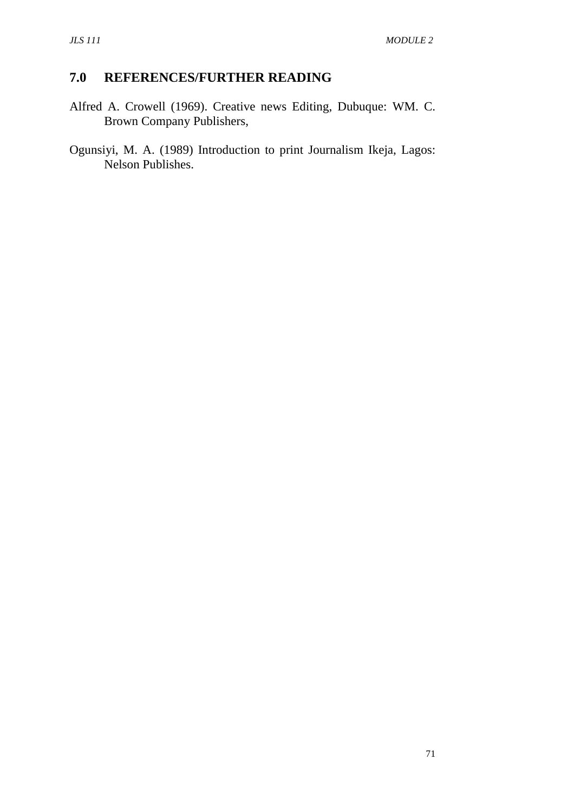# **7.0 REFERENCES/FURTHER READING**

- Alfred A. Crowell (1969). Creative news Editing, Dubuque: WM. C. Brown Company Publishers,
- Ogunsiyi, M. A. (1989) Introduction to print Journalism Ikeja, Lagos: Nelson Publishes.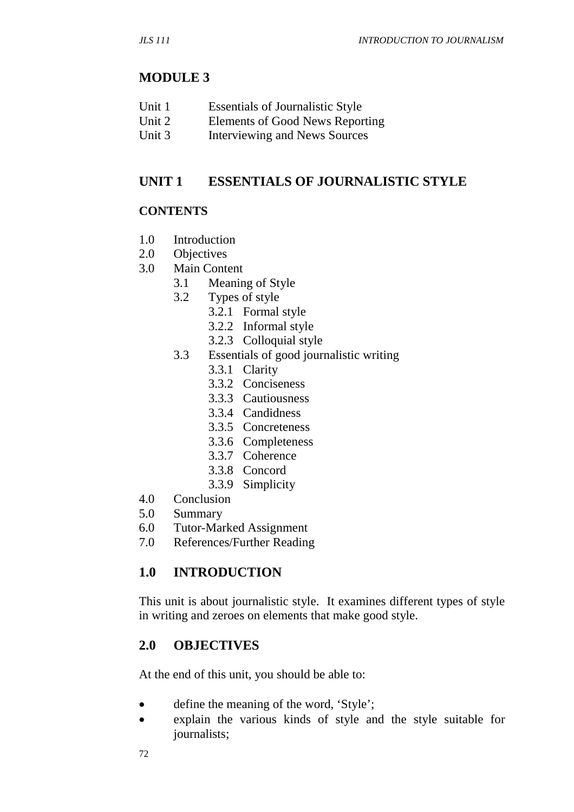#### **MODULE 3**

- Unit 1 Essentials of Journalistic Style
- Unit 2 Elements of Good News Reporting
- Unit 3 Interviewing and News Sources

#### **UNIT 1 ESSENTIALS OF JOURNALISTIC STYLE**

#### **CONTENTS**

- 1.0 Introduction
- 2.0 Objectives
- 3.0 Main Content
	- 3.1 Meaning of Style
	- 3.2 Types of style
		- 3.2.1 Formal style
			- 3.2.2 Informal style
			- 3.2.3 Colloquial style
	- 3.3 Essentials of good journalistic writing
		- 3.3.1 Clarity
		- 3.3.2 Conciseness
		- 3.3.3 Cautiousness
		- 3.3.4 Candidness
		- 3.3.5 Concreteness
		- 3.3.6 Completeness
		- 3.3.7 Coherence
		- 3.3.8 Concord
		- 3.3.9 Simplicity
- 4.0 Conclusion
- 5.0 Summary
- 6.0 Tutor-Marked Assignment
- 7.0 References/Further Reading

#### **1.0 INTRODUCTION**

This unit is about journalistic style. It examines different types of style in writing and zeroes on elements that make good style.

#### **2.0 OBJECTIVES**

At the end of this unit, you should be able to:

- define the meaning of the word, 'Style';
- explain the various kinds of style and the style suitable for journalists;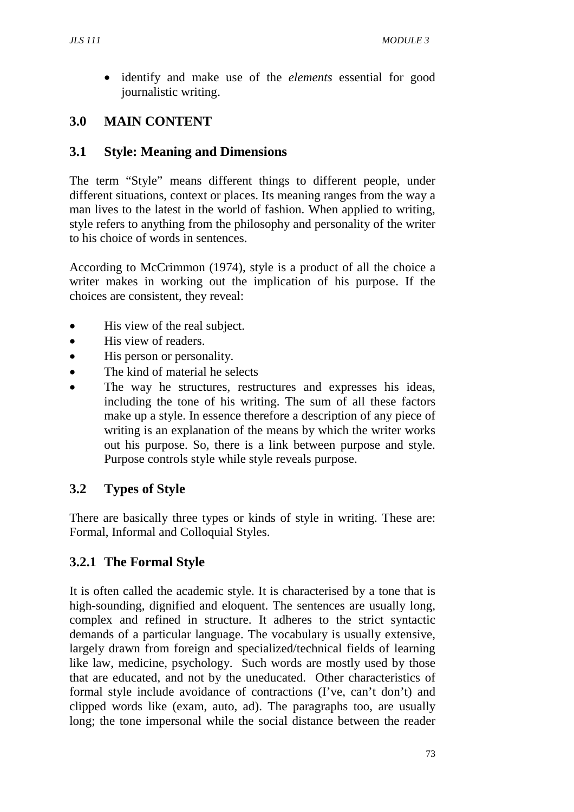• identify and make use of the *elements* essential for good journalistic writing.

# **3.0 MAIN CONTENT**

#### **3.1 Style: Meaning and Dimensions**

The term "Style" means different things to different people, under different situations, context or places. Its meaning ranges from the way a man lives to the latest in the world of fashion. When applied to writing, style refers to anything from the philosophy and personality of the writer to his choice of words in sentences.

According to McCrimmon (1974), style is a product of all the choice a writer makes in working out the implication of his purpose. If the choices are consistent, they reveal:

- His view of the real subject.
- His view of readers.
- His person or personality.
- The kind of material he selects
- The way he structures, restructures and expresses his ideas, including the tone of his writing. The sum of all these factors make up a style. In essence therefore a description of any piece of writing is an explanation of the means by which the writer works out his purpose. So, there is a link between purpose and style. Purpose controls style while style reveals purpose.

# **3.2 Types of Style**

There are basically three types or kinds of style in writing. These are: Formal, Informal and Colloquial Styles.

# **3.2.1 The Formal Style**

It is often called the academic style. It is characterised by a tone that is high-sounding, dignified and eloquent. The sentences are usually long, complex and refined in structure. It adheres to the strict syntactic demands of a particular language. The vocabulary is usually extensive, largely drawn from foreign and specialized/technical fields of learning like law, medicine, psychology. Such words are mostly used by those that are educated, and not by the uneducated. Other characteristics of formal style include avoidance of contractions (I've, can't don't) and clipped words like (exam, auto, ad). The paragraphs too, are usually long; the tone impersonal while the social distance between the reader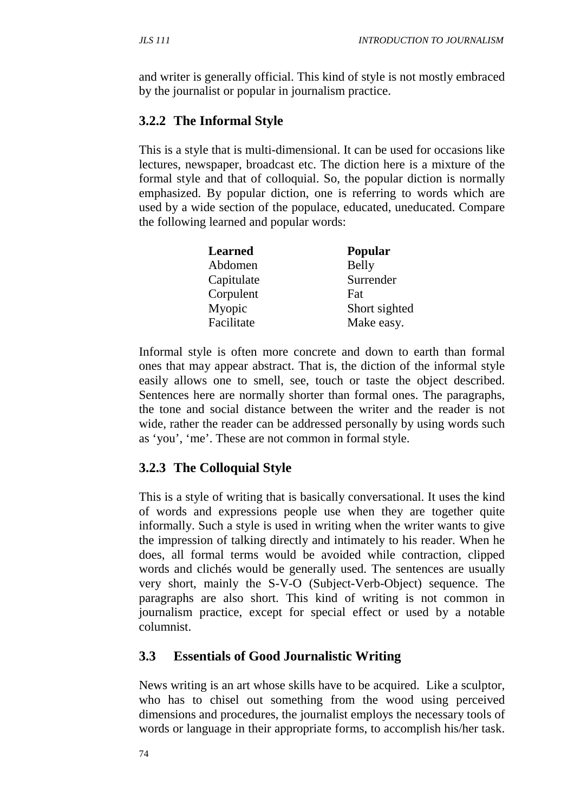and writer is generally official. This kind of style is not mostly embraced by the journalist or popular in journalism practice.

# **3.2.2 The Informal Style**

This is a style that is multi-dimensional. It can be used for occasions like lectures, newspaper, broadcast etc. The diction here is a mixture of the formal style and that of colloquial. So, the popular diction is normally emphasized. By popular diction, one is referring to words which are used by a wide section of the populace, educated, uneducated. Compare the following learned and popular words:

| <b>Learned</b> | Popular       |
|----------------|---------------|
| Abdomen        | Belly         |
| Capitulate     | Surrender     |
| Corpulent      | Fat           |
| Myopic         | Short sighted |
| Facilitate     | Make easy.    |

Informal style is often more concrete and down to earth than formal ones that may appear abstract. That is, the diction of the informal style easily allows one to smell, see, touch or taste the object described. Sentences here are normally shorter than formal ones. The paragraphs, the tone and social distance between the writer and the reader is not wide, rather the reader can be addressed personally by using words such as 'you', 'me'. These are not common in formal style.

# **3.2.3 The Colloquial Style**

This is a style of writing that is basically conversational. It uses the kind of words and expressions people use when they are together quite informally. Such a style is used in writing when the writer wants to give the impression of talking directly and intimately to his reader. When he does, all formal terms would be avoided while contraction, clipped words and clichés would be generally used. The sentences are usually very short, mainly the S-V-O (Subject-Verb-Object) sequence. The paragraphs are also short. This kind of writing is not common in journalism practice, except for special effect or used by a notable columnist.

# **3.3 Essentials of Good Journalistic Writing**

News writing is an art whose skills have to be acquired. Like a sculptor, who has to chisel out something from the wood using perceived dimensions and procedures, the journalist employs the necessary tools of words or language in their appropriate forms, to accomplish his/her task.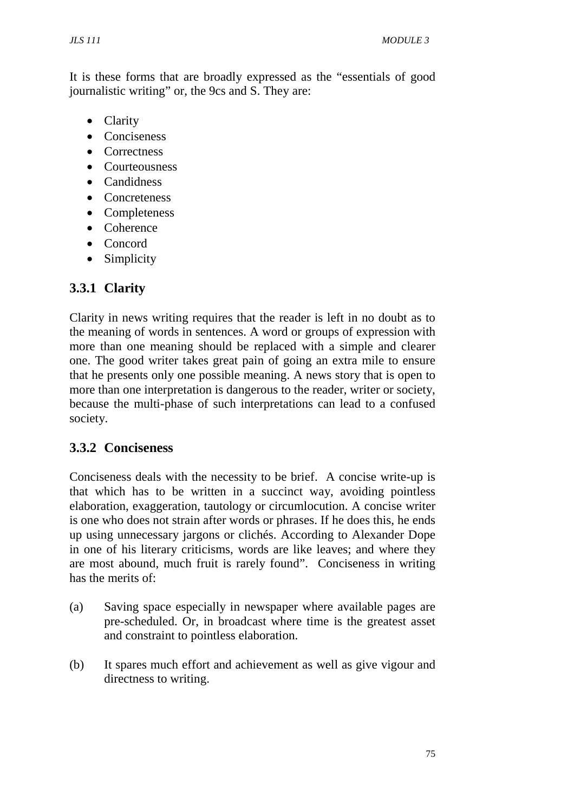It is these forms that are broadly expressed as the "essentials of good journalistic writing" or, the 9cs and S. They are:

- Clarity
- Conciseness
- Correctness
- Courteousness
- Candidness
- Concreteness
- Completeness
- Coherence
- Concord
- Simplicity

# **3.3.1 Clarity**

Clarity in news writing requires that the reader is left in no doubt as to the meaning of words in sentences. A word or groups of expression with more than one meaning should be replaced with a simple and clearer one. The good writer takes great pain of going an extra mile to ensure that he presents only one possible meaning. A news story that is open to more than one interpretation is dangerous to the reader, writer or society, because the multi-phase of such interpretations can lead to a confused society.

# **3.3.2 Conciseness**

Conciseness deals with the necessity to be brief. A concise write-up is that which has to be written in a succinct way, avoiding pointless elaboration, exaggeration, tautology or circumlocution. A concise writer is one who does not strain after words or phrases. If he does this, he ends up using unnecessary jargons or clichés. According to Alexander Dope in one of his literary criticisms, words are like leaves; and where they are most abound, much fruit is rarely found". Conciseness in writing has the merits of:

- (a) Saving space especially in newspaper where available pages are pre-scheduled. Or, in broadcast where time is the greatest asset and constraint to pointless elaboration.
- (b) It spares much effort and achievement as well as give vigour and directness to writing.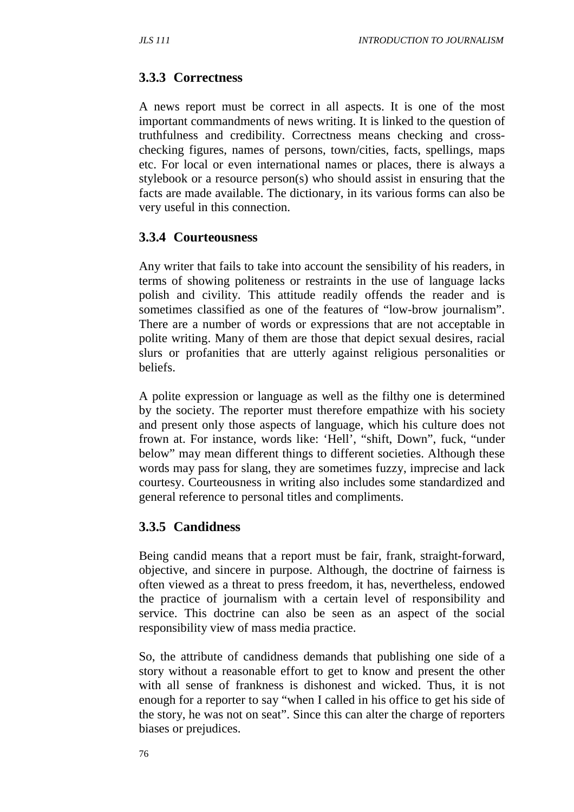#### **3.3.3 Correctness**

A news report must be correct in all aspects. It is one of the most important commandments of news writing. It is linked to the question of truthfulness and credibility. Correctness means checking and crosschecking figures, names of persons, town/cities, facts, spellings, maps etc. For local or even international names or places, there is always a stylebook or a resource person(s) who should assist in ensuring that the facts are made available. The dictionary, in its various forms can also be very useful in this connection.

#### **3.3.4 Courteousness**

Any writer that fails to take into account the sensibility of his readers, in terms of showing politeness or restraints in the use of language lacks polish and civility. This attitude readily offends the reader and is sometimes classified as one of the features of "low-brow journalism". There are a number of words or expressions that are not acceptable in polite writing. Many of them are those that depict sexual desires, racial slurs or profanities that are utterly against religious personalities or beliefs.

A polite expression or language as well as the filthy one is determined by the society. The reporter must therefore empathize with his society and present only those aspects of language, which his culture does not frown at. For instance, words like: 'Hell', "shift, Down", fuck, "under below" may mean different things to different societies. Although these words may pass for slang, they are sometimes fuzzy, imprecise and lack courtesy. Courteousness in writing also includes some standardized and general reference to personal titles and compliments.

#### **3.3.5 Candidness**

Being candid means that a report must be fair, frank, straight-forward, objective, and sincere in purpose. Although, the doctrine of fairness is often viewed as a threat to press freedom, it has, nevertheless, endowed the practice of journalism with a certain level of responsibility and service. This doctrine can also be seen as an aspect of the social responsibility view of mass media practice.

So, the attribute of candidness demands that publishing one side of a story without a reasonable effort to get to know and present the other with all sense of frankness is dishonest and wicked. Thus, it is not enough for a reporter to say "when I called in his office to get his side of the story, he was not on seat". Since this can alter the charge of reporters biases or prejudices.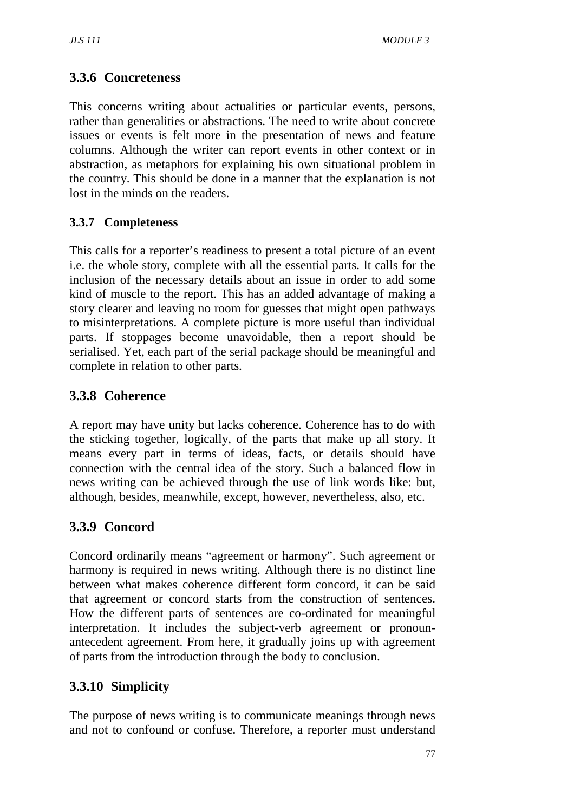# **3.3.6 Concreteness**

This concerns writing about actualities or particular events, persons, rather than generalities or abstractions. The need to write about concrete issues or events is felt more in the presentation of news and feature columns. Although the writer can report events in other context or in abstraction, as metaphors for explaining his own situational problem in the country. This should be done in a manner that the explanation is not lost in the minds on the readers.

#### **3.3.7 Completeness**

This calls for a reporter's readiness to present a total picture of an event i.e. the whole story, complete with all the essential parts. It calls for the inclusion of the necessary details about an issue in order to add some kind of muscle to the report. This has an added advantage of making a story clearer and leaving no room for guesses that might open pathways to misinterpretations. A complete picture is more useful than individual parts. If stoppages become unavoidable, then a report should be serialised. Yet, each part of the serial package should be meaningful and complete in relation to other parts.

# **3.3.8 Coherence**

A report may have unity but lacks coherence. Coherence has to do with the sticking together, logically, of the parts that make up all story. It means every part in terms of ideas, facts, or details should have connection with the central idea of the story. Such a balanced flow in news writing can be achieved through the use of link words like: but, although, besides, meanwhile, except, however, nevertheless, also, etc.

# **3.3.9 Concord**

Concord ordinarily means "agreement or harmony". Such agreement or harmony is required in news writing. Although there is no distinct line between what makes coherence different form concord, it can be said that agreement or concord starts from the construction of sentences. How the different parts of sentences are co-ordinated for meaningful interpretation. It includes the subject-verb agreement or pronounantecedent agreement. From here, it gradually joins up with agreement of parts from the introduction through the body to conclusion.

# **3.3.10 Simplicity**

The purpose of news writing is to communicate meanings through news and not to confound or confuse. Therefore, a reporter must understand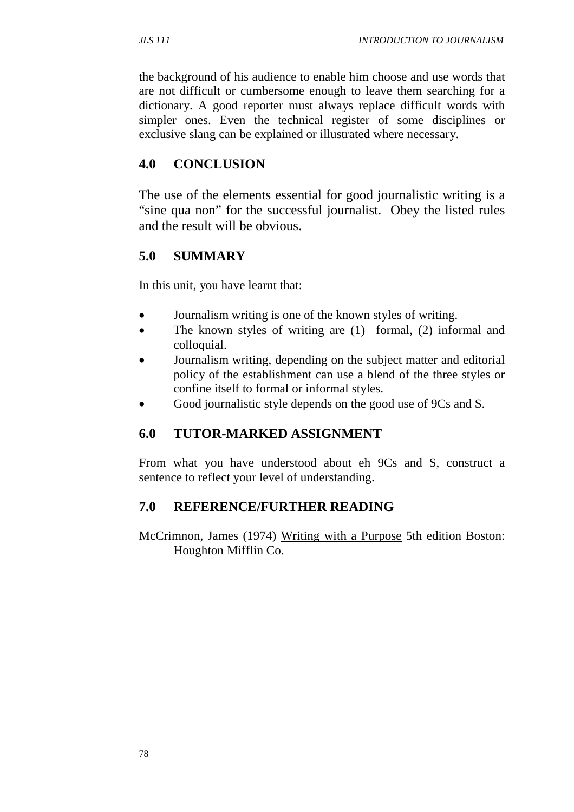the background of his audience to enable him choose and use words that are not difficult or cumbersome enough to leave them searching for a dictionary. A good reporter must always replace difficult words with simpler ones. Even the technical register of some disciplines or exclusive slang can be explained or illustrated where necessary.

### **4.0 CONCLUSION**

The use of the elements essential for good journalistic writing is a "sine qua non" for the successful journalist. Obey the listed rules and the result will be obvious.

# **5.0 SUMMARY**

In this unit, you have learnt that:

- Journalism writing is one of the known styles of writing.
- The known styles of writing are  $(1)$  formal,  $(2)$  informal and colloquial.
- Journalism writing, depending on the subject matter and editorial policy of the establishment can use a blend of the three styles or confine itself to formal or informal styles.
- Good journalistic style depends on the good use of 9Cs and S.

# **6.0 TUTOR-MARKED ASSIGNMENT**

From what you have understood about eh 9Cs and S, construct a sentence to reflect your level of understanding.

#### **7.0 REFERENCE/FURTHER READING**

McCrimnon, James (1974) Writing with a Purpose 5th edition Boston: Houghton Mifflin Co.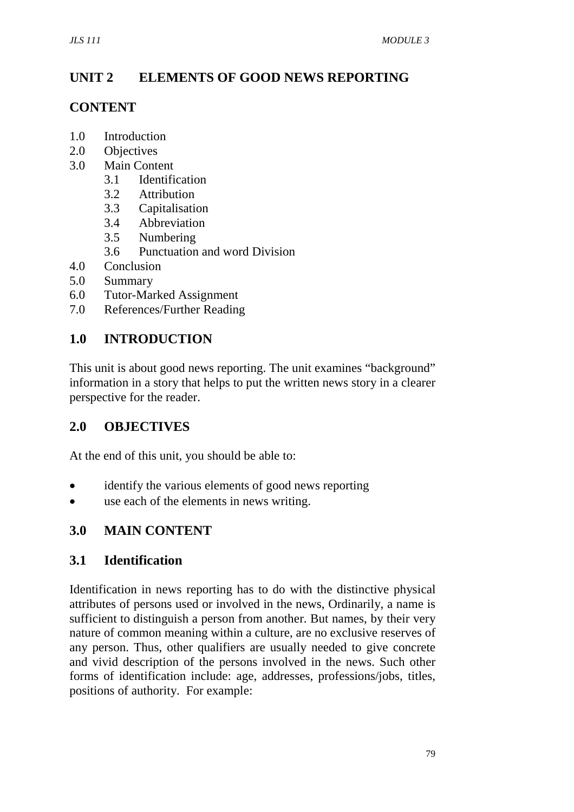# **UNIT 2 ELEMENTS OF GOOD NEWS REPORTING**

### **CONTENT**

- 1.0 Introduction
- 2.0 Objectives
- 3.0 Main Content
	- 3.1 Identification
	- 3.2 Attribution
	- 3.3 Capitalisation
	- 3.4 Abbreviation
	- 3.5 Numbering
	- 3.6 Punctuation and word Division
- 4.0 Conclusion
- 5.0 Summary
- 6.0 Tutor-Marked Assignment
- 7.0 References/Further Reading

# **1.0 INTRODUCTION**

This unit is about good news reporting. The unit examines "background" information in a story that helps to put the written news story in a clearer perspective for the reader.

# **2.0 OBJECTIVES**

At the end of this unit, you should be able to:

- identify the various elements of good news reporting
- use each of the elements in news writing.

# **3.0 MAIN CONTENT**

#### **3.1 Identification**

Identification in news reporting has to do with the distinctive physical attributes of persons used or involved in the news, Ordinarily, a name is sufficient to distinguish a person from another. But names, by their very nature of common meaning within a culture, are no exclusive reserves of any person. Thus, other qualifiers are usually needed to give concrete and vivid description of the persons involved in the news. Such other forms of identification include: age, addresses, professions/jobs, titles, positions of authority. For example: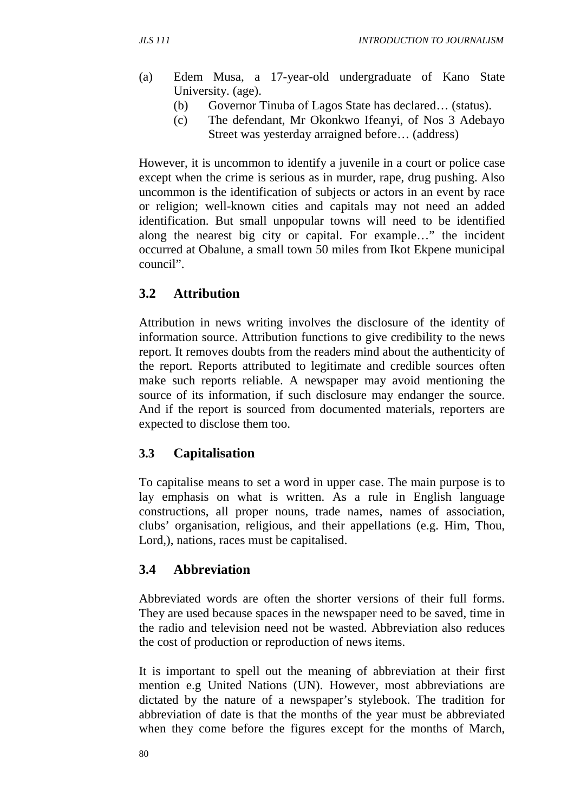- (a) Edem Musa, a 17-year-old undergraduate of Kano State University. (age).
	- (b) Governor Tinuba of Lagos State has declared… (status).
	- (c) The defendant, Mr Okonkwo Ifeanyi, of Nos 3 Adebayo Street was yesterday arraigned before… (address)

However, it is uncommon to identify a juvenile in a court or police case except when the crime is serious as in murder, rape, drug pushing. Also uncommon is the identification of subjects or actors in an event by race or religion; well-known cities and capitals may not need an added identification. But small unpopular towns will need to be identified along the nearest big city or capital. For example…" the incident occurred at Obalune, a small town 50 miles from Ikot Ekpene municipal council".

# **3.2 Attribution**

Attribution in news writing involves the disclosure of the identity of information source. Attribution functions to give credibility to the news report. It removes doubts from the readers mind about the authenticity of the report. Reports attributed to legitimate and credible sources often make such reports reliable. A newspaper may avoid mentioning the source of its information, if such disclosure may endanger the source. And if the report is sourced from documented materials, reporters are expected to disclose them too.

#### **3.3 Capitalisation**

To capitalise means to set a word in upper case. The main purpose is to lay emphasis on what is written. As a rule in English language constructions, all proper nouns, trade names, names of association, clubs' organisation, religious, and their appellations (e.g. Him, Thou, Lord,), nations, races must be capitalised.

# **3.4 Abbreviation**

Abbreviated words are often the shorter versions of their full forms. They are used because spaces in the newspaper need to be saved, time in the radio and television need not be wasted. Abbreviation also reduces the cost of production or reproduction of news items.

It is important to spell out the meaning of abbreviation at their first mention e.g United Nations (UN). However, most abbreviations are dictated by the nature of a newspaper's stylebook. The tradition for abbreviation of date is that the months of the year must be abbreviated when they come before the figures except for the months of March,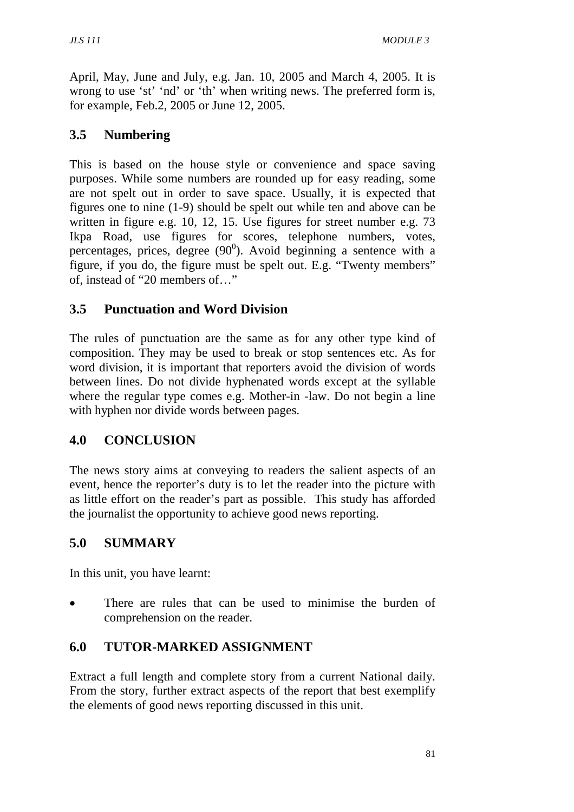April, May, June and July, e.g. Jan. 10, 2005 and March 4, 2005. It is wrong to use 'st' 'nd' or 'th' when writing news. The preferred form is, for example, Feb.2, 2005 or June 12, 2005.

# **3.5 Numbering**

This is based on the house style or convenience and space saving purposes. While some numbers are rounded up for easy reading, some are not spelt out in order to save space. Usually, it is expected that figures one to nine (1-9) should be spelt out while ten and above can be written in figure e.g. 10, 12, 15. Use figures for street number e.g. 73 Ikpa Road, use figures for scores, telephone numbers, votes, percentages, prices, degree  $(90^0)$ . Avoid beginning a sentence with a figure, if you do, the figure must be spelt out. E.g. "Twenty members" of, instead of "20 members of…"

# **3.5 Punctuation and Word Division**

The rules of punctuation are the same as for any other type kind of composition. They may be used to break or stop sentences etc. As for word division, it is important that reporters avoid the division of words between lines. Do not divide hyphenated words except at the syllable where the regular type comes e.g. Mother-in -law. Do not begin a line with hyphen nor divide words between pages.

# **4.0 CONCLUSION**

The news story aims at conveying to readers the salient aspects of an event, hence the reporter's duty is to let the reader into the picture with as little effort on the reader's part as possible. This study has afforded the journalist the opportunity to achieve good news reporting.

# **5.0 SUMMARY**

In this unit, you have learnt:

There are rules that can be used to minimise the burden of comprehension on the reader.

# **6.0 TUTOR-MARKED ASSIGNMENT**

Extract a full length and complete story from a current National daily. From the story, further extract aspects of the report that best exemplify the elements of good news reporting discussed in this unit.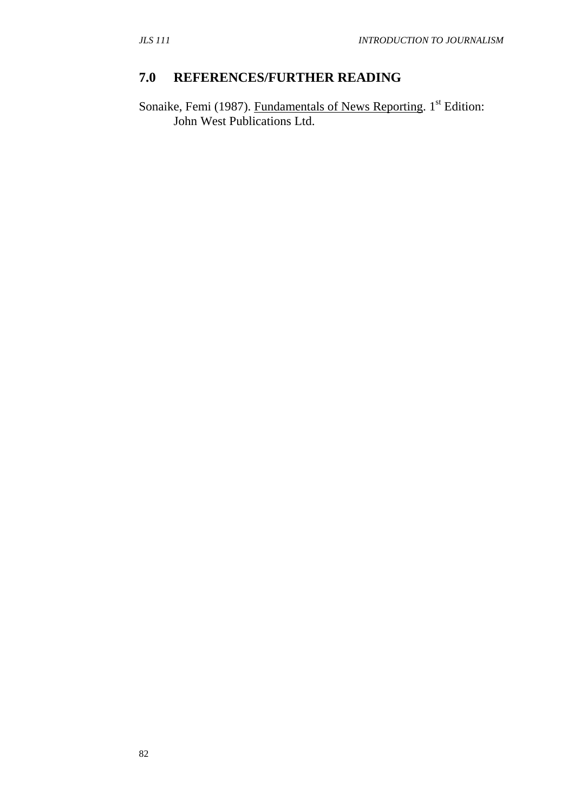### **7.0 REFERENCES/FURTHER READING**

Sonaike, Femi (1987). Fundamentals of News Reporting. 1<sup>st</sup> Edition: John West Publications Ltd.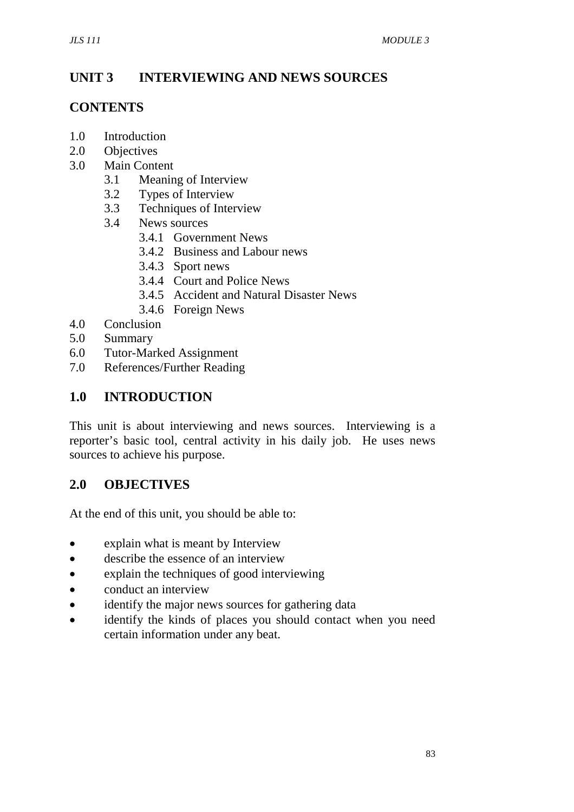# **UNIT 3 INTERVIEWING AND NEWS SOURCES**

#### **CONTENTS**

- 1.0 Introduction
- 2.0 Objectives
- 3.0 Main Content
	- 3.1 Meaning of Interview
	- 3.2 Types of Interview
	- 3.3 Techniques of Interview
	- 3.4 News sources
		- 3.4.1 Government News
		- 3.4.2 Business and Labour news
		- 3.4.3 Sport news
		- 3.4.4 Court and Police News
		- 3.4.5 Accident and Natural Disaster News
		- 3.4.6 Foreign News
- 4.0 Conclusion
- 5.0 Summary
- 6.0 Tutor-Marked Assignment
- 7.0 References/Further Reading

### **1.0 INTRODUCTION**

This unit is about interviewing and news sources. Interviewing is a reporter's basic tool, central activity in his daily job. He uses news sources to achieve his purpose.

#### **2.0 OBJECTIVES**

At the end of this unit, you should be able to:

- explain what is meant by Interview
- describe the essence of an interview
- explain the techniques of good interviewing
- conduct an interview
- identify the major news sources for gathering data
- identify the kinds of places you should contact when you need certain information under any beat.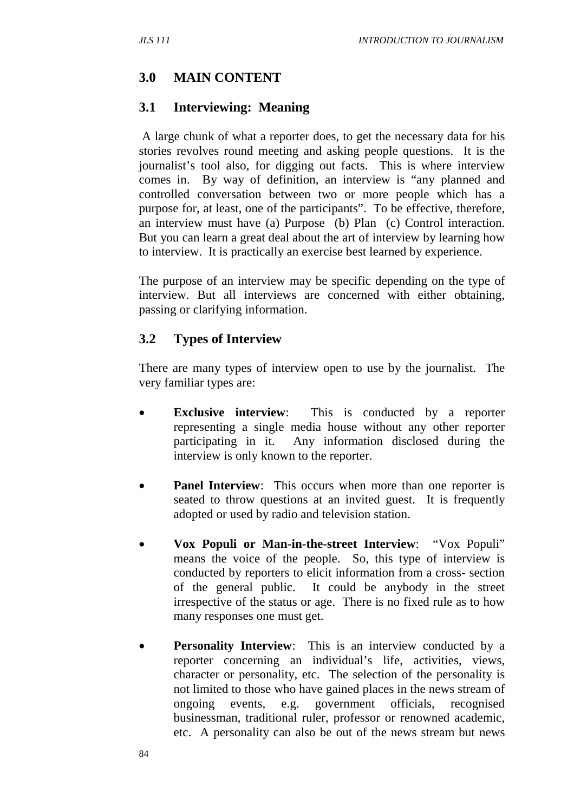#### **3.0 MAIN CONTENT**

#### **3.1 Interviewing: Meaning**

 A large chunk of what a reporter does, to get the necessary data for his stories revolves round meeting and asking people questions. It is the journalist's tool also, for digging out facts. This is where interview comes in. By way of definition, an interview is "any planned and controlled conversation between two or more people which has a purpose for, at least, one of the participants". To be effective, therefore, an interview must have (a) Purpose (b) Plan (c) Control interaction. But you can learn a great deal about the art of interview by learning how to interview. It is practically an exercise best learned by experience.

The purpose of an interview may be specific depending on the type of interview. But all interviews are concerned with either obtaining, passing or clarifying information.

#### **3.2 Types of Interview**

There are many types of interview open to use by the journalist. The very familiar types are:

- **Exclusive interview:** This is conducted by a reporter representing a single media house without any other reporter participating in it. Any information disclosed during the interview is only known to the reporter.
- **Panel Interview**: This occurs when more than one reporter is seated to throw questions at an invited guest. It is frequently adopted or used by radio and television station.
- **Vox Populi or Man-in-the-street Interview**: "Vox Populi" means the voice of the people. So, this type of interview is conducted by reporters to elicit information from a cross- section of the general public. It could be anybody in the street irrespective of the status or age. There is no fixed rule as to how many responses one must get.
- **Personality Interview**: This is an interview conducted by a reporter concerning an individual's life, activities, views, character or personality, etc. The selection of the personality is not limited to those who have gained places in the news stream of ongoing events, e.g. government officials, recognised businessman, traditional ruler, professor or renowned academic, etc. A personality can also be out of the news stream but news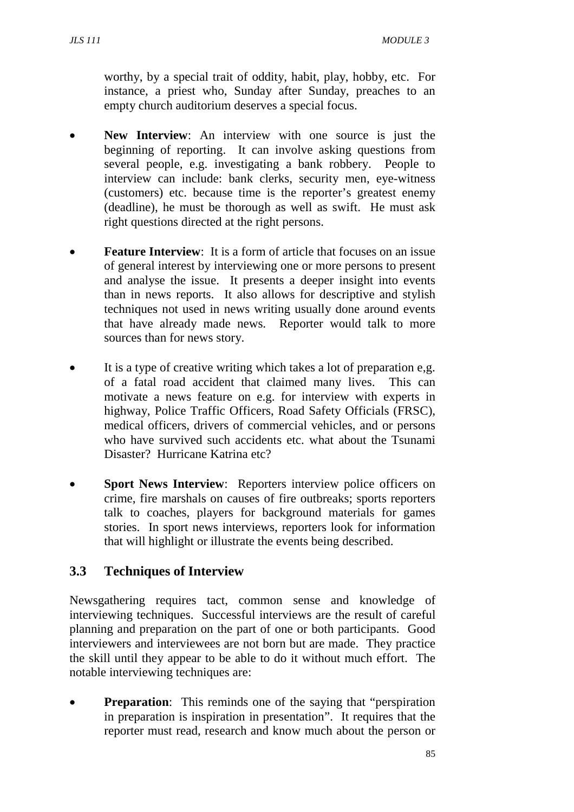worthy, by a special trait of oddity, habit, play, hobby, etc. For instance, a priest who, Sunday after Sunday, preaches to an empty church auditorium deserves a special focus.

- **New Interview**: An interview with one source is just the beginning of reporting. It can involve asking questions from several people, e.g. investigating a bank robbery. People to interview can include: bank clerks, security men, eye-witness (customers) etc. because time is the reporter's greatest enemy (deadline), he must be thorough as well as swift. He must ask right questions directed at the right persons.
- **Feature Interview**: It is a form of article that focuses on an issue of general interest by interviewing one or more persons to present and analyse the issue. It presents a deeper insight into events than in news reports. It also allows for descriptive and stylish techniques not used in news writing usually done around events that have already made news. Reporter would talk to more sources than for news story.
- It is a type of creative writing which takes a lot of preparation e,g. of a fatal road accident that claimed many lives. This can motivate a news feature on e.g. for interview with experts in highway, Police Traffic Officers, Road Safety Officials (FRSC), medical officers, drivers of commercial vehicles, and or persons who have survived such accidents etc. what about the Tsunami Disaster? Hurricane Katrina etc?
- **Sport News Interview:** Reporters interview police officers on crime, fire marshals on causes of fire outbreaks; sports reporters talk to coaches, players for background materials for games stories. In sport news interviews, reporters look for information that will highlight or illustrate the events being described.

# **3.3 Techniques of Interview**

Newsgathering requires tact, common sense and knowledge of interviewing techniques. Successful interviews are the result of careful planning and preparation on the part of one or both participants. Good interviewers and interviewees are not born but are made. They practice the skill until they appear to be able to do it without much effort. The notable interviewing techniques are:

• **Preparation**: This reminds one of the saying that "perspiration" in preparation is inspiration in presentation". It requires that the reporter must read, research and know much about the person or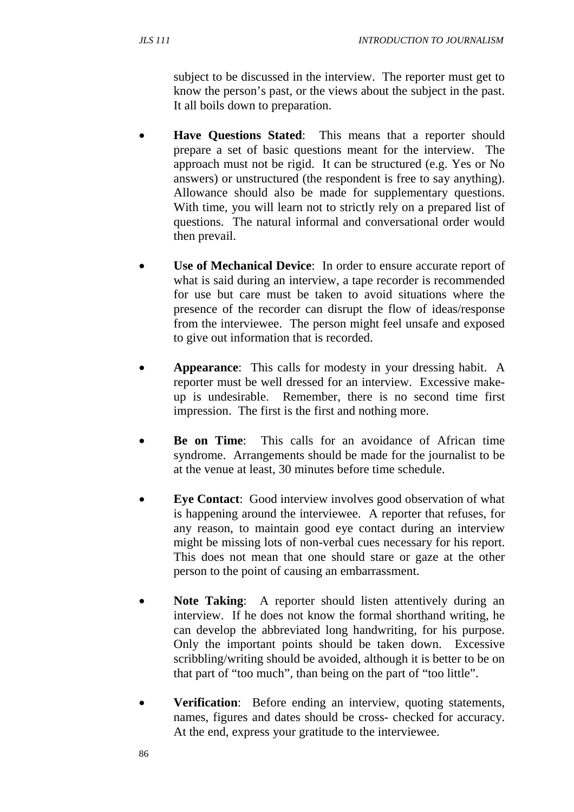subject to be discussed in the interview. The reporter must get to know the person's past, or the views about the subject in the past. It all boils down to preparation.

- **Have Questions Stated**: This means that a reporter should prepare a set of basic questions meant for the interview. The approach must not be rigid. It can be structured (e.g. Yes or No answers) or unstructured (the respondent is free to say anything). Allowance should also be made for supplementary questions. With time, you will learn not to strictly rely on a prepared list of questions. The natural informal and conversational order would then prevail.
- **Use of Mechanical Device:** In order to ensure accurate report of what is said during an interview, a tape recorder is recommended for use but care must be taken to avoid situations where the presence of the recorder can disrupt the flow of ideas/response from the interviewee. The person might feel unsafe and exposed to give out information that is recorded.
- **Appearance**: This calls for modesty in your dressing habit. A reporter must be well dressed for an interview. Excessive makeup is undesirable. Remember, there is no second time first impression. The first is the first and nothing more.
- **Be on Time**: This calls for an avoidance of African time syndrome. Arrangements should be made for the journalist to be at the venue at least, 30 minutes before time schedule.
- **Eye Contact:** Good interview involves good observation of what is happening around the interviewee. A reporter that refuses, for any reason, to maintain good eye contact during an interview might be missing lots of non-verbal cues necessary for his report. This does not mean that one should stare or gaze at the other person to the point of causing an embarrassment.
- **Note Taking:** A reporter should listen attentively during an interview. If he does not know the formal shorthand writing, he can develop the abbreviated long handwriting, for his purpose. Only the important points should be taken down. Excessive scribbling/writing should be avoided, although it is better to be on that part of "too much", than being on the part of "too little".
- **Verification**: Before ending an interview, quoting statements, names, figures and dates should be cross- checked for accuracy. At the end, express your gratitude to the interviewee.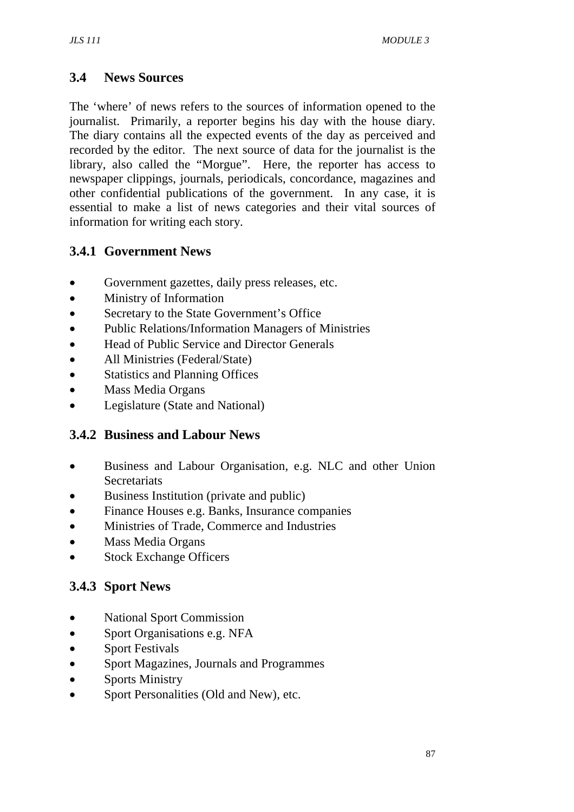# **3.4 News Sources**

The 'where' of news refers to the sources of information opened to the journalist. Primarily, a reporter begins his day with the house diary. The diary contains all the expected events of the day as perceived and recorded by the editor. The next source of data for the journalist is the library, also called the "Morgue". Here, the reporter has access to newspaper clippings, journals, periodicals, concordance, magazines and other confidential publications of the government. In any case, it is essential to make a list of news categories and their vital sources of information for writing each story.

# **3.4.1 Government News**

- Government gazettes, daily press releases, etc.
- Ministry of Information
- Secretary to the State Government's Office
- Public Relations/Information Managers of Ministries
- Head of Public Service and Director Generals
- All Ministries (Federal/State)
- Statistics and Planning Offices
- Mass Media Organs
- Legislature (State and National)

#### **3.4.2 Business and Labour News**

- Business and Labour Organisation, e.g. NLC and other Union **Secretariats**
- Business Institution (private and public)
- Finance Houses e.g. Banks, Insurance companies
- Ministries of Trade, Commerce and Industries
- Mass Media Organs
- **Stock Exchange Officers**

# **3.4.3 Sport News**

- National Sport Commission
- Sport Organisations e.g. NFA
- Sport Festivals
- Sport Magazines, Journals and Programmes
- Sports Ministry
- Sport Personalities (Old and New), etc.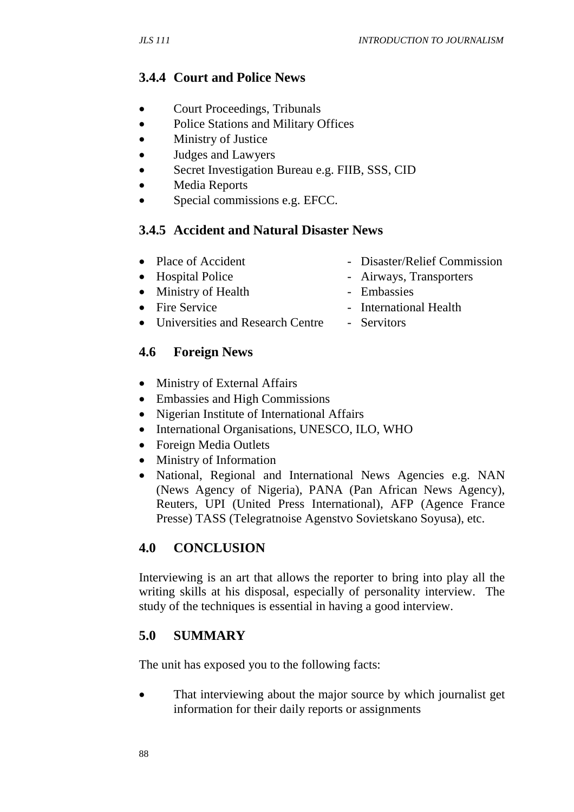# **3.4.4 Court and Police News**

- Court Proceedings, Tribunals
- Police Stations and Military Offices
- Ministry of Justice
- Judges and Lawyers
- Secret Investigation Bureau e.g. FIIB, SSS, CID
- Media Reports
- Special commissions e.g. EFCC.

### **3.4.5 Accident and Natural Disaster News**

- Place of Accident Disaster/Relief Commission
- Hospital Police Airways, Transporters • Ministry of Health - Embassies
- 
- Fire Service International Health
- Universities and Research Centre Servitors

### **4.6 Foreign News**

- Ministry of External Affairs
- Embassies and High Commissions
- Nigerian Institute of International Affairs
- International Organisations, UNESCO, ILO, WHO
- Foreign Media Outlets
- Ministry of Information
- National, Regional and International News Agencies e.g. NAN (News Agency of Nigeria), PANA (Pan African News Agency), Reuters, UPI (United Press International), AFP (Agence France Presse) TASS (Telegratnoise Agenstvo Sovietskano Soyusa), etc.

# **4.0 CONCLUSION**

Interviewing is an art that allows the reporter to bring into play all the writing skills at his disposal, especially of personality interview. The study of the techniques is essential in having a good interview.

#### **5.0 SUMMARY**

The unit has exposed you to the following facts:

• That interviewing about the major source by which journalist get information for their daily reports or assignments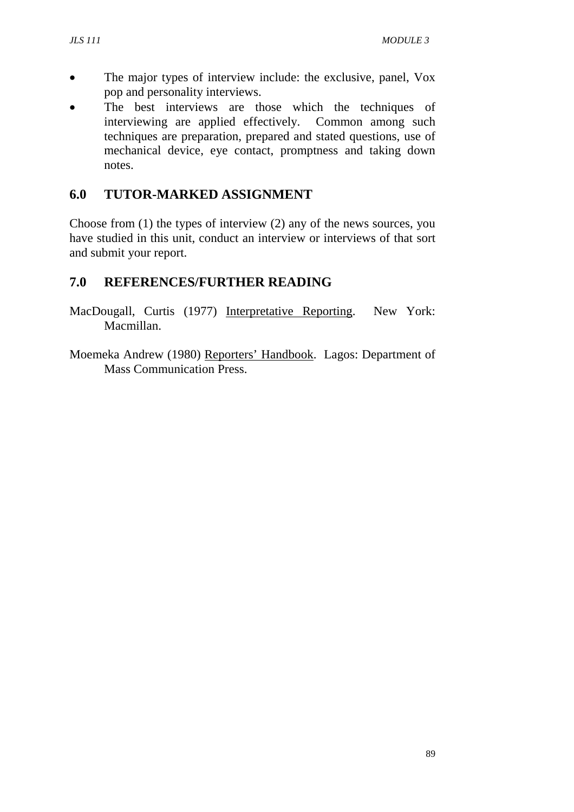- The major types of interview include: the exclusive, panel, Vox pop and personality interviews.
- The best interviews are those which the techniques of interviewing are applied effectively. Common among such techniques are preparation, prepared and stated questions, use of mechanical device, eye contact, promptness and taking down notes.

#### **6.0 TUTOR-MARKED ASSIGNMENT**

Choose from (1) the types of interview (2) any of the news sources, you have studied in this unit, conduct an interview or interviews of that sort and submit your report.

### **7.0 REFERENCES/FURTHER READING**

- MacDougall, Curtis (1977) Interpretative Reporting. New York: Macmillan.
- Moemeka Andrew (1980) Reporters' Handbook. Lagos: Department of Mass Communication Press.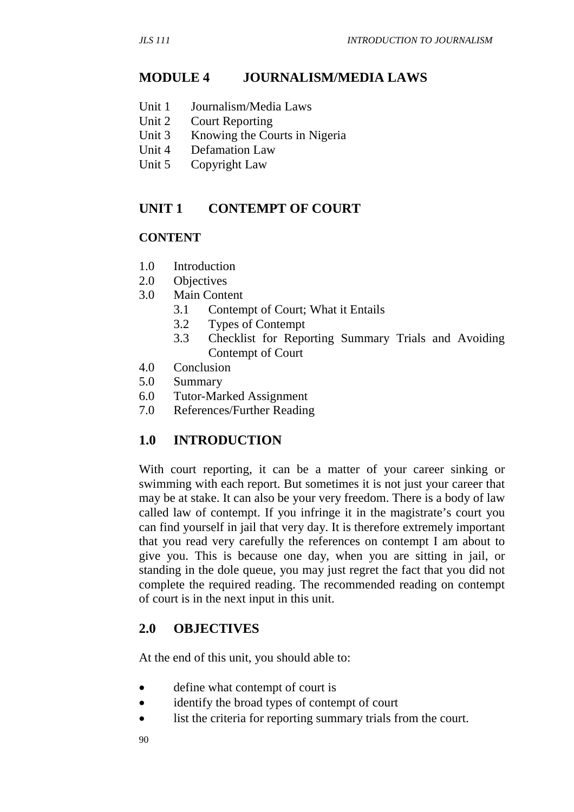#### **MODULE 4 JOURNALISM/MEDIA LAWS**

- Unit 1 Journalism/Media Laws
- Unit 2 Court Reporting
- Unit 3 Knowing the Courts in Nigeria
- Unit 4 Defamation Law
- Unit 5 Copyright Law

#### **UNIT 1 CONTEMPT OF COURT**

#### **CONTENT**

- 1.0 Introduction
- 2.0 Objectives
- 3.0 Main Content
	- 3.1 Contempt of Court; What it Entails
	- 3.2 Types of Contempt
	- 3.3 Checklist for Reporting Summary Trials and Avoiding Contempt of Court
- 4.0 Conclusion
- 5.0 Summary
- 6.0 Tutor-Marked Assignment
- 7.0 References/Further Reading

#### **1.0 INTRODUCTION**

With court reporting, it can be a matter of your career sinking or swimming with each report. But sometimes it is not just your career that may be at stake. It can also be your very freedom. There is a body of law called law of contempt. If you infringe it in the magistrate's court you can find yourself in jail that very day. It is therefore extremely important that you read very carefully the references on contempt I am about to give you. This is because one day, when you are sitting in jail, or standing in the dole queue, you may just regret the fact that you did not complete the required reading. The recommended reading on contempt of court is in the next input in this unit.

#### **2.0 OBJECTIVES**

At the end of this unit, you should able to:

- define what contempt of court is
- identify the broad types of contempt of court
- list the criteria for reporting summary trials from the court.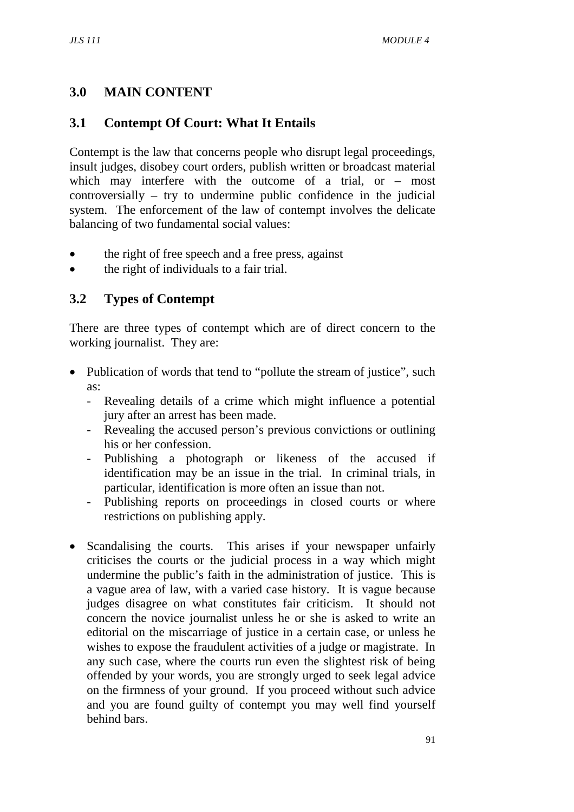# **3.0 MAIN CONTENT**

# **3.1 Contempt Of Court: What It Entails**

Contempt is the law that concerns people who disrupt legal proceedings, insult judges, disobey court orders, publish written or broadcast material which may interfere with the outcome of a trial, or – most controversially – try to undermine public confidence in the judicial system. The enforcement of the law of contempt involves the delicate balancing of two fundamental social values:

- the right of free speech and a free press, against
- the right of individuals to a fair trial.

# **3.2 Types of Contempt**

There are three types of contempt which are of direct concern to the working journalist. They are:

- Publication of words that tend to "pollute the stream of justice", such as:
	- Revealing details of a crime which might influence a potential jury after an arrest has been made.
	- Revealing the accused person's previous convictions or outlining his or her confession.
	- Publishing a photograph or likeness of the accused if identification may be an issue in the trial. In criminal trials, in particular, identification is more often an issue than not.
	- Publishing reports on proceedings in closed courts or where restrictions on publishing apply.
- Scandalising the courts. This arises if your newspaper unfairly criticises the courts or the judicial process in a way which might undermine the public's faith in the administration of justice. This is a vague area of law, with a varied case history. It is vague because judges disagree on what constitutes fair criticism. It should not concern the novice journalist unless he or she is asked to write an editorial on the miscarriage of justice in a certain case, or unless he wishes to expose the fraudulent activities of a judge or magistrate. In any such case, where the courts run even the slightest risk of being offended by your words, you are strongly urged to seek legal advice on the firmness of your ground. If you proceed without such advice and you are found guilty of contempt you may well find yourself behind bars.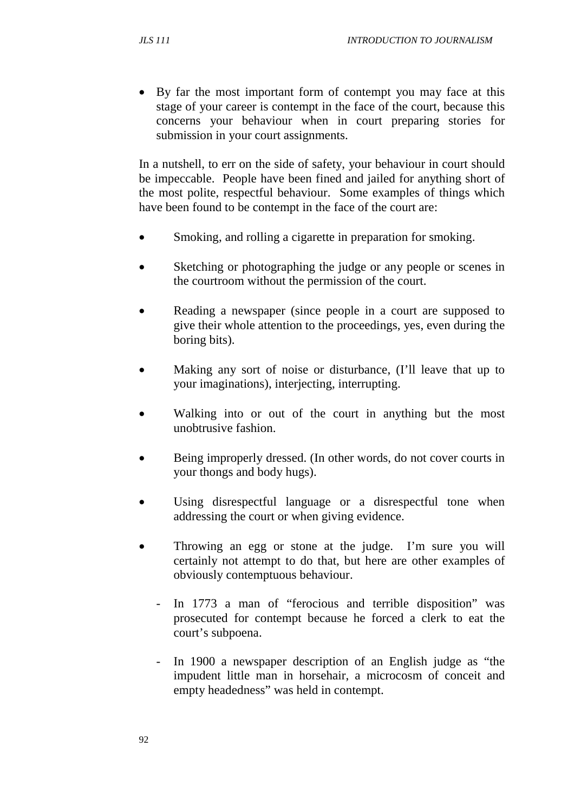• By far the most important form of contempt you may face at this stage of your career is contempt in the face of the court, because this concerns your behaviour when in court preparing stories for submission in your court assignments.

In a nutshell, to err on the side of safety, your behaviour in court should be impeccable. People have been fined and jailed for anything short of the most polite, respectful behaviour. Some examples of things which have been found to be contempt in the face of the court are:

- Smoking, and rolling a cigarette in preparation for smoking.
- Sketching or photographing the judge or any people or scenes in the courtroom without the permission of the court.
- Reading a newspaper (since people in a court are supposed to give their whole attention to the proceedings, yes, even during the boring bits).
- Making any sort of noise or disturbance, (I'll leave that up to your imaginations), interjecting, interrupting.
- Walking into or out of the court in anything but the most unobtrusive fashion.
- Being improperly dressed. (In other words, do not cover courts in your thongs and body hugs).
- Using disrespectful language or a disrespectful tone when addressing the court or when giving evidence.
- Throwing an egg or stone at the judge. I'm sure you will certainly not attempt to do that, but here are other examples of obviously contemptuous behaviour.
	- In 1773 a man of "ferocious and terrible disposition" was prosecuted for contempt because he forced a clerk to eat the court's subpoena.
	- In 1900 a newspaper description of an English judge as "the impudent little man in horsehair, a microcosm of conceit and empty headedness" was held in contempt.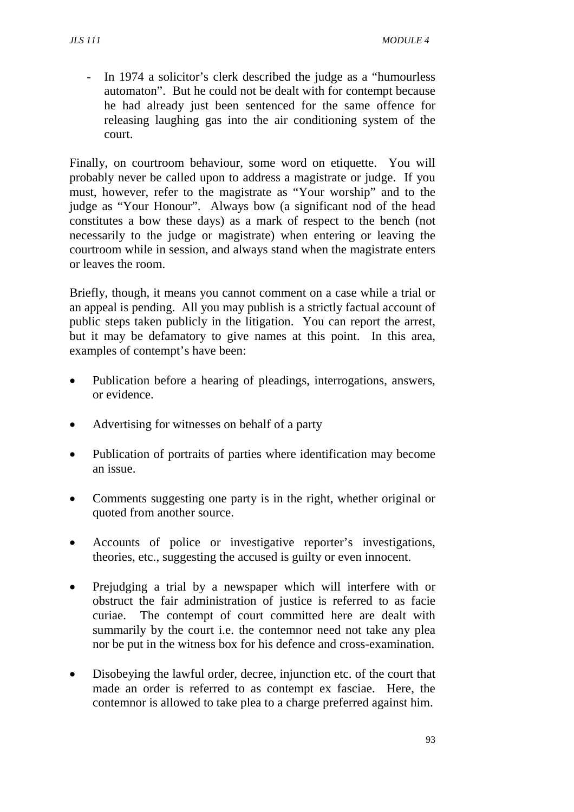- In 1974 a solicitor's clerk described the judge as a "humourless automaton". But he could not be dealt with for contempt because he had already just been sentenced for the same offence for releasing laughing gas into the air conditioning system of the court.

Finally, on courtroom behaviour, some word on etiquette. You will probably never be called upon to address a magistrate or judge. If you must, however, refer to the magistrate as "Your worship" and to the judge as "Your Honour". Always bow (a significant nod of the head constitutes a bow these days) as a mark of respect to the bench (not necessarily to the judge or magistrate) when entering or leaving the courtroom while in session, and always stand when the magistrate enters or leaves the room.

Briefly, though, it means you cannot comment on a case while a trial or an appeal is pending. All you may publish is a strictly factual account of public steps taken publicly in the litigation. You can report the arrest, but it may be defamatory to give names at this point. In this area, examples of contempt's have been:

- Publication before a hearing of pleadings, interrogations, answers, or evidence.
- Advertising for witnesses on behalf of a party
- Publication of portraits of parties where identification may become an issue.
- Comments suggesting one party is in the right, whether original or quoted from another source.
- Accounts of police or investigative reporter's investigations, theories, etc., suggesting the accused is guilty or even innocent.
- Prejudging a trial by a newspaper which will interfere with or obstruct the fair administration of justice is referred to as facie curiae. The contempt of court committed here are dealt with summarily by the court i.e. the contemnor need not take any plea nor be put in the witness box for his defence and cross-examination.
- Disobeying the lawful order, decree, injunction etc. of the court that made an order is referred to as contempt ex fasciae. Here, the contemnor is allowed to take plea to a charge preferred against him.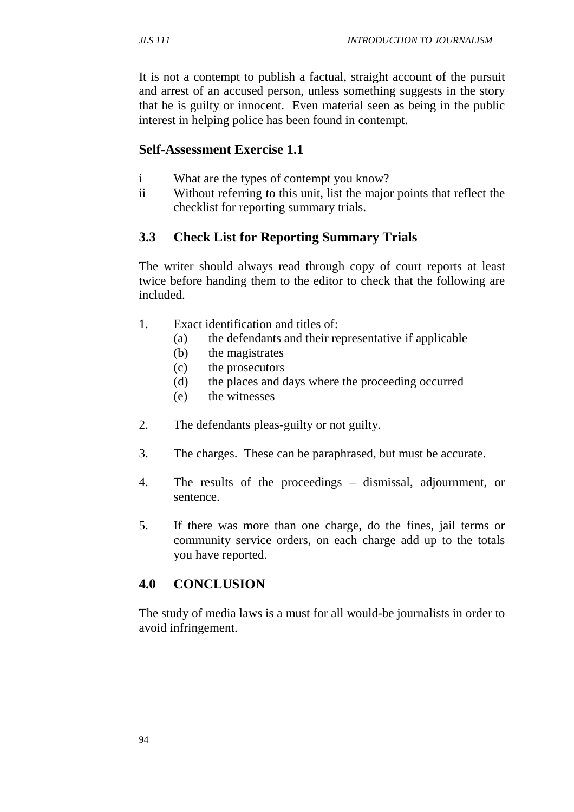It is not a contempt to publish a factual, straight account of the pursuit and arrest of an accused person, unless something suggests in the story that he is guilty or innocent. Even material seen as being in the public interest in helping police has been found in contempt.

#### **Self-Assessment Exercise 1.1**

- i What are the types of contempt you know?
- ii Without referring to this unit, list the major points that reflect the checklist for reporting summary trials.

### **3.3 Check List for Reporting Summary Trials**

The writer should always read through copy of court reports at least twice before handing them to the editor to check that the following are included.

- 1. Exact identification and titles of:
	- (a) the defendants and their representative if applicable
	- (b) the magistrates
	- (c) the prosecutors
	- (d) the places and days where the proceeding occurred
	- (e) the witnesses
- 2. The defendants pleas-guilty or not guilty.
- 3. The charges. These can be paraphrased, but must be accurate.
- 4. The results of the proceedings dismissal, adjournment, or sentence.
- 5. If there was more than one charge, do the fines, jail terms or community service orders, on each charge add up to the totals you have reported.

# **4.0 CONCLUSION**

The study of media laws is a must for all would-be journalists in order to avoid infringement.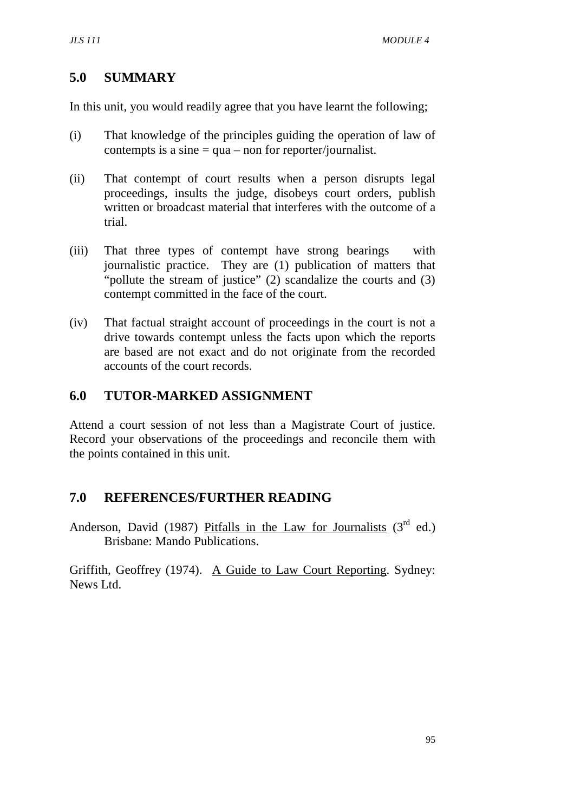#### **5.0 SUMMARY**

In this unit, you would readily agree that you have learnt the following;

- (i) That knowledge of the principles guiding the operation of law of contempts is a sine  $=$  qua – non for reporter/journalist.
- (ii) That contempt of court results when a person disrupts legal proceedings, insults the judge, disobeys court orders, publish written or broadcast material that interferes with the outcome of a trial.
- (iii) That three types of contempt have strong bearings with journalistic practice. They are (1) publication of matters that "pollute the stream of justice" (2) scandalize the courts and (3) contempt committed in the face of the court.
- (iv) That factual straight account of proceedings in the court is not a drive towards contempt unless the facts upon which the reports are based are not exact and do not originate from the recorded accounts of the court records.

### **6.0 TUTOR-MARKED ASSIGNMENT**

Attend a court session of not less than a Magistrate Court of justice. Record your observations of the proceedings and reconcile them with the points contained in this unit.

#### **7.0 REFERENCES/FURTHER READING**

Anderson, David (1987) Pitfalls in the Law for Journalists  $(3<sup>rd</sup> ed.)$ Brisbane: Mando Publications.

Griffith, Geoffrey (1974). A Guide to Law Court Reporting. Sydney: News Ltd.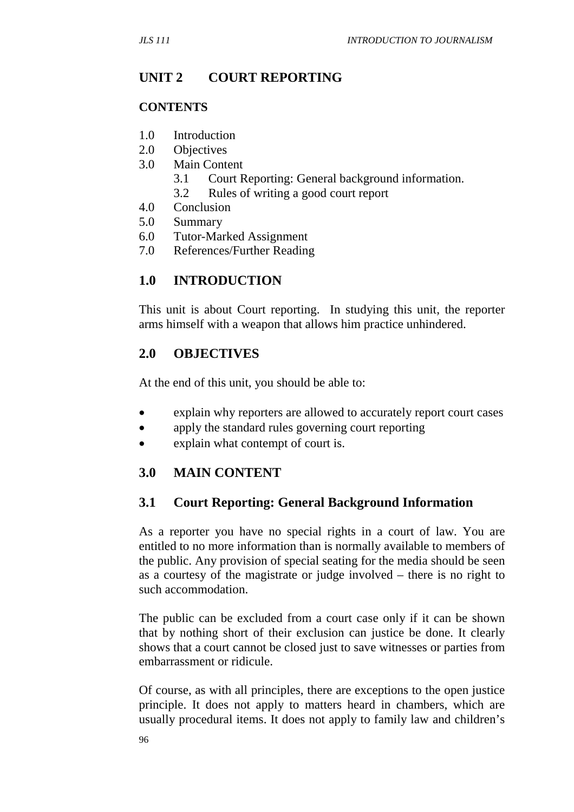### **UNIT 2 COURT REPORTING**

#### **CONTENTS**

- 1.0 Introduction
- 2.0 Objectives
- 3.0 Main Content
	- 3.1 Court Reporting: General background information.
	- 3.2 Rules of writing a good court report
- 4.0 Conclusion
- 5.0 Summary
- 6.0 Tutor-Marked Assignment
- 7.0 References/Further Reading

#### **1.0 INTRODUCTION**

This unit is about Court reporting. In studying this unit, the reporter arms himself with a weapon that allows him practice unhindered.

#### **2.0 OBJECTIVES**

At the end of this unit, you should be able to:

- explain why reporters are allowed to accurately report court cases
- apply the standard rules governing court reporting
- explain what contempt of court is.

#### **3.0 MAIN CONTENT**

#### **3.1 Court Reporting: General Background Information**

As a reporter you have no special rights in a court of law. You are entitled to no more information than is normally available to members of the public. Any provision of special seating for the media should be seen as a courtesy of the magistrate or judge involved – there is no right to such accommodation.

The public can be excluded from a court case only if it can be shown that by nothing short of their exclusion can justice be done. It clearly shows that a court cannot be closed just to save witnesses or parties from embarrassment or ridicule.

Of course, as with all principles, there are exceptions to the open justice principle. It does not apply to matters heard in chambers, which are usually procedural items. It does not apply to family law and children's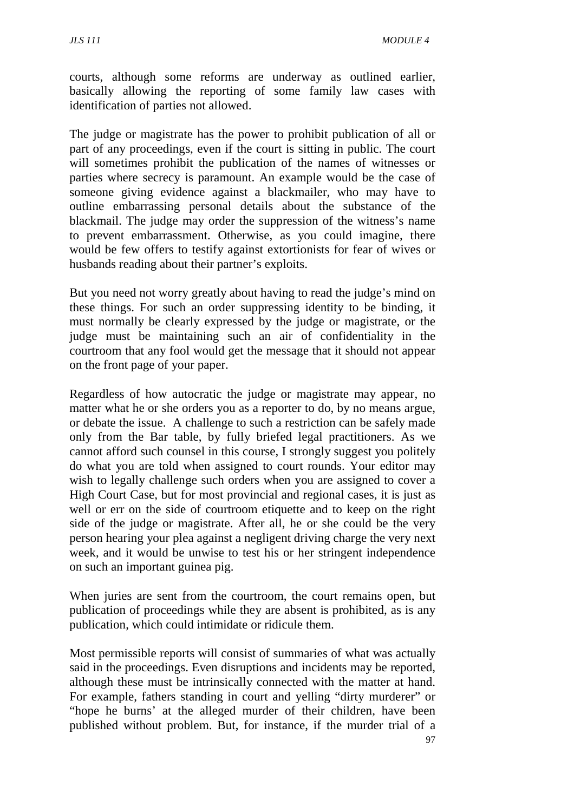courts, although some reforms are underway as outlined earlier, basically allowing the reporting of some family law cases with identification of parties not allowed.

The judge or magistrate has the power to prohibit publication of all or part of any proceedings, even if the court is sitting in public. The court will sometimes prohibit the publication of the names of witnesses or parties where secrecy is paramount. An example would be the case of someone giving evidence against a blackmailer, who may have to outline embarrassing personal details about the substance of the blackmail. The judge may order the suppression of the witness's name to prevent embarrassment. Otherwise, as you could imagine, there would be few offers to testify against extortionists for fear of wives or husbands reading about their partner's exploits.

But you need not worry greatly about having to read the judge's mind on these things. For such an order suppressing identity to be binding, it must normally be clearly expressed by the judge or magistrate, or the judge must be maintaining such an air of confidentiality in the courtroom that any fool would get the message that it should not appear on the front page of your paper.

Regardless of how autocratic the judge or magistrate may appear, no matter what he or she orders you as a reporter to do, by no means argue, or debate the issue. A challenge to such a restriction can be safely made only from the Bar table, by fully briefed legal practitioners. As we cannot afford such counsel in this course, I strongly suggest you politely do what you are told when assigned to court rounds. Your editor may wish to legally challenge such orders when you are assigned to cover a High Court Case, but for most provincial and regional cases, it is just as well or err on the side of courtroom etiquette and to keep on the right side of the judge or magistrate. After all, he or she could be the very person hearing your plea against a negligent driving charge the very next week, and it would be unwise to test his or her stringent independence on such an important guinea pig.

When juries are sent from the courtroom, the court remains open, but publication of proceedings while they are absent is prohibited, as is any publication, which could intimidate or ridicule them.

Most permissible reports will consist of summaries of what was actually said in the proceedings. Even disruptions and incidents may be reported, although these must be intrinsically connected with the matter at hand. For example, fathers standing in court and yelling "dirty murderer" or "hope he burns' at the alleged murder of their children, have been published without problem. But, for instance, if the murder trial of a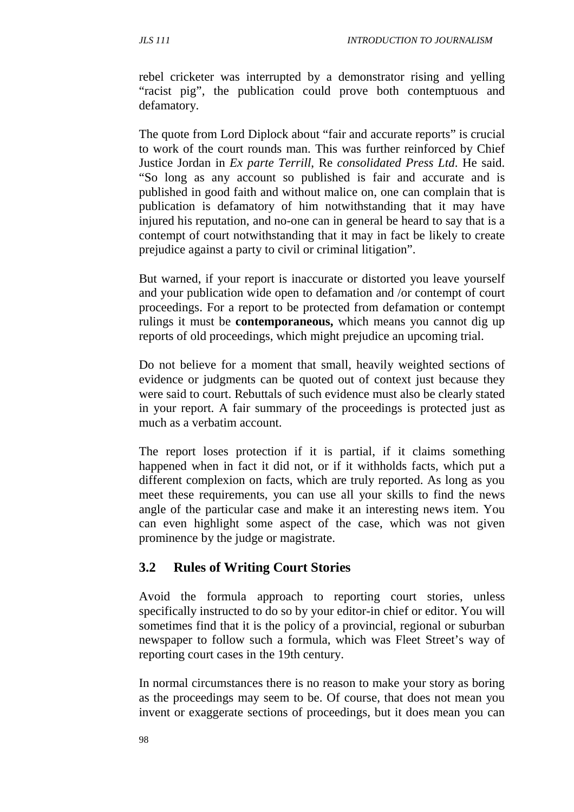rebel cricketer was interrupted by a demonstrator rising and yelling "racist pig", the publication could prove both contemptuous and defamatory.

The quote from Lord Diplock about "fair and accurate reports" is crucial to work of the court rounds man. This was further reinforced by Chief Justice Jordan in *Ex parte Terrill*, Re *consolidated Press Ltd*. He said. "So long as any account so published is fair and accurate and is published in good faith and without malice on, one can complain that is publication is defamatory of him notwithstanding that it may have injured his reputation, and no-one can in general be heard to say that is a contempt of court notwithstanding that it may in fact be likely to create prejudice against a party to civil or criminal litigation".

But warned, if your report is inaccurate or distorted you leave yourself and your publication wide open to defamation and /or contempt of court proceedings. For a report to be protected from defamation or contempt rulings it must be **contemporaneous,** which means you cannot dig up reports of old proceedings, which might prejudice an upcoming trial.

Do not believe for a moment that small, heavily weighted sections of evidence or judgments can be quoted out of context just because they were said to court. Rebuttals of such evidence must also be clearly stated in your report. A fair summary of the proceedings is protected just as much as a verbatim account.

The report loses protection if it is partial, if it claims something happened when in fact it did not, or if it withholds facts, which put a different complexion on facts, which are truly reported. As long as you meet these requirements, you can use all your skills to find the news angle of the particular case and make it an interesting news item. You can even highlight some aspect of the case, which was not given prominence by the judge or magistrate.

#### **3.2 Rules of Writing Court Stories**

Avoid the formula approach to reporting court stories, unless specifically instructed to do so by your editor-in chief or editor. You will sometimes find that it is the policy of a provincial, regional or suburban newspaper to follow such a formula, which was Fleet Street's way of reporting court cases in the 19th century.

In normal circumstances there is no reason to make your story as boring as the proceedings may seem to be. Of course, that does not mean you invent or exaggerate sections of proceedings, but it does mean you can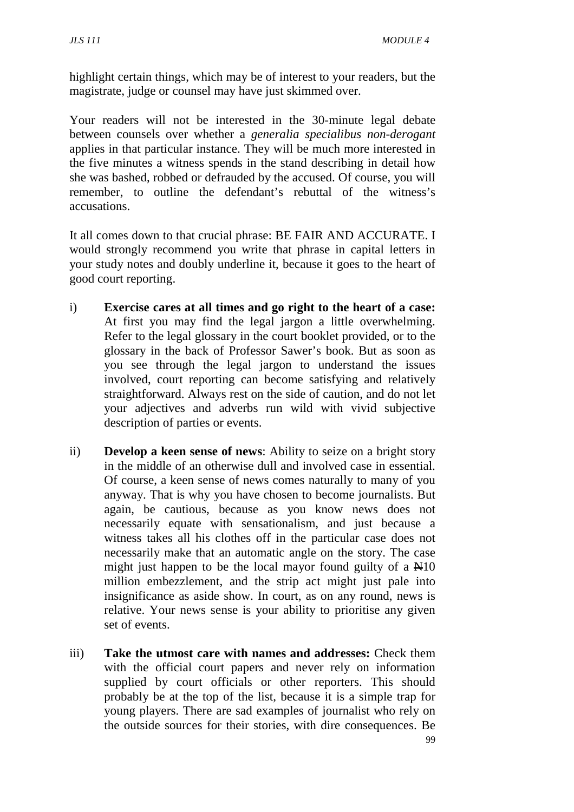highlight certain things, which may be of interest to your readers, but the magistrate, judge or counsel may have just skimmed over.

Your readers will not be interested in the 30-minute legal debate between counsels over whether a *generalia specialibus non-derogant* applies in that particular instance. They will be much more interested in the five minutes a witness spends in the stand describing in detail how she was bashed, robbed or defrauded by the accused. Of course, you will remember, to outline the defendant's rebuttal of the witness's accusations.

It all comes down to that crucial phrase: BE FAIR AND ACCURATE. I would strongly recommend you write that phrase in capital letters in your study notes and doubly underline it, because it goes to the heart of good court reporting.

- i) **Exercise cares at all times and go right to the heart of a case:** At first you may find the legal jargon a little overwhelming. Refer to the legal glossary in the court booklet provided, or to the glossary in the back of Professor Sawer's book. But as soon as you see through the legal jargon to understand the issues involved, court reporting can become satisfying and relatively straightforward. Always rest on the side of caution, and do not let your adjectives and adverbs run wild with vivid subjective description of parties or events.
- ii) **Develop a keen sense of news**: Ability to seize on a bright story in the middle of an otherwise dull and involved case in essential. Of course, a keen sense of news comes naturally to many of you anyway. That is why you have chosen to become journalists. But again, be cautious, because as you know news does not necessarily equate with sensationalism, and just because a witness takes all his clothes off in the particular case does not necessarily make that an automatic angle on the story. The case might just happen to be the local mayor found guilty of a  $\mathbb{H}10$ million embezzlement, and the strip act might just pale into insignificance as aside show. In court, as on any round, news is relative. Your news sense is your ability to prioritise any given set of events.
- iii) **Take the utmost care with names and addresses:** Check them with the official court papers and never rely on information supplied by court officials or other reporters. This should probably be at the top of the list, because it is a simple trap for young players. There are sad examples of journalist who rely on the outside sources for their stories, with dire consequences. Be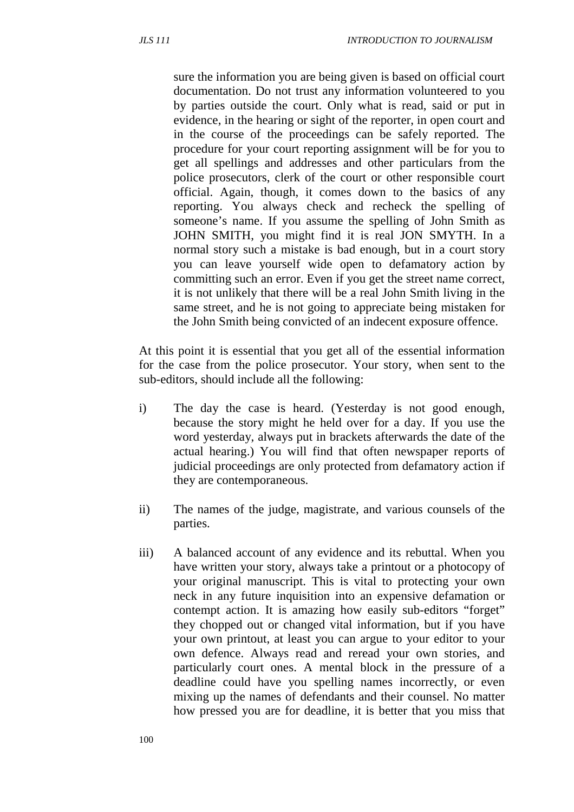sure the information you are being given is based on official court documentation. Do not trust any information volunteered to you by parties outside the court. Only what is read, said or put in evidence, in the hearing or sight of the reporter, in open court and in the course of the proceedings can be safely reported. The procedure for your court reporting assignment will be for you to get all spellings and addresses and other particulars from the police prosecutors, clerk of the court or other responsible court official. Again, though, it comes down to the basics of any reporting. You always check and recheck the spelling of someone's name. If you assume the spelling of John Smith as JOHN SMITH, you might find it is real JON SMYTH. In a normal story such a mistake is bad enough, but in a court story you can leave yourself wide open to defamatory action by committing such an error. Even if you get the street name correct, it is not unlikely that there will be a real John Smith living in the same street, and he is not going to appreciate being mistaken for the John Smith being convicted of an indecent exposure offence.

At this point it is essential that you get all of the essential information for the case from the police prosecutor. Your story, when sent to the sub-editors, should include all the following:

- i) The day the case is heard. (Yesterday is not good enough, because the story might he held over for a day. If you use the word yesterday, always put in brackets afterwards the date of the actual hearing.) You will find that often newspaper reports of judicial proceedings are only protected from defamatory action if they are contemporaneous.
- ii) The names of the judge, magistrate, and various counsels of the parties.
- iii) A balanced account of any evidence and its rebuttal. When you have written your story, always take a printout or a photocopy of your original manuscript. This is vital to protecting your own neck in any future inquisition into an expensive defamation or contempt action. It is amazing how easily sub-editors "forget" they chopped out or changed vital information, but if you have your own printout, at least you can argue to your editor to your own defence. Always read and reread your own stories, and particularly court ones. A mental block in the pressure of a deadline could have you spelling names incorrectly, or even mixing up the names of defendants and their counsel. No matter how pressed you are for deadline, it is better that you miss that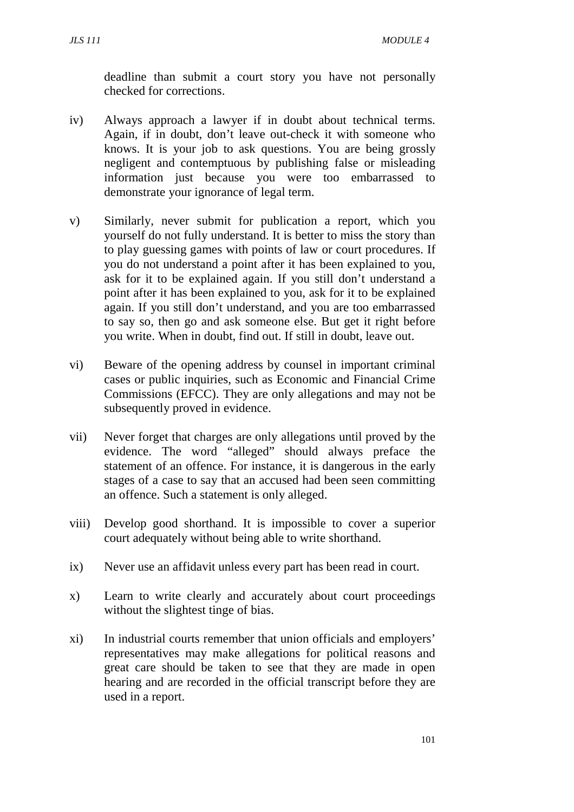deadline than submit a court story you have not personally checked for corrections.

- iv) Always approach a lawyer if in doubt about technical terms. Again, if in doubt, don't leave out-check it with someone who knows. It is your job to ask questions. You are being grossly negligent and contemptuous by publishing false or misleading information just because you were too embarrassed to demonstrate your ignorance of legal term.
- v) Similarly, never submit for publication a report, which you yourself do not fully understand. It is better to miss the story than to play guessing games with points of law or court procedures. If you do not understand a point after it has been explained to you, ask for it to be explained again. If you still don't understand a point after it has been explained to you, ask for it to be explained again. If you still don't understand, and you are too embarrassed to say so, then go and ask someone else. But get it right before you write. When in doubt, find out. If still in doubt, leave out.
- vi) Beware of the opening address by counsel in important criminal cases or public inquiries, such as Economic and Financial Crime Commissions (EFCC). They are only allegations and may not be subsequently proved in evidence.
- vii) Never forget that charges are only allegations until proved by the evidence. The word "alleged" should always preface the statement of an offence. For instance, it is dangerous in the early stages of a case to say that an accused had been seen committing an offence. Such a statement is only alleged.
- viii) Develop good shorthand. It is impossible to cover a superior court adequately without being able to write shorthand.
- ix) Never use an affidavit unless every part has been read in court.
- x) Learn to write clearly and accurately about court proceedings without the slightest tinge of bias.
- xi) In industrial courts remember that union officials and employers' representatives may make allegations for political reasons and great care should be taken to see that they are made in open hearing and are recorded in the official transcript before they are used in a report.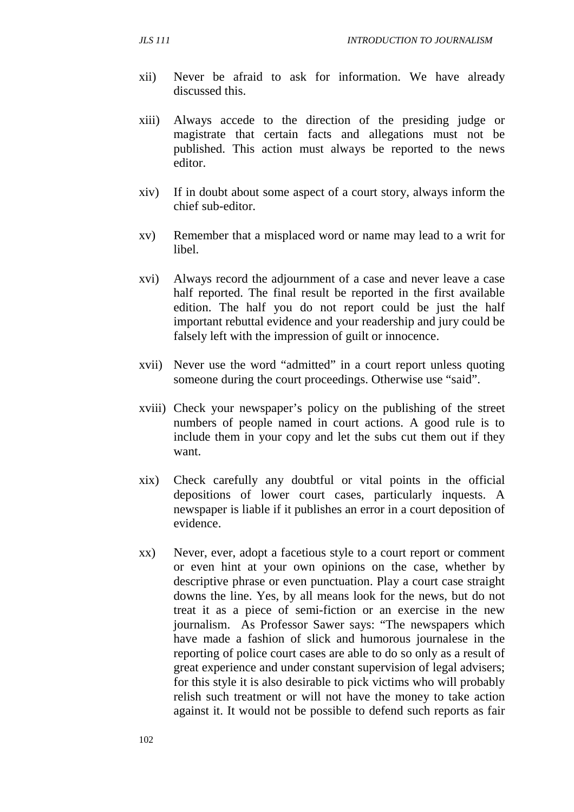- xii) Never be afraid to ask for information. We have already discussed this.
- xiii) Always accede to the direction of the presiding judge or magistrate that certain facts and allegations must not be published. This action must always be reported to the news editor.
- xiv) If in doubt about some aspect of a court story, always inform the chief sub-editor.
- xv) Remember that a misplaced word or name may lead to a writ for libel.
- xvi) Always record the adjournment of a case and never leave a case half reported. The final result be reported in the first available edition. The half you do not report could be just the half important rebuttal evidence and your readership and jury could be falsely left with the impression of guilt or innocence.
- xvii) Never use the word "admitted" in a court report unless quoting someone during the court proceedings. Otherwise use "said".
- xviii) Check your newspaper's policy on the publishing of the street numbers of people named in court actions. A good rule is to include them in your copy and let the subs cut them out if they want.
- xix) Check carefully any doubtful or vital points in the official depositions of lower court cases, particularly inquests. A newspaper is liable if it publishes an error in a court deposition of evidence.
- xx) Never, ever, adopt a facetious style to a court report or comment or even hint at your own opinions on the case, whether by descriptive phrase or even punctuation. Play a court case straight downs the line. Yes, by all means look for the news, but do not treat it as a piece of semi-fiction or an exercise in the new journalism. As Professor Sawer says: "The newspapers which have made a fashion of slick and humorous journalese in the reporting of police court cases are able to do so only as a result of great experience and under constant supervision of legal advisers; for this style it is also desirable to pick victims who will probably relish such treatment or will not have the money to take action against it. It would not be possible to defend such reports as fair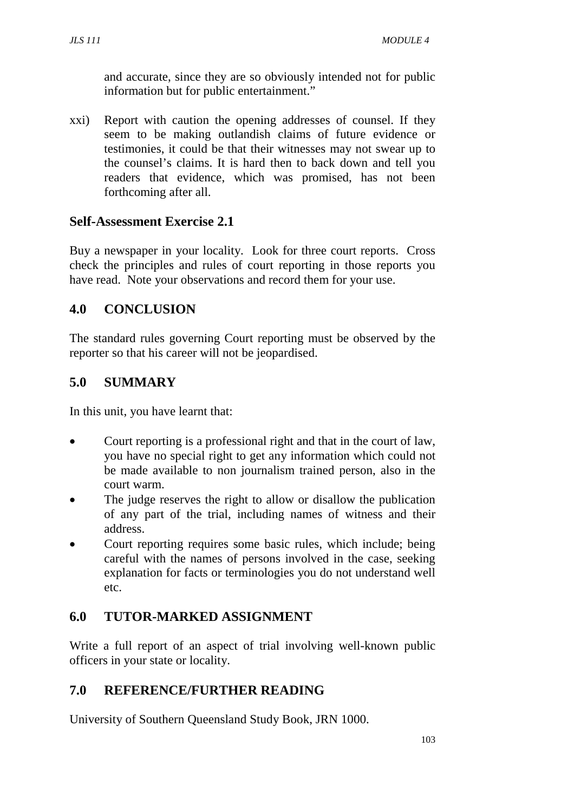and accurate, since they are so obviously intended not for public information but for public entertainment."

xxi) Report with caution the opening addresses of counsel. If they seem to be making outlandish claims of future evidence or testimonies, it could be that their witnesses may not swear up to the counsel's claims. It is hard then to back down and tell you readers that evidence, which was promised, has not been forthcoming after all.

## **Self-Assessment Exercise 2.1**

Buy a newspaper in your locality. Look for three court reports. Cross check the principles and rules of court reporting in those reports you have read. Note your observations and record them for your use.

# **4.0 CONCLUSION**

The standard rules governing Court reporting must be observed by the reporter so that his career will not be jeopardised.

# **5.0 SUMMARY**

In this unit, you have learnt that:

- Court reporting is a professional right and that in the court of law, you have no special right to get any information which could not be made available to non journalism trained person, also in the court warm.
- The judge reserves the right to allow or disallow the publication of any part of the trial, including names of witness and their address.
- Court reporting requires some basic rules, which include; being careful with the names of persons involved in the case, seeking explanation for facts or terminologies you do not understand well etc.

# **6.0 TUTOR-MARKED ASSIGNMENT**

Write a full report of an aspect of trial involving well-known public officers in your state or locality.

# **7.0 REFERENCE/FURTHER READING**

University of Southern Queensland Study Book, JRN 1000.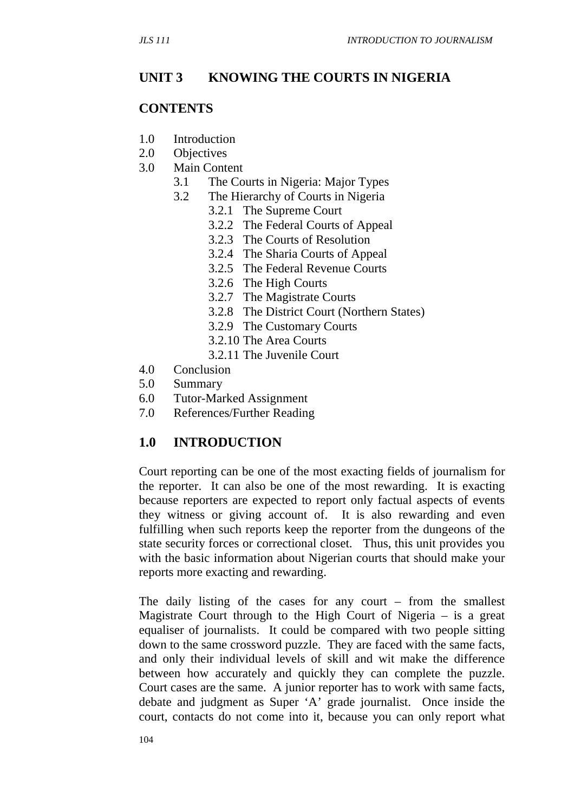#### **UNIT 3 KNOWING THE COURTS IN NIGERIA**

#### **CONTENTS**

- 1.0 Introduction
- 2.0 Objectives
- 3.0 Main Content
	- 3.1 The Courts in Nigeria: Major Types
	- 3.2 The Hierarchy of Courts in Nigeria
		- 3.2.1 The Supreme Court
		- 3.2.2 The Federal Courts of Appeal
		- 3.2.3 The Courts of Resolution
		- 3.2.4 The Sharia Courts of Appeal
		- 3.2.5 The Federal Revenue Courts
		- 3.2.6 The High Courts
		- 3.2.7 The Magistrate Courts
		- 3.2.8 The District Court (Northern States)
		- 3.2.9 The Customary Courts
		- 3.2.10 The Area Courts
		- 3.2.11 The Juvenile Court
- 4.0 Conclusion
- 5.0 Summary
- 6.0 Tutor-Marked Assignment
- 7.0 References/Further Reading

#### **1.0 INTRODUCTION**

Court reporting can be one of the most exacting fields of journalism for the reporter. It can also be one of the most rewarding. It is exacting because reporters are expected to report only factual aspects of events they witness or giving account of. It is also rewarding and even fulfilling when such reports keep the reporter from the dungeons of the state security forces or correctional closet. Thus, this unit provides you with the basic information about Nigerian courts that should make your reports more exacting and rewarding.

The daily listing of the cases for any court – from the smallest Magistrate Court through to the High Court of Nigeria – is a great equaliser of journalists. It could be compared with two people sitting down to the same crossword puzzle. They are faced with the same facts, and only their individual levels of skill and wit make the difference between how accurately and quickly they can complete the puzzle. Court cases are the same. A junior reporter has to work with same facts, debate and judgment as Super 'A' grade journalist. Once inside the court, contacts do not come into it, because you can only report what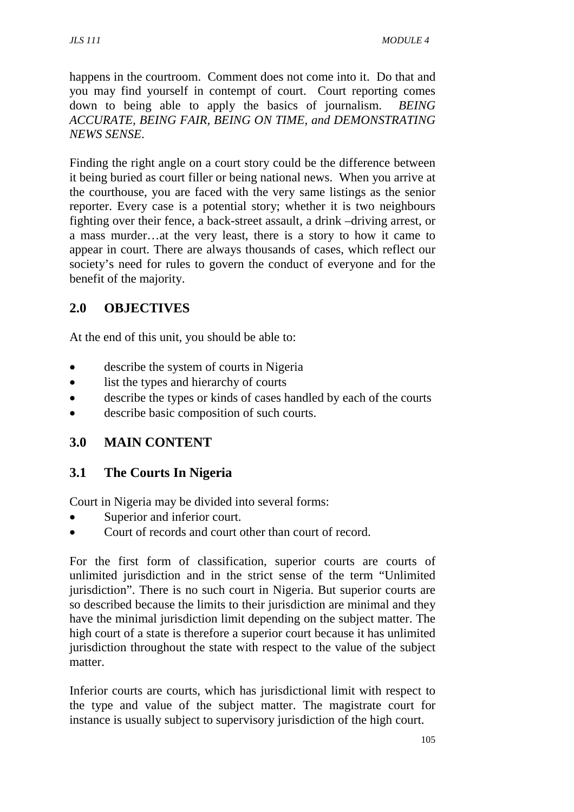happens in the courtroom. Comment does not come into it. Do that and you may find yourself in contempt of court. Court reporting comes down to being able to apply the basics of journalism. *BEING ACCURATE, BEING FAIR, BEING ON TIME, and DEMONSTRATING NEWS SENSE*.

Finding the right angle on a court story could be the difference between it being buried as court filler or being national news. When you arrive at the courthouse, you are faced with the very same listings as the senior reporter. Every case is a potential story; whether it is two neighbours fighting over their fence, a back-street assault, a drink –driving arrest, or a mass murder…at the very least, there is a story to how it came to appear in court. There are always thousands of cases, which reflect our society's need for rules to govern the conduct of everyone and for the benefit of the majority.

# **2.0 OBJECTIVES**

At the end of this unit, you should be able to:

- describe the system of courts in Nigeria
- list the types and hierarchy of courts
- describe the types or kinds of cases handled by each of the courts
- describe basic composition of such courts.

# **3.0 MAIN CONTENT**

# **3.1 The Courts In Nigeria**

Court in Nigeria may be divided into several forms:

- Superior and inferior court.
- Court of records and court other than court of record.

For the first form of classification, superior courts are courts of unlimited jurisdiction and in the strict sense of the term "Unlimited jurisdiction". There is no such court in Nigeria. But superior courts are so described because the limits to their jurisdiction are minimal and they have the minimal jurisdiction limit depending on the subject matter. The high court of a state is therefore a superior court because it has unlimited jurisdiction throughout the state with respect to the value of the subject matter.

Inferior courts are courts, which has jurisdictional limit with respect to the type and value of the subject matter. The magistrate court for instance is usually subject to supervisory jurisdiction of the high court.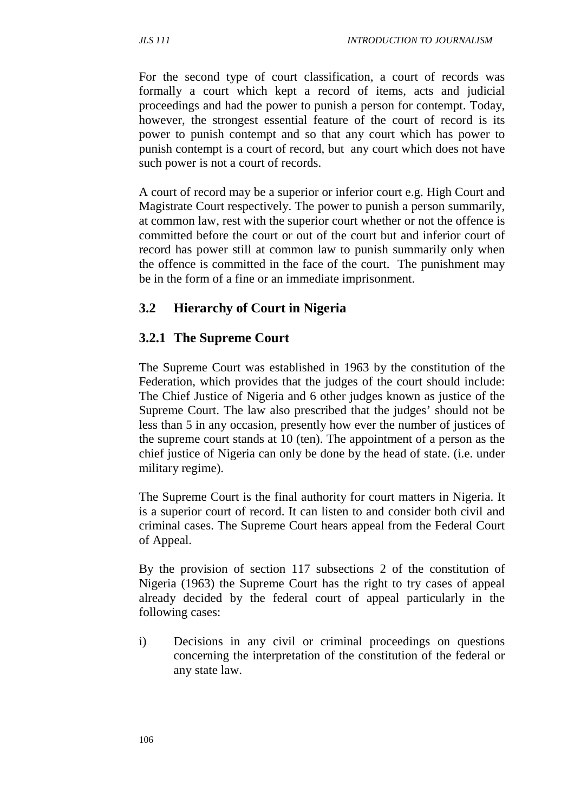For the second type of court classification, a court of records was formally a court which kept a record of items, acts and judicial proceedings and had the power to punish a person for contempt. Today, however, the strongest essential feature of the court of record is its power to punish contempt and so that any court which has power to punish contempt is a court of record, but any court which does not have such power is not a court of records.

A court of record may be a superior or inferior court e.g. High Court and Magistrate Court respectively. The power to punish a person summarily, at common law, rest with the superior court whether or not the offence is committed before the court or out of the court but and inferior court of record has power still at common law to punish summarily only when the offence is committed in the face of the court. The punishment may be in the form of a fine or an immediate imprisonment.

## **3.2 Hierarchy of Court in Nigeria**

### **3.2.1 The Supreme Court**

The Supreme Court was established in 1963 by the constitution of the Federation, which provides that the judges of the court should include: The Chief Justice of Nigeria and 6 other judges known as justice of the Supreme Court. The law also prescribed that the judges' should not be less than 5 in any occasion, presently how ever the number of justices of the supreme court stands at 10 (ten). The appointment of a person as the chief justice of Nigeria can only be done by the head of state. (i.e. under military regime).

The Supreme Court is the final authority for court matters in Nigeria. It is a superior court of record. It can listen to and consider both civil and criminal cases. The Supreme Court hears appeal from the Federal Court of Appeal.

By the provision of section 117 subsections 2 of the constitution of Nigeria (1963) the Supreme Court has the right to try cases of appeal already decided by the federal court of appeal particularly in the following cases:

i) Decisions in any civil or criminal proceedings on questions concerning the interpretation of the constitution of the federal or any state law.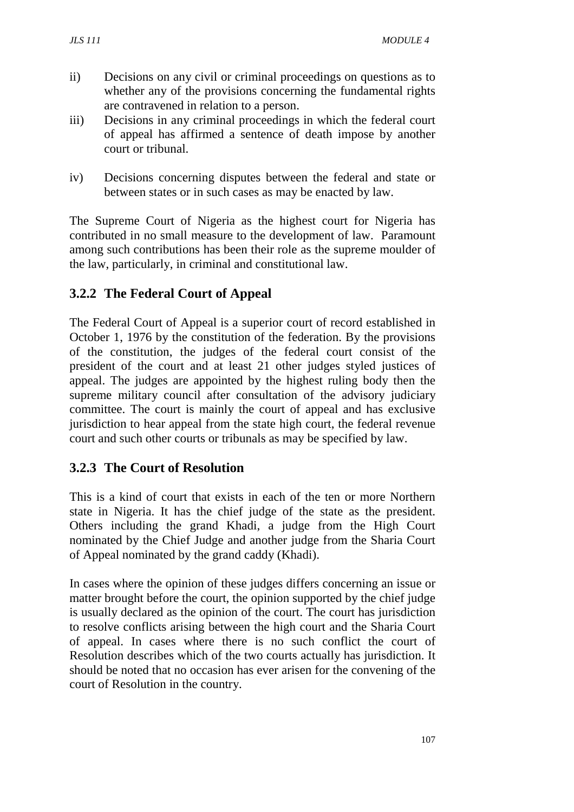- ii) Decisions on any civil or criminal proceedings on questions as to whether any of the provisions concerning the fundamental rights are contravened in relation to a person.
- iii) Decisions in any criminal proceedings in which the federal court of appeal has affirmed a sentence of death impose by another court or tribunal.
- iv) Decisions concerning disputes between the federal and state or between states or in such cases as may be enacted by law.

The Supreme Court of Nigeria as the highest court for Nigeria has contributed in no small measure to the development of law. Paramount among such contributions has been their role as the supreme moulder of the law, particularly, in criminal and constitutional law.

# **3.2.2 The Federal Court of Appeal**

The Federal Court of Appeal is a superior court of record established in October 1, 1976 by the constitution of the federation. By the provisions of the constitution, the judges of the federal court consist of the president of the court and at least 21 other judges styled justices of appeal. The judges are appointed by the highest ruling body then the supreme military council after consultation of the advisory judiciary committee. The court is mainly the court of appeal and has exclusive jurisdiction to hear appeal from the state high court, the federal revenue court and such other courts or tribunals as may be specified by law.

# **3.2.3 The Court of Resolution**

This is a kind of court that exists in each of the ten or more Northern state in Nigeria. It has the chief judge of the state as the president. Others including the grand Khadi, a judge from the High Court nominated by the Chief Judge and another judge from the Sharia Court of Appeal nominated by the grand caddy (Khadi).

In cases where the opinion of these judges differs concerning an issue or matter brought before the court, the opinion supported by the chief judge is usually declared as the opinion of the court. The court has jurisdiction to resolve conflicts arising between the high court and the Sharia Court of appeal. In cases where there is no such conflict the court of Resolution describes which of the two courts actually has jurisdiction. It should be noted that no occasion has ever arisen for the convening of the court of Resolution in the country.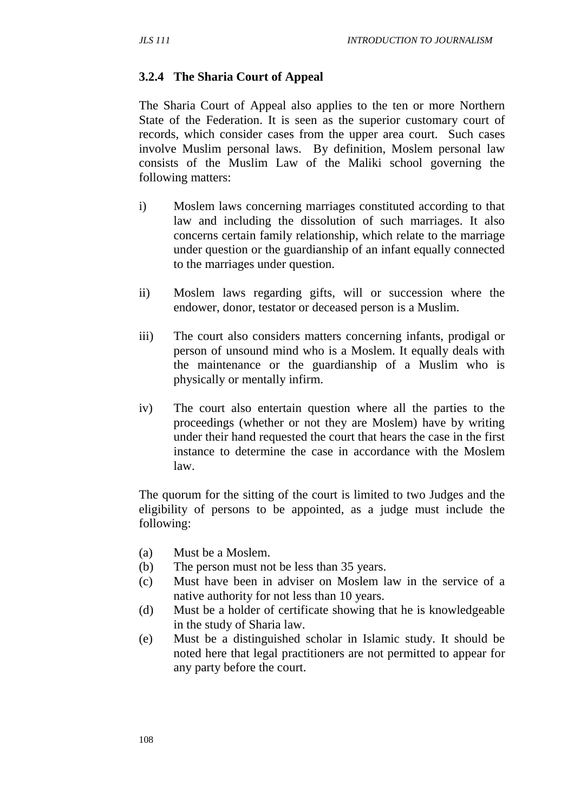#### **3.2.4 The Sharia Court of Appeal**

The Sharia Court of Appeal also applies to the ten or more Northern State of the Federation. It is seen as the superior customary court of records, which consider cases from the upper area court. Such cases involve Muslim personal laws. By definition, Moslem personal law consists of the Muslim Law of the Maliki school governing the following matters:

- i) Moslem laws concerning marriages constituted according to that law and including the dissolution of such marriages. It also concerns certain family relationship, which relate to the marriage under question or the guardianship of an infant equally connected to the marriages under question.
- ii) Moslem laws regarding gifts, will or succession where the endower, donor, testator or deceased person is a Muslim.
- iii) The court also considers matters concerning infants, prodigal or person of unsound mind who is a Moslem. It equally deals with the maintenance or the guardianship of a Muslim who is physically or mentally infirm.
- iv) The court also entertain question where all the parties to the proceedings (whether or not they are Moslem) have by writing under their hand requested the court that hears the case in the first instance to determine the case in accordance with the Moslem law.

The quorum for the sitting of the court is limited to two Judges and the eligibility of persons to be appointed, as a judge must include the following:

- (a) Must be a Moslem.
- (b) The person must not be less than 35 years.
- (c) Must have been in adviser on Moslem law in the service of a native authority for not less than 10 years.
- (d) Must be a holder of certificate showing that he is knowledgeable in the study of Sharia law.
- (e) Must be a distinguished scholar in Islamic study. It should be noted here that legal practitioners are not permitted to appear for any party before the court.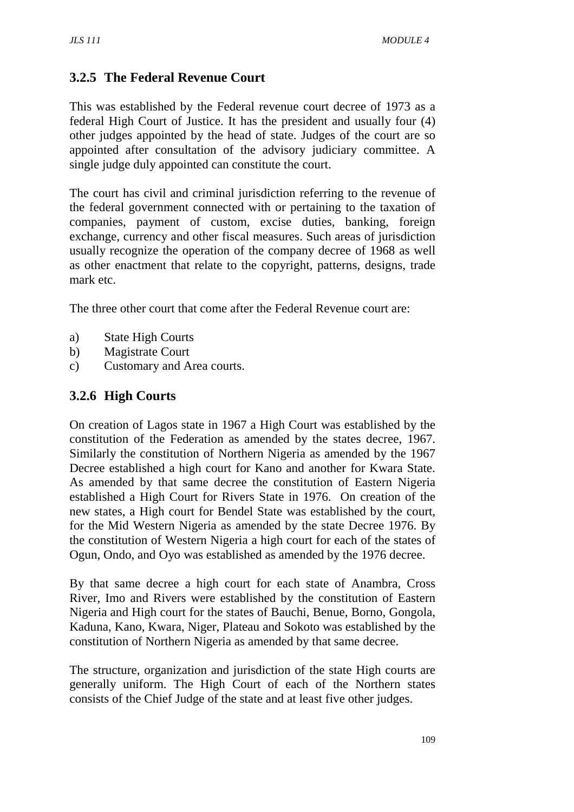# **3.2.5 The Federal Revenue Court**

This was established by the Federal revenue court decree of 1973 as a federal High Court of Justice. It has the president and usually four (4) other judges appointed by the head of state. Judges of the court are so appointed after consultation of the advisory judiciary committee. A single judge duly appointed can constitute the court.

The court has civil and criminal jurisdiction referring to the revenue of the federal government connected with or pertaining to the taxation of companies, payment of custom, excise duties, banking, foreign exchange, currency and other fiscal measures. Such areas of jurisdiction usually recognize the operation of the company decree of 1968 as well as other enactment that relate to the copyright, patterns, designs, trade mark etc.

The three other court that come after the Federal Revenue court are:

- a) State High Courts
- b) Magistrate Court
- c) Customary and Area courts.

### **3.2.6 High Courts**

On creation of Lagos state in 1967 a High Court was established by the constitution of the Federation as amended by the states decree, 1967. Similarly the constitution of Northern Nigeria as amended by the 1967 Decree established a high court for Kano and another for Kwara State. As amended by that same decree the constitution of Eastern Nigeria established a High Court for Rivers State in 1976. On creation of the new states, a High court for Bendel State was established by the court, for the Mid Western Nigeria as amended by the state Decree 1976. By the constitution of Western Nigeria a high court for each of the states of Ogun, Ondo, and Oyo was established as amended by the 1976 decree.

By that same decree a high court for each state of Anambra, Cross River, Imo and Rivers were established by the constitution of Eastern Nigeria and High court for the states of Bauchi, Benue, Borno, Gongola, Kaduna, Kano, Kwara, Niger, Plateau and Sokoto was established by the constitution of Northern Nigeria as amended by that same decree.

The structure, organization and jurisdiction of the state High courts are generally uniform. The High Court of each of the Northern states consists of the Chief Judge of the state and at least five other judges.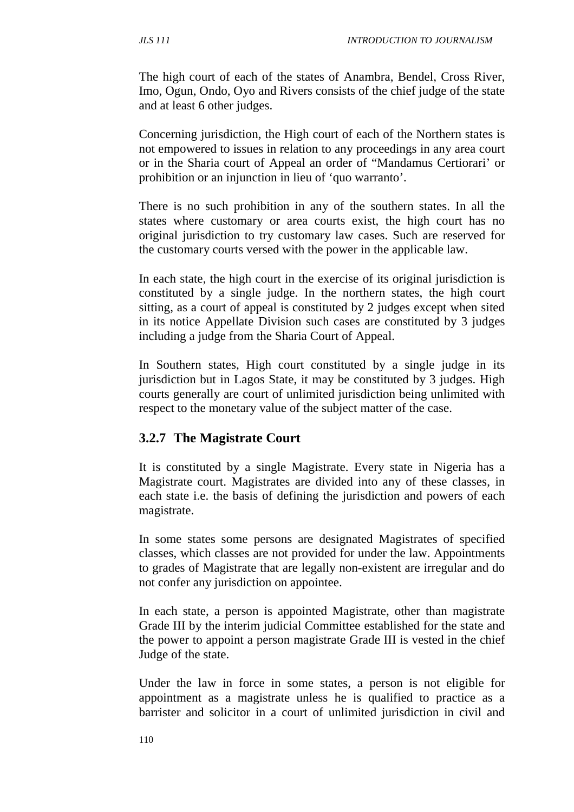The high court of each of the states of Anambra, Bendel, Cross River, Imo, Ogun, Ondo, Oyo and Rivers consists of the chief judge of the state and at least 6 other judges.

Concerning jurisdiction, the High court of each of the Northern states is not empowered to issues in relation to any proceedings in any area court or in the Sharia court of Appeal an order of "Mandamus Certiorari' or prohibition or an injunction in lieu of 'quo warranto'.

There is no such prohibition in any of the southern states. In all the states where customary or area courts exist, the high court has no original jurisdiction to try customary law cases. Such are reserved for the customary courts versed with the power in the applicable law.

In each state, the high court in the exercise of its original jurisdiction is constituted by a single judge. In the northern states, the high court sitting, as a court of appeal is constituted by 2 judges except when sited in its notice Appellate Division such cases are constituted by 3 judges including a judge from the Sharia Court of Appeal.

In Southern states, High court constituted by a single judge in its jurisdiction but in Lagos State, it may be constituted by 3 judges. High courts generally are court of unlimited jurisdiction being unlimited with respect to the monetary value of the subject matter of the case.

### **3.2.7 The Magistrate Court**

It is constituted by a single Magistrate. Every state in Nigeria has a Magistrate court. Magistrates are divided into any of these classes, in each state i.e. the basis of defining the jurisdiction and powers of each magistrate.

In some states some persons are designated Magistrates of specified classes, which classes are not provided for under the law. Appointments to grades of Magistrate that are legally non-existent are irregular and do not confer any jurisdiction on appointee.

In each state, a person is appointed Magistrate, other than magistrate Grade III by the interim judicial Committee established for the state and the power to appoint a person magistrate Grade III is vested in the chief Judge of the state.

Under the law in force in some states, a person is not eligible for appointment as a magistrate unless he is qualified to practice as a barrister and solicitor in a court of unlimited jurisdiction in civil and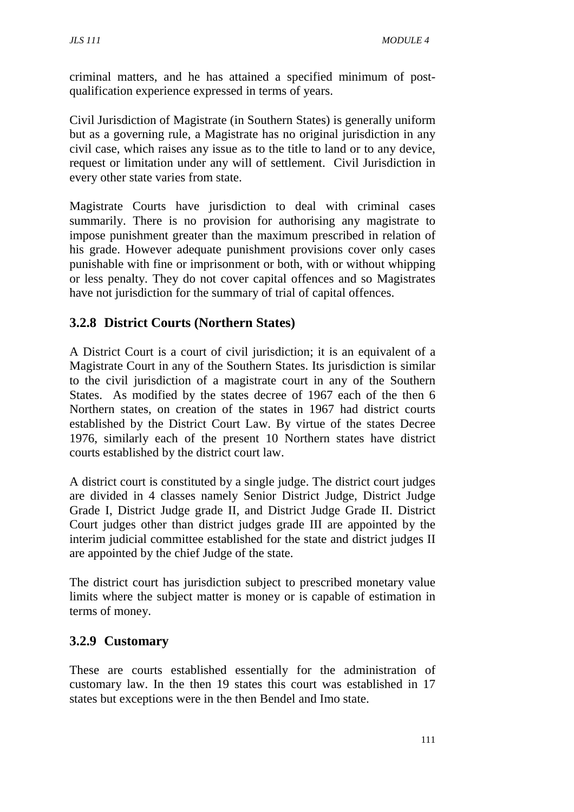criminal matters, and he has attained a specified minimum of postqualification experience expressed in terms of years.

Civil Jurisdiction of Magistrate (in Southern States) is generally uniform but as a governing rule, a Magistrate has no original jurisdiction in any civil case, which raises any issue as to the title to land or to any device, request or limitation under any will of settlement. Civil Jurisdiction in every other state varies from state.

Magistrate Courts have jurisdiction to deal with criminal cases summarily. There is no provision for authorising any magistrate to impose punishment greater than the maximum prescribed in relation of his grade. However adequate punishment provisions cover only cases punishable with fine or imprisonment or both, with or without whipping or less penalty. They do not cover capital offences and so Magistrates have not jurisdiction for the summary of trial of capital offences.

## **3.2.8 District Courts (Northern States)**

A District Court is a court of civil jurisdiction; it is an equivalent of a Magistrate Court in any of the Southern States. Its jurisdiction is similar to the civil jurisdiction of a magistrate court in any of the Southern States. As modified by the states decree of 1967 each of the then 6 Northern states, on creation of the states in 1967 had district courts established by the District Court Law. By virtue of the states Decree 1976, similarly each of the present 10 Northern states have district courts established by the district court law.

A district court is constituted by a single judge. The district court judges are divided in 4 classes namely Senior District Judge, District Judge Grade I, District Judge grade II, and District Judge Grade II. District Court judges other than district judges grade III are appointed by the interim judicial committee established for the state and district judges II are appointed by the chief Judge of the state.

The district court has jurisdiction subject to prescribed monetary value limits where the subject matter is money or is capable of estimation in terms of money.

# **3.2.9 Customary**

These are courts established essentially for the administration of customary law. In the then 19 states this court was established in 17 states but exceptions were in the then Bendel and Imo state.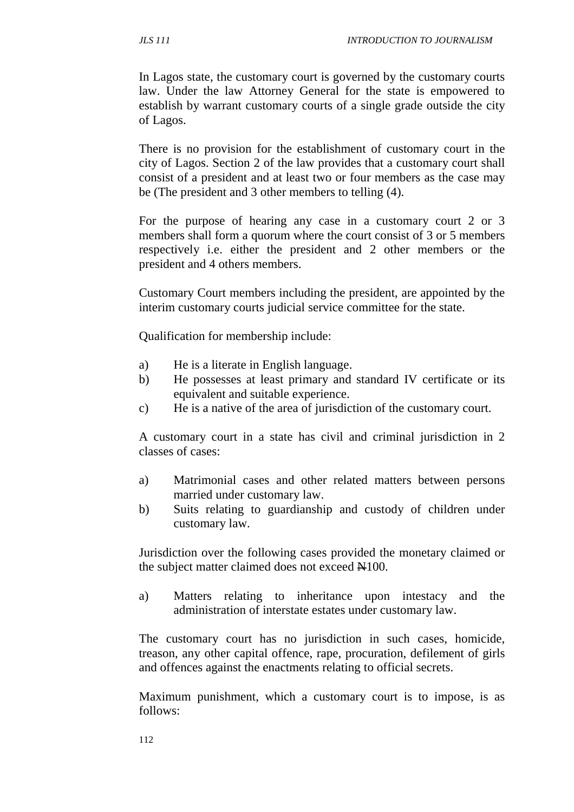In Lagos state, the customary court is governed by the customary courts law. Under the law Attorney General for the state is empowered to establish by warrant customary courts of a single grade outside the city of Lagos.

There is no provision for the establishment of customary court in the city of Lagos. Section 2 of the law provides that a customary court shall consist of a president and at least two or four members as the case may be (The president and 3 other members to telling (4).

For the purpose of hearing any case in a customary court 2 or 3 members shall form a quorum where the court consist of 3 or 5 members respectively i.e. either the president and 2 other members or the president and 4 others members.

Customary Court members including the president, are appointed by the interim customary courts judicial service committee for the state.

Qualification for membership include:

- a) He is a literate in English language.
- b) He possesses at least primary and standard IV certificate or its equivalent and suitable experience.
- c) He is a native of the area of jurisdiction of the customary court.

A customary court in a state has civil and criminal jurisdiction in 2 classes of cases:

- a) Matrimonial cases and other related matters between persons married under customary law.
- b) Suits relating to guardianship and custody of children under customary law.

Jurisdiction over the following cases provided the monetary claimed or the subject matter claimed does not exceed  $\text{H}100$ .

a) Matters relating to inheritance upon intestacy and the administration of interstate estates under customary law.

The customary court has no jurisdiction in such cases, homicide, treason, any other capital offence, rape, procuration, defilement of girls and offences against the enactments relating to official secrets.

Maximum punishment, which a customary court is to impose, is as follows: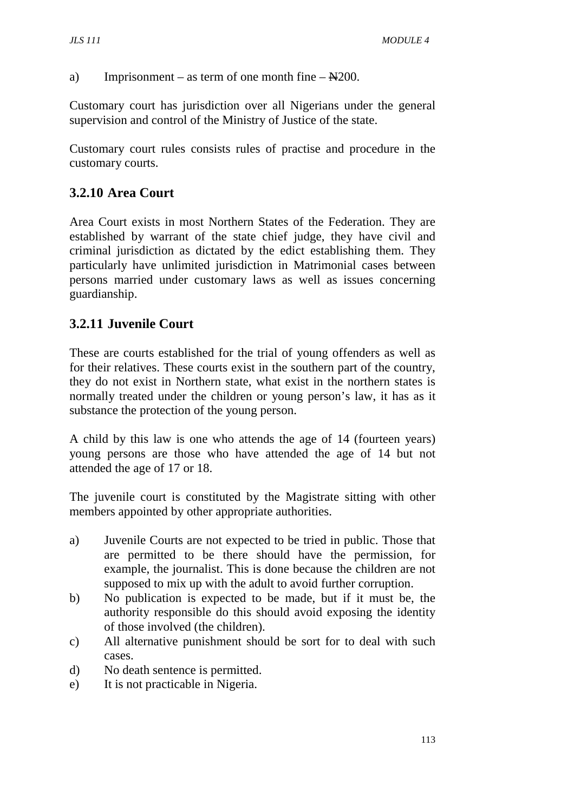a) Imprisonment – as term of one month fine –  $\text{N200}$ .

Customary court has jurisdiction over all Nigerians under the general supervision and control of the Ministry of Justice of the state.

Customary court rules consists rules of practise and procedure in the customary courts.

# **3.2.10 Area Court**

Area Court exists in most Northern States of the Federation. They are established by warrant of the state chief judge, they have civil and criminal jurisdiction as dictated by the edict establishing them. They particularly have unlimited jurisdiction in Matrimonial cases between persons married under customary laws as well as issues concerning guardianship.

## **3.2.11 Juvenile Court**

These are courts established for the trial of young offenders as well as for their relatives. These courts exist in the southern part of the country, they do not exist in Northern state, what exist in the northern states is normally treated under the children or young person's law, it has as it substance the protection of the young person.

A child by this law is one who attends the age of 14 (fourteen years) young persons are those who have attended the age of 14 but not attended the age of 17 or 18.

The juvenile court is constituted by the Magistrate sitting with other members appointed by other appropriate authorities.

- a) Juvenile Courts are not expected to be tried in public. Those that are permitted to be there should have the permission, for example, the journalist. This is done because the children are not supposed to mix up with the adult to avoid further corruption.
- b) No publication is expected to be made, but if it must be, the authority responsible do this should avoid exposing the identity of those involved (the children).
- c) All alternative punishment should be sort for to deal with such cases.
- d) No death sentence is permitted.
- e) It is not practicable in Nigeria.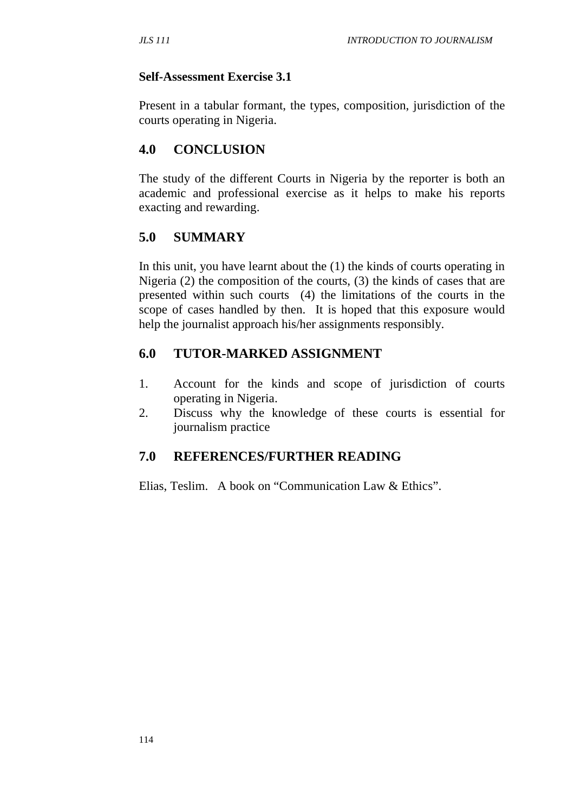## **Self-Assessment Exercise 3.1**

Present in a tabular formant, the types, composition, jurisdiction of the courts operating in Nigeria.

# **4.0 CONCLUSION**

The study of the different Courts in Nigeria by the reporter is both an academic and professional exercise as it helps to make his reports exacting and rewarding.

# **5.0 SUMMARY**

In this unit, you have learnt about the (1) the kinds of courts operating in Nigeria (2) the composition of the courts, (3) the kinds of cases that are presented within such courts (4) the limitations of the courts in the scope of cases handled by then. It is hoped that this exposure would help the journalist approach his/her assignments responsibly.

# **6.0 TUTOR-MARKED ASSIGNMENT**

- 1. Account for the kinds and scope of jurisdiction of courts operating in Nigeria.
- 2. Discuss why the knowledge of these courts is essential for journalism practice

# **7.0 REFERENCES/FURTHER READING**

Elias, Teslim. A book on "Communication Law & Ethics".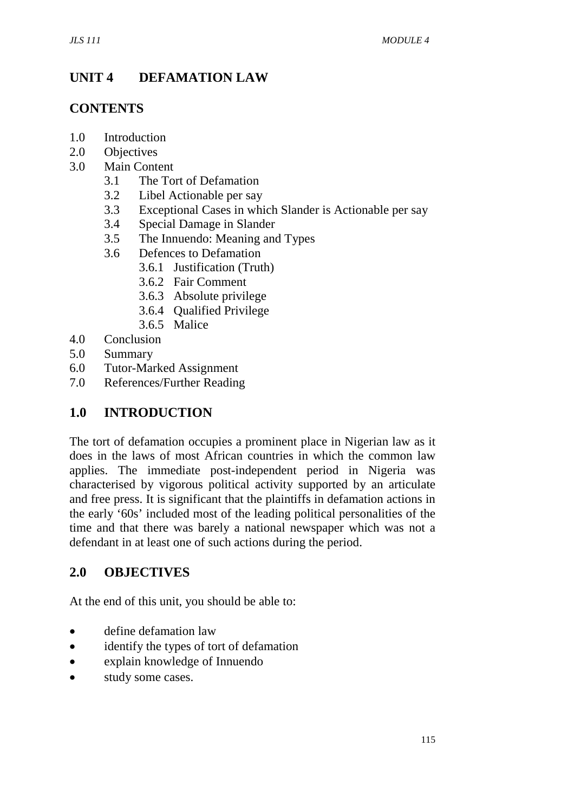# **UNIT 4 DEFAMATION LAW**

## **CONTENTS**

- 1.0 Introduction
- 2.0 Objectives
- 3.0 Main Content
	- 3.1 The Tort of Defamation
	- 3.2 Libel Actionable per say
	- 3.3 Exceptional Cases in which Slander is Actionable per say
	- 3.4 Special Damage in Slander
	- 3.5 The Innuendo: Meaning and Types
	- 3.6 Defences to Defamation
		- 3.6.1 Justification (Truth)
		- 3.6.2 Fair Comment
		- 3.6.3 Absolute privilege
		- 3.6.4 Qualified Privilege
		- 3.6.5 Malice
- 4.0 Conclusion
- 5.0 Summary
- 6.0 Tutor-Marked Assignment
- 7.0 References/Further Reading

# **1.0 INTRODUCTION**

The tort of defamation occupies a prominent place in Nigerian law as it does in the laws of most African countries in which the common law applies. The immediate post-independent period in Nigeria was characterised by vigorous political activity supported by an articulate and free press. It is significant that the plaintiffs in defamation actions in the early '60s' included most of the leading political personalities of the time and that there was barely a national newspaper which was not a defendant in at least one of such actions during the period.

### **2.0 OBJECTIVES**

At the end of this unit, you should be able to:

- define defamation law
- identify the types of tort of defamation
- explain knowledge of Innuendo
- study some cases.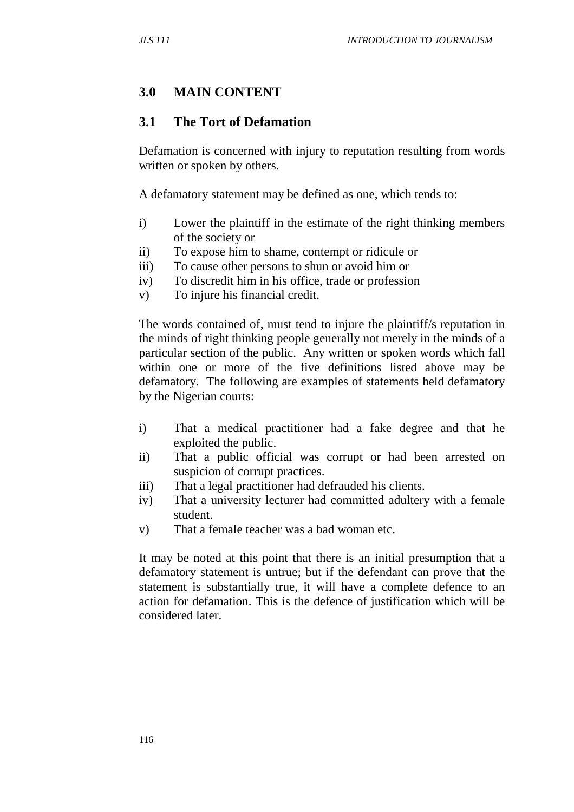## **3.0 MAIN CONTENT**

#### **3.1 The Tort of Defamation**

Defamation is concerned with injury to reputation resulting from words written or spoken by others.

A defamatory statement may be defined as one, which tends to:

- i) Lower the plaintiff in the estimate of the right thinking members of the society or
- ii) To expose him to shame, contempt or ridicule or
- iii) To cause other persons to shun or avoid him or
- iv) To discredit him in his office, trade or profession
- v) To injure his financial credit.

The words contained of, must tend to injure the plaintiff/s reputation in the minds of right thinking people generally not merely in the minds of a particular section of the public. Any written or spoken words which fall within one or more of the five definitions listed above may be defamatory. The following are examples of statements held defamatory by the Nigerian courts:

- i) That a medical practitioner had a fake degree and that he exploited the public.
- ii) That a public official was corrupt or had been arrested on suspicion of corrupt practices.
- iii) That a legal practitioner had defrauded his clients.
- iv) That a university lecturer had committed adultery with a female student.
- v) That a female teacher was a bad woman etc.

It may be noted at this point that there is an initial presumption that a defamatory statement is untrue; but if the defendant can prove that the statement is substantially true, it will have a complete defence to an action for defamation. This is the defence of justification which will be considered later.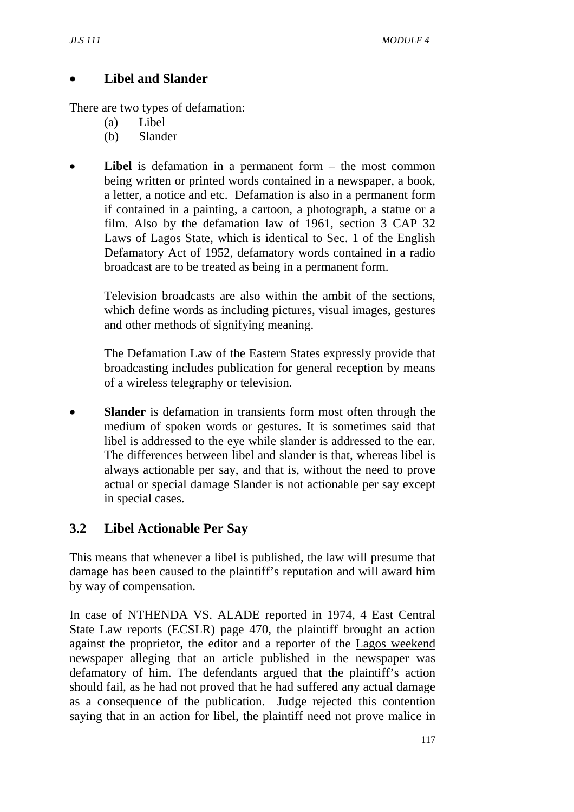## • **Libel and Slander**

There are two types of defamation:

- (a) Libel
- (b) Slander
- **Libel** is defamation in a permanent form the most common being written or printed words contained in a newspaper, a book, a letter, a notice and etc. Defamation is also in a permanent form if contained in a painting, a cartoon, a photograph, a statue or a film. Also by the defamation law of 1961, section 3 CAP 32 Laws of Lagos State, which is identical to Sec. 1 of the English Defamatory Act of 1952, defamatory words contained in a radio broadcast are to be treated as being in a permanent form.

Television broadcasts are also within the ambit of the sections, which define words as including pictures, visual images, gestures and other methods of signifying meaning.

The Defamation Law of the Eastern States expressly provide that broadcasting includes publication for general reception by means of a wireless telegraphy or television.

**Slander** is defamation in transients form most often through the medium of spoken words or gestures. It is sometimes said that libel is addressed to the eye while slander is addressed to the ear. The differences between libel and slander is that, whereas libel is always actionable per say, and that is, without the need to prove actual or special damage Slander is not actionable per say except in special cases.

# **3.2 Libel Actionable Per Say**

This means that whenever a libel is published, the law will presume that damage has been caused to the plaintiff's reputation and will award him by way of compensation.

In case of NTHENDA VS. ALADE reported in 1974, 4 East Central State Law reports (ECSLR) page 470, the plaintiff brought an action against the proprietor, the editor and a reporter of the Lagos weekend newspaper alleging that an article published in the newspaper was defamatory of him. The defendants argued that the plaintiff's action should fail, as he had not proved that he had suffered any actual damage as a consequence of the publication. Judge rejected this contention saying that in an action for libel, the plaintiff need not prove malice in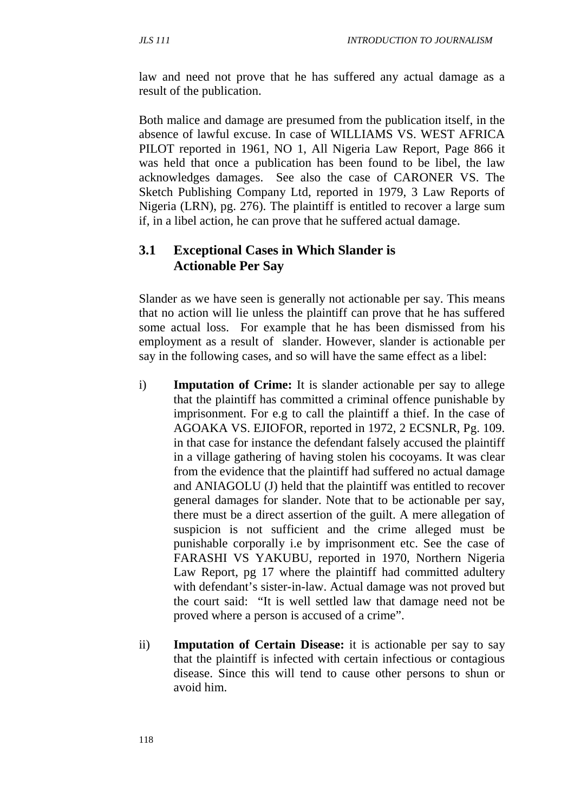law and need not prove that he has suffered any actual damage as a result of the publication.

Both malice and damage are presumed from the publication itself, in the absence of lawful excuse. In case of WILLIAMS VS. WEST AFRICA PILOT reported in 1961, NO 1, All Nigeria Law Report, Page 866 it was held that once a publication has been found to be libel, the law acknowledges damages. See also the case of CARONER VS. The Sketch Publishing Company Ltd, reported in 1979, 3 Law Reports of Nigeria (LRN), pg. 276). The plaintiff is entitled to recover a large sum if, in a libel action, he can prove that he suffered actual damage.

## **3.1 Exceptional Cases in Which Slander is Actionable Per Say**

Slander as we have seen is generally not actionable per say. This means that no action will lie unless the plaintiff can prove that he has suffered some actual loss. For example that he has been dismissed from his employment as a result of slander. However, slander is actionable per say in the following cases, and so will have the same effect as a libel:

- i) **Imputation of Crime:** It is slander actionable per say to allege that the plaintiff has committed a criminal offence punishable by imprisonment. For e.g to call the plaintiff a thief. In the case of AGOAKA VS. EJIOFOR, reported in 1972, 2 ECSNLR, Pg. 109. in that case for instance the defendant falsely accused the plaintiff in a village gathering of having stolen his cocoyams. It was clear from the evidence that the plaintiff had suffered no actual damage and ANIAGOLU (J) held that the plaintiff was entitled to recover general damages for slander. Note that to be actionable per say, there must be a direct assertion of the guilt. A mere allegation of suspicion is not sufficient and the crime alleged must be punishable corporally i.e by imprisonment etc. See the case of FARASHI VS YAKUBU, reported in 1970, Northern Nigeria Law Report, pg 17 where the plaintiff had committed adultery with defendant's sister-in-law. Actual damage was not proved but the court said: "It is well settled law that damage need not be proved where a person is accused of a crime".
- ii) **Imputation of Certain Disease:** it is actionable per say to say that the plaintiff is infected with certain infectious or contagious disease. Since this will tend to cause other persons to shun or avoid him.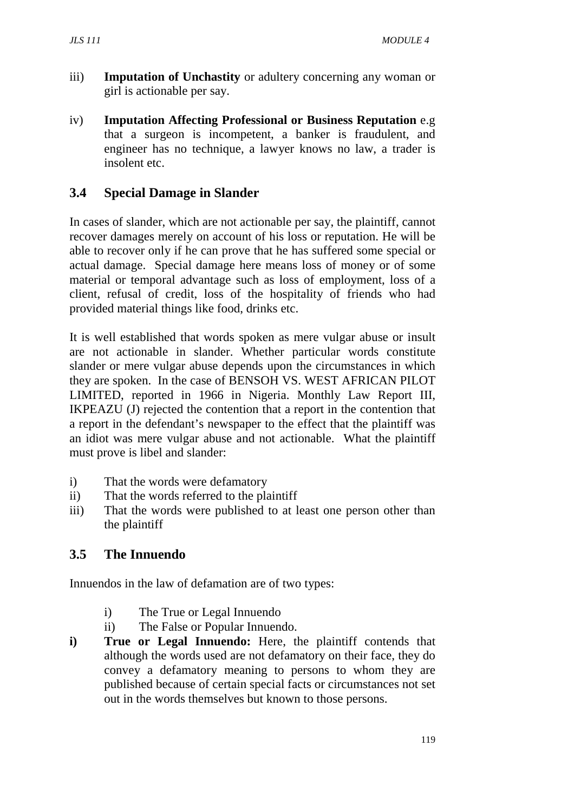- iii) **Imputation of Unchastity** or adultery concerning any woman or girl is actionable per say.
- iv) **Imputation Affecting Professional or Business Reputation** e.g that a surgeon is incompetent, a banker is fraudulent, and engineer has no technique, a lawyer knows no law, a trader is insolent etc.

## **3.4 Special Damage in Slander**

In cases of slander, which are not actionable per say, the plaintiff, cannot recover damages merely on account of his loss or reputation. He will be able to recover only if he can prove that he has suffered some special or actual damage. Special damage here means loss of money or of some material or temporal advantage such as loss of employment, loss of a client, refusal of credit, loss of the hospitality of friends who had provided material things like food, drinks etc.

It is well established that words spoken as mere vulgar abuse or insult are not actionable in slander. Whether particular words constitute slander or mere vulgar abuse depends upon the circumstances in which they are spoken. In the case of BENSOH VS. WEST AFRICAN PILOT LIMITED, reported in 1966 in Nigeria. Monthly Law Report III, IKPEAZU (J) rejected the contention that a report in the contention that a report in the defendant's newspaper to the effect that the plaintiff was an idiot was mere vulgar abuse and not actionable. What the plaintiff must prove is libel and slander:

- i) That the words were defamatory
- ii) That the words referred to the plaintiff
- iii) That the words were published to at least one person other than the plaintiff

### **3.5 The Innuendo**

Innuendos in the law of defamation are of two types:

- i) The True or Legal Innuendo
- ii) The False or Popular Innuendo.
- **i) True or Legal Innuendo:** Here, the plaintiff contends that although the words used are not defamatory on their face, they do convey a defamatory meaning to persons to whom they are published because of certain special facts or circumstances not set out in the words themselves but known to those persons.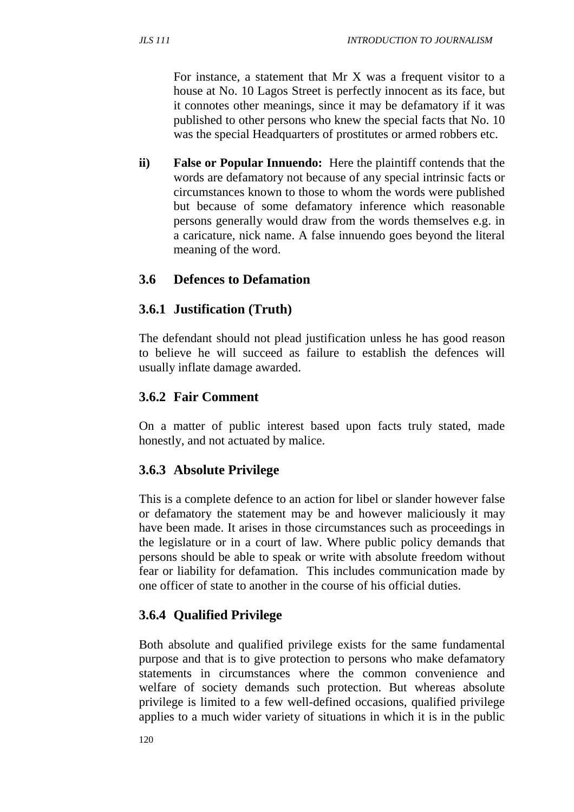For instance, a statement that Mr X was a frequent visitor to a house at No. 10 Lagos Street is perfectly innocent as its face, but it connotes other meanings, since it may be defamatory if it was published to other persons who knew the special facts that No. 10 was the special Headquarters of prostitutes or armed robbers etc.

**ii) False or Popular Innuendo:** Here the plaintiff contends that the words are defamatory not because of any special intrinsic facts or circumstances known to those to whom the words were published but because of some defamatory inference which reasonable persons generally would draw from the words themselves e.g. in a caricature, nick name. A false innuendo goes beyond the literal meaning of the word.

# **3.6 Defences to Defamation**

# **3.6.1 Justification (Truth)**

The defendant should not plead justification unless he has good reason to believe he will succeed as failure to establish the defences will usually inflate damage awarded.

# **3.6.2 Fair Comment**

On a matter of public interest based upon facts truly stated, made honestly, and not actuated by malice.

# **3.6.3 Absolute Privilege**

This is a complete defence to an action for libel or slander however false or defamatory the statement may be and however maliciously it may have been made. It arises in those circumstances such as proceedings in the legislature or in a court of law. Where public policy demands that persons should be able to speak or write with absolute freedom without fear or liability for defamation. This includes communication made by one officer of state to another in the course of his official duties.

# **3.6.4 Qualified Privilege**

Both absolute and qualified privilege exists for the same fundamental purpose and that is to give protection to persons who make defamatory statements in circumstances where the common convenience and welfare of society demands such protection. But whereas absolute privilege is limited to a few well-defined occasions, qualified privilege applies to a much wider variety of situations in which it is in the public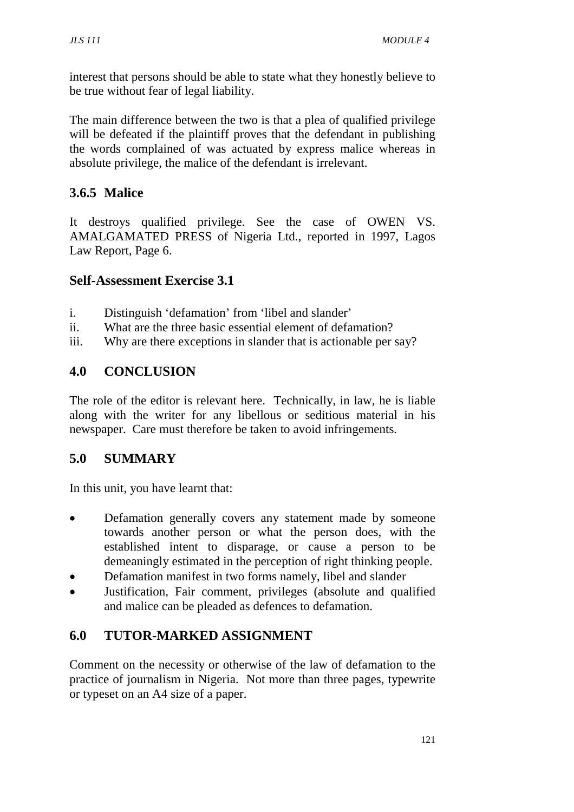interest that persons should be able to state what they honestly believe to be true without fear of legal liability.

The main difference between the two is that a plea of qualified privilege will be defeated if the plaintiff proves that the defendant in publishing the words complained of was actuated by express malice whereas in absolute privilege, the malice of the defendant is irrelevant.

# **3.6.5 Malice**

It destroys qualified privilege. See the case of OWEN VS. AMALGAMATED PRESS of Nigeria Ltd., reported in 1997, Lagos Law Report, Page 6.

### **Self-Assessment Exercise 3.1**

- i. Distinguish 'defamation' from 'libel and slander'
- ii. What are the three basic essential element of defamation?
- iii. Why are there exceptions in slander that is actionable per say?

# **4.0 CONCLUSION**

The role of the editor is relevant here. Technically, in law, he is liable along with the writer for any libellous or seditious material in his newspaper. Care must therefore be taken to avoid infringements.

# **5.0 SUMMARY**

In this unit, you have learnt that:

- Defamation generally covers any statement made by someone towards another person or what the person does, with the established intent to disparage, or cause a person to be demeaningly estimated in the perception of right thinking people.
- Defamation manifest in two forms namely, libel and slander
- Justification, Fair comment, privileges (absolute and qualified and malice can be pleaded as defences to defamation.

# **6.0 TUTOR-MARKED ASSIGNMENT**

Comment on the necessity or otherwise of the law of defamation to the practice of journalism in Nigeria. Not more than three pages, typewrite or typeset on an A4 size of a paper.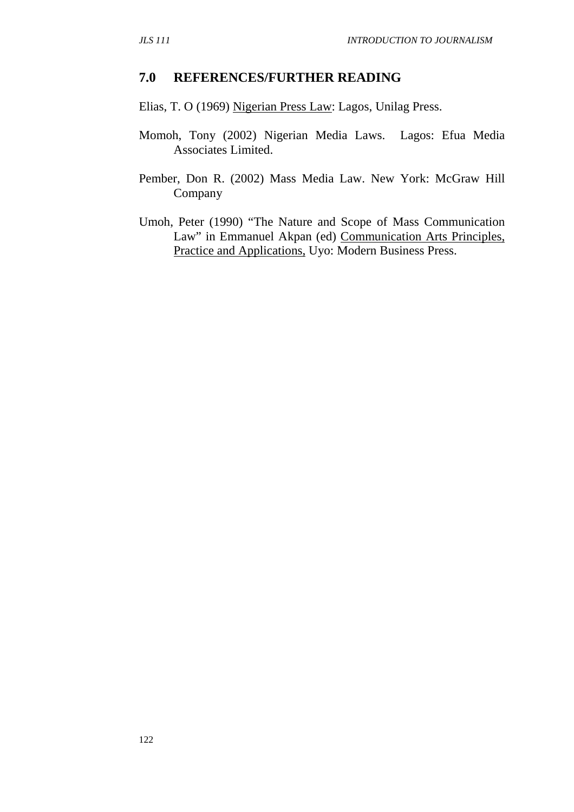#### **7.0 REFERENCES/FURTHER READING**

Elias, T. O (1969) Nigerian Press Law: Lagos, Unilag Press.

- Momoh, Tony (2002) Nigerian Media Laws. Lagos: Efua Media Associates Limited.
- Pember, Don R. (2002) Mass Media Law. New York: McGraw Hill Company
- Umoh, Peter (1990) "The Nature and Scope of Mass Communication Law" in Emmanuel Akpan (ed) Communication Arts Principles, Practice and Applications, Uyo: Modern Business Press.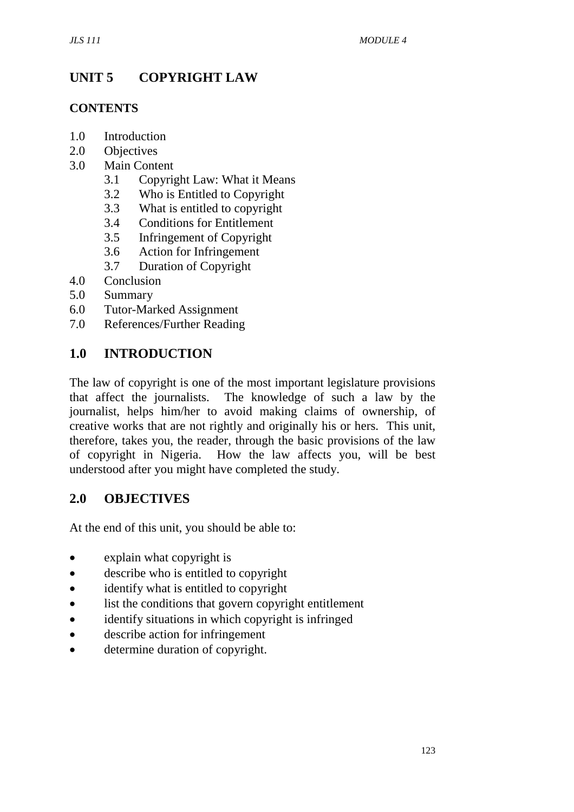# **UNIT 5 COPYRIGHT LAW**

#### **CONTENTS**

- 1.0 Introduction
- 2.0 Objectives
- 3.0 Main Content
	- 3.1 Copyright Law: What it Means
	- 3.2 Who is Entitled to Copyright
	- 3.3 What is entitled to copyright
	- 3.4 Conditions for Entitlement
	- 3.5 Infringement of Copyright
	- 3.6 Action for Infringement
	- 3.7 Duration of Copyright
- 4.0 Conclusion
- 5.0 Summary
- 6.0 Tutor-Marked Assignment
- 7.0 References/Further Reading

## **1.0 INTRODUCTION**

The law of copyright is one of the most important legislature provisions that affect the journalists. The knowledge of such a law by the journalist, helps him/her to avoid making claims of ownership, of creative works that are not rightly and originally his or hers. This unit, therefore, takes you, the reader, through the basic provisions of the law of copyright in Nigeria. How the law affects you, will be best understood after you might have completed the study.

### **2.0 OBJECTIVES**

At the end of this unit, you should be able to:

- explain what copyright is
- describe who is entitled to copyright
- identify what is entitled to copyright
- list the conditions that govern copyright entitlement
- identify situations in which copyright is infringed
- describe action for infringement
- determine duration of copyright.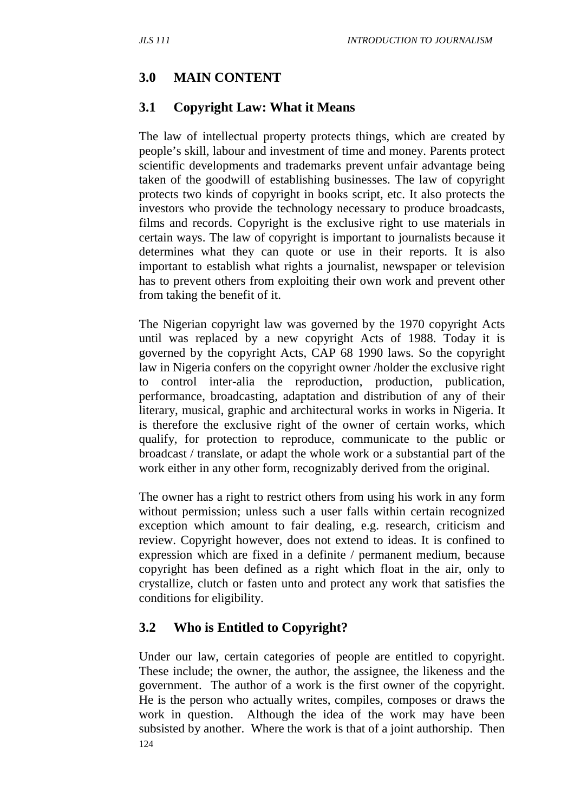# **3.0 MAIN CONTENT**

#### **3.1 Copyright Law: What it Means**

The law of intellectual property protects things, which are created by people's skill, labour and investment of time and money. Parents protect scientific developments and trademarks prevent unfair advantage being taken of the goodwill of establishing businesses. The law of copyright protects two kinds of copyright in books script, etc. It also protects the investors who provide the technology necessary to produce broadcasts, films and records. Copyright is the exclusive right to use materials in certain ways. The law of copyright is important to journalists because it determines what they can quote or use in their reports. It is also important to establish what rights a journalist, newspaper or television has to prevent others from exploiting their own work and prevent other from taking the benefit of it.

The Nigerian copyright law was governed by the 1970 copyright Acts until was replaced by a new copyright Acts of 1988. Today it is governed by the copyright Acts, CAP 68 1990 laws. So the copyright law in Nigeria confers on the copyright owner /holder the exclusive right to control inter-alia the reproduction, production, publication, performance, broadcasting, adaptation and distribution of any of their literary, musical, graphic and architectural works in works in Nigeria. It is therefore the exclusive right of the owner of certain works, which qualify, for protection to reproduce, communicate to the public or broadcast / translate, or adapt the whole work or a substantial part of the work either in any other form, recognizably derived from the original.

The owner has a right to restrict others from using his work in any form without permission; unless such a user falls within certain recognized exception which amount to fair dealing, e.g. research, criticism and review. Copyright however, does not extend to ideas. It is confined to expression which are fixed in a definite / permanent medium, because copyright has been defined as a right which float in the air, only to crystallize, clutch or fasten unto and protect any work that satisfies the conditions for eligibility.

### **3.2 Who is Entitled to Copyright?**

124 Under our law, certain categories of people are entitled to copyright. These include; the owner, the author, the assignee, the likeness and the government. The author of a work is the first owner of the copyright. He is the person who actually writes, compiles, composes or draws the work in question. Although the idea of the work may have been subsisted by another. Where the work is that of a joint authorship. Then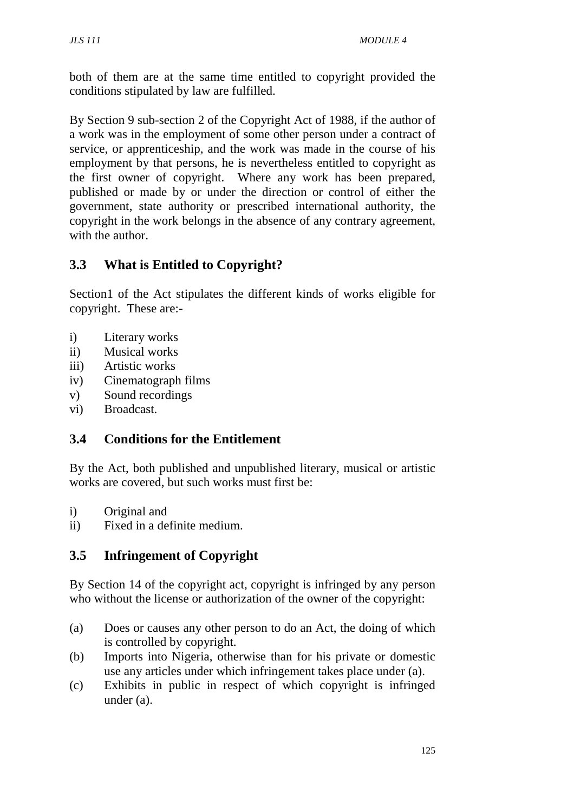both of them are at the same time entitled to copyright provided the conditions stipulated by law are fulfilled.

By Section 9 sub-section 2 of the Copyright Act of 1988, if the author of a work was in the employment of some other person under a contract of service, or apprenticeship, and the work was made in the course of his employment by that persons, he is nevertheless entitled to copyright as the first owner of copyright. Where any work has been prepared, published or made by or under the direction or control of either the government, state authority or prescribed international authority, the copyright in the work belongs in the absence of any contrary agreement, with the author.

# **3.3 What is Entitled to Copyright?**

Section1 of the Act stipulates the different kinds of works eligible for copyright. These are:-

- i) Literary works
- ii) Musical works
- iii) Artistic works
- iv) Cinematograph films
- v) Sound recordings
- vi) Broadcast.

# **3.4 Conditions for the Entitlement**

By the Act, both published and unpublished literary, musical or artistic works are covered, but such works must first be:

- i) Original and
- ii) Fixed in a definite medium.

# **3.5 Infringement of Copyright**

By Section 14 of the copyright act, copyright is infringed by any person who without the license or authorization of the owner of the copyright:

- (a) Does or causes any other person to do an Act, the doing of which is controlled by copyright.
- (b) Imports into Nigeria, otherwise than for his private or domestic use any articles under which infringement takes place under (a).
- (c) Exhibits in public in respect of which copyright is infringed under (a).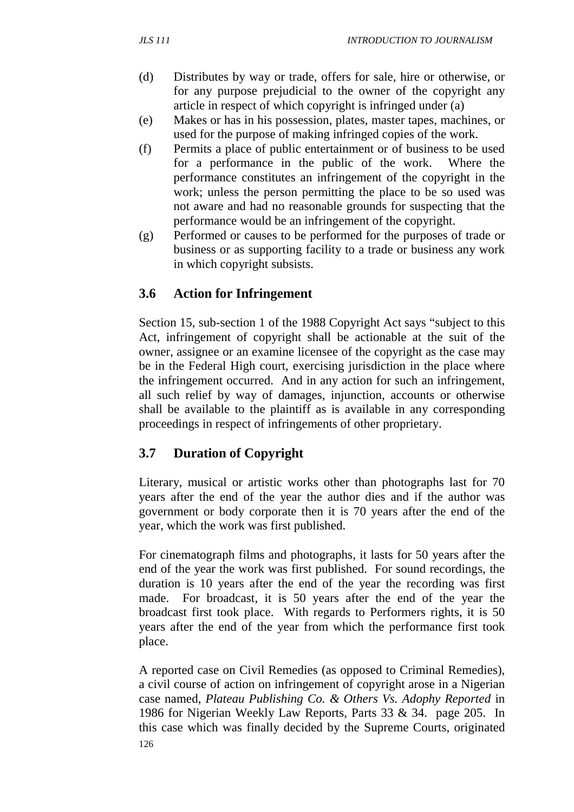- (d) Distributes by way or trade, offers for sale, hire or otherwise, or for any purpose prejudicial to the owner of the copyright any article in respect of which copyright is infringed under (a)
- (e) Makes or has in his possession, plates, master tapes, machines, or used for the purpose of making infringed copies of the work.
- (f) Permits a place of public entertainment or of business to be used for a performance in the public of the work. Where the performance constitutes an infringement of the copyright in the work; unless the person permitting the place to be so used was not aware and had no reasonable grounds for suspecting that the performance would be an infringement of the copyright.
- (g) Performed or causes to be performed for the purposes of trade or business or as supporting facility to a trade or business any work in which copyright subsists.

# **3.6 Action for Infringement**

Section 15, sub-section 1 of the 1988 Copyright Act says "subject to this Act, infringement of copyright shall be actionable at the suit of the owner, assignee or an examine licensee of the copyright as the case may be in the Federal High court, exercising jurisdiction in the place where the infringement occurred. And in any action for such an infringement, all such relief by way of damages, injunction, accounts or otherwise shall be available to the plaintiff as is available in any corresponding proceedings in respect of infringements of other proprietary.

### **3.7 Duration of Copyright**

Literary, musical or artistic works other than photographs last for 70 years after the end of the year the author dies and if the author was government or body corporate then it is 70 years after the end of the year, which the work was first published.

For cinematograph films and photographs, it lasts for 50 years after the end of the year the work was first published. For sound recordings, the duration is 10 years after the end of the year the recording was first made. For broadcast, it is 50 years after the end of the year the broadcast first took place. With regards to Performers rights, it is 50 years after the end of the year from which the performance first took place.

126 A reported case on Civil Remedies (as opposed to Criminal Remedies), a civil course of action on infringement of copyright arose in a Nigerian case named, *Plateau Publishing Co. & Others Vs. Adophy Reported* in 1986 for Nigerian Weekly Law Reports, Parts 33 & 34. page 205. In this case which was finally decided by the Supreme Courts, originated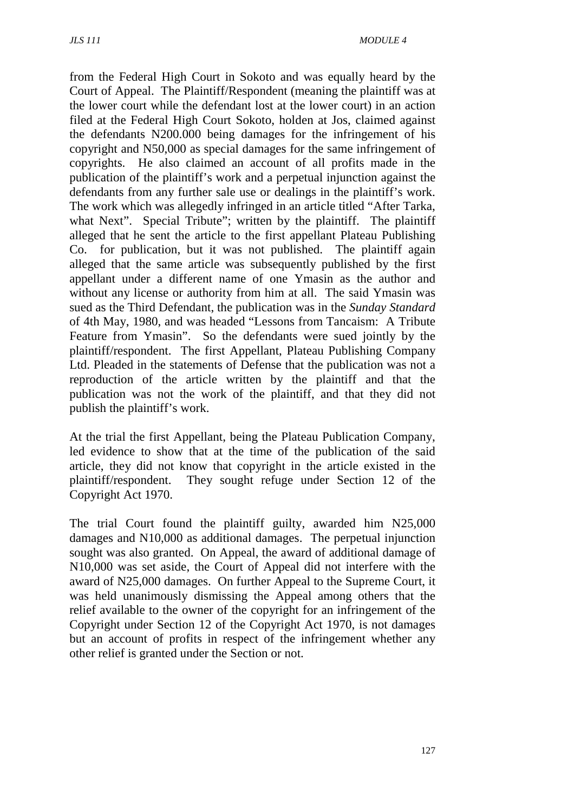from the Federal High Court in Sokoto and was equally heard by the Court of Appeal. The Plaintiff/Respondent (meaning the plaintiff was at the lower court while the defendant lost at the lower court) in an action filed at the Federal High Court Sokoto, holden at Jos, claimed against the defendants N200.000 being damages for the infringement of his copyright and N50,000 as special damages for the same infringement of copyrights. He also claimed an account of all profits made in the publication of the plaintiff's work and a perpetual injunction against the defendants from any further sale use or dealings in the plaintiff's work. The work which was allegedly infringed in an article titled "After Tarka, what Next". Special Tribute"; written by the plaintiff. The plaintiff alleged that he sent the article to the first appellant Plateau Publishing Co. for publication, but it was not published. The plaintiff again alleged that the same article was subsequently published by the first appellant under a different name of one Ymasin as the author and without any license or authority from him at all. The said Ymasin was sued as the Third Defendant, the publication was in the *Sunday Standard* of 4th May, 1980, and was headed "Lessons from Tancaism: A Tribute Feature from Ymasin". So the defendants were sued jointly by the plaintiff/respondent. The first Appellant, Plateau Publishing Company Ltd. Pleaded in the statements of Defense that the publication was not a reproduction of the article written by the plaintiff and that the publication was not the work of the plaintiff, and that they did not publish the plaintiff's work.

At the trial the first Appellant, being the Plateau Publication Company, led evidence to show that at the time of the publication of the said article, they did not know that copyright in the article existed in the plaintiff/respondent. They sought refuge under Section 12 of the Copyright Act 1970.

The trial Court found the plaintiff guilty, awarded him N25,000 damages and N10,000 as additional damages. The perpetual injunction sought was also granted. On Appeal, the award of additional damage of N10,000 was set aside, the Court of Appeal did not interfere with the award of N25,000 damages. On further Appeal to the Supreme Court, it was held unanimously dismissing the Appeal among others that the relief available to the owner of the copyright for an infringement of the Copyright under Section 12 of the Copyright Act 1970, is not damages but an account of profits in respect of the infringement whether any other relief is granted under the Section or not.